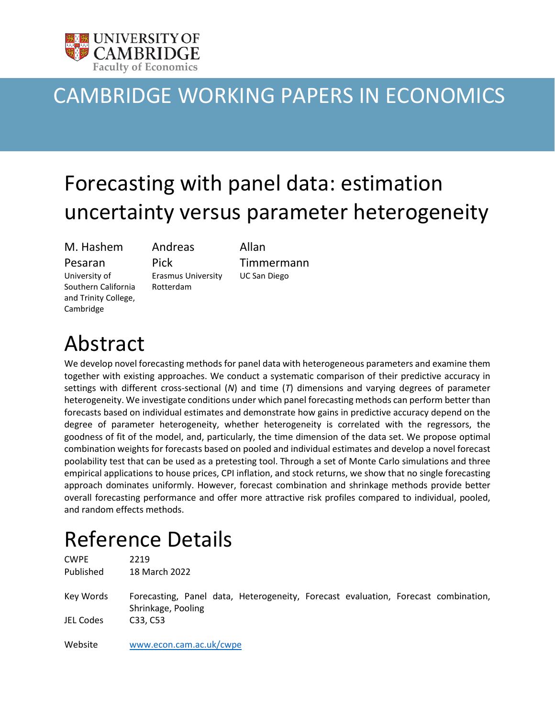

# CAMBRIDGE WORKING PAPERS IN ECONOMICS

# Forecasting with panel data: estimation uncertainty versus parameter heterogeneity

# M. Hashem

Pesaran

Pick

University of Southern California and Trinity College, Cambridge

Erasmus University Rotterdam

Andreas

Allan Timmermann UC San Diego

# Abstract

We develop novel forecasting methods for panel data with heterogeneous parameters and examine them together with existing approaches. We conduct a systematic comparison of their predictive accuracy in settings with different cross-sectional (*N*) and time (*T*) dimensions and varying degrees of parameter heterogeneity. We investigate conditions under which panel forecasting methods can perform better than forecasts based on individual estimates and demonstrate how gains in predictive accuracy depend on the degree of parameter heterogeneity, whether heterogeneity is correlated with the regressors, the goodness of fit of the model, and, particularly, the time dimension of the data set. We propose optimal combination weights for forecasts based on pooled and individual estimates and develop a novel forecast poolability test that can be used as a pretesting tool. Through a set of Monte Carlo simulations and three empirical applications to house prices, CPI inflation, and stock returns, we show that no single forecasting approach dominates uniformly. However, forecast combination and shrinkage methods provide better overall forecasting performance and offer more attractive risk profiles compared to individual, pooled, and random effects methods.

# Reference Details

CWPE 2219 Published 18 March 2022 Key Words Forecasting, Panel data, Heterogeneity, Forecast evaluation, Forecast combination, Shrinkage, Pooling JEL Codes C33, C53

Website [www.econ.cam.ac.uk/cwpe](http://www.econ.cam.ac.uk/cwpe)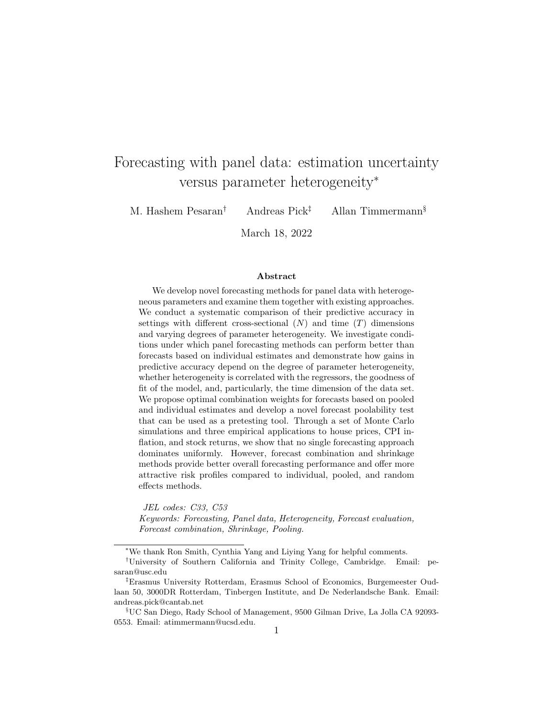# Forecasting with panel data: estimation uncertainty versus parameter heterogeneity<sup>∗</sup>

M. Hashem Pesaran† Andreas Pick‡ Allan Timmermann§

March 18, 2022

#### Abstract

We develop novel forecasting methods for panel data with heterogeneous parameters and examine them together with existing approaches. We conduct a systematic comparison of their predictive accuracy in settings with different cross-sectional  $(N)$  and time  $(T)$  dimensions and varying degrees of parameter heterogeneity. We investigate conditions under which panel forecasting methods can perform better than forecasts based on individual estimates and demonstrate how gains in predictive accuracy depend on the degree of parameter heterogeneity, whether heterogeneity is correlated with the regressors, the goodness of fit of the model, and, particularly, the time dimension of the data set. We propose optimal combination weights for forecasts based on pooled and individual estimates and develop a novel forecast poolability test that can be used as a pretesting tool. Through a set of Monte Carlo simulations and three empirical applications to house prices, CPI inflation, and stock returns, we show that no single forecasting approach dominates uniformly. However, forecast combination and shrinkage methods provide better overall forecasting performance and offer more attractive risk profiles compared to individual, pooled, and random effects methods.

JEL codes: C33, C53 Keywords: Forecasting, Panel data, Heterogeneity, Forecast evaluation, Forecast combination, Shrinkage, Pooling.

<sup>∗</sup>We thank Ron Smith, Cynthia Yang and Liying Yang for helpful comments.

<sup>†</sup>University of Southern California and Trinity College, Cambridge. Email: pesaran@usc.edu

<sup>‡</sup>Erasmus University Rotterdam, Erasmus School of Economics, Burgemeester Oudlaan 50, 3000DR Rotterdam, Tinbergen Institute, and De Nederlandsche Bank. Email: andreas.pick@cantab.net

<sup>§</sup>UC San Diego, Rady School of Management, 9500 Gilman Drive, La Jolla CA 92093- 0553. Email: atimmermann@ucsd.edu.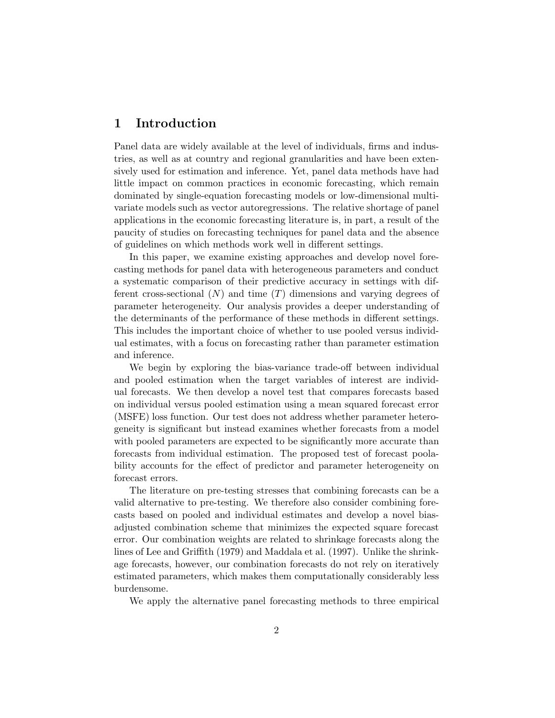## 1 Introduction

Panel data are widely available at the level of individuals, firms and industries, as well as at country and regional granularities and have been extensively used for estimation and inference. Yet, panel data methods have had little impact on common practices in economic forecasting, which remain dominated by single-equation forecasting models or low-dimensional multivariate models such as vector autoregressions. The relative shortage of panel applications in the economic forecasting literature is, in part, a result of the paucity of studies on forecasting techniques for panel data and the absence of guidelines on which methods work well in different settings.

In this paper, we examine existing approaches and develop novel forecasting methods for panel data with heterogeneous parameters and conduct a systematic comparison of their predictive accuracy in settings with different cross-sectional  $(N)$  and time  $(T)$  dimensions and varying degrees of parameter heterogeneity. Our analysis provides a deeper understanding of the determinants of the performance of these methods in different settings. This includes the important choice of whether to use pooled versus individual estimates, with a focus on forecasting rather than parameter estimation and inference.

We begin by exploring the bias-variance trade-off between individual and pooled estimation when the target variables of interest are individual forecasts. We then develop a novel test that compares forecasts based on individual versus pooled estimation using a mean squared forecast error (MSFE) loss function. Our test does not address whether parameter heterogeneity is significant but instead examines whether forecasts from a model with pooled parameters are expected to be significantly more accurate than forecasts from individual estimation. The proposed test of forecast poolability accounts for the effect of predictor and parameter heterogeneity on forecast errors.

The literature on pre-testing stresses that combining forecasts can be a valid alternative to pre-testing. We therefore also consider combining forecasts based on pooled and individual estimates and develop a novel biasadjusted combination scheme that minimizes the expected square forecast error. Our combination weights are related to shrinkage forecasts along the lines of Lee and Griffith (1979) and Maddala et al. (1997). Unlike the shrinkage forecasts, however, our combination forecasts do not rely on iteratively estimated parameters, which makes them computationally considerably less burdensome.

We apply the alternative panel forecasting methods to three empirical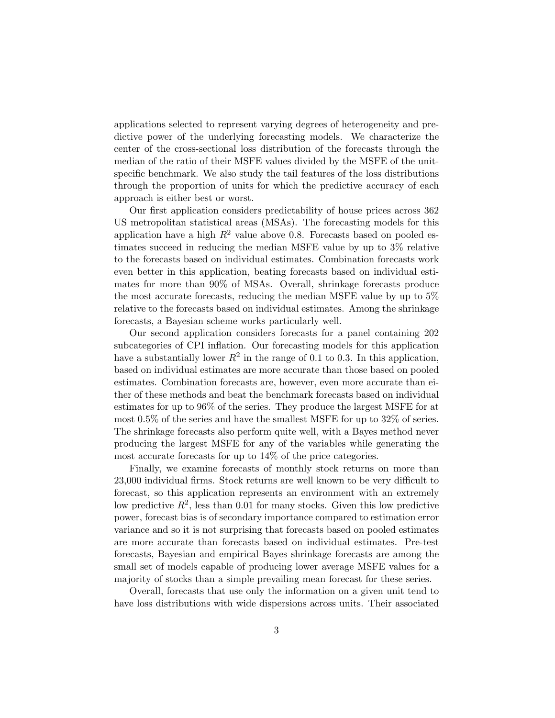applications selected to represent varying degrees of heterogeneity and predictive power of the underlying forecasting models. We characterize the center of the cross-sectional loss distribution of the forecasts through the median of the ratio of their MSFE values divided by the MSFE of the unitspecific benchmark. We also study the tail features of the loss distributions through the proportion of units for which the predictive accuracy of each approach is either best or worst.

Our first application considers predictability of house prices across 362 US metropolitan statistical areas (MSAs). The forecasting models for this application have a high  $R^2$  value above 0.8. Forecasts based on pooled estimates succeed in reducing the median MSFE value by up to 3% relative to the forecasts based on individual estimates. Combination forecasts work even better in this application, beating forecasts based on individual estimates for more than 90% of MSAs. Overall, shrinkage forecasts produce the most accurate forecasts, reducing the median MSFE value by up to 5% relative to the forecasts based on individual estimates. Among the shrinkage forecasts, a Bayesian scheme works particularly well.

Our second application considers forecasts for a panel containing 202 subcategories of CPI inflation. Our forecasting models for this application have a substantially lower  $R^2$  in the range of 0.1 to 0.3. In this application, based on individual estimates are more accurate than those based on pooled estimates. Combination forecasts are, however, even more accurate than either of these methods and beat the benchmark forecasts based on individual estimates for up to 96% of the series. They produce the largest MSFE for at most 0.5% of the series and have the smallest MSFE for up to 32% of series. The shrinkage forecasts also perform quite well, with a Bayes method never producing the largest MSFE for any of the variables while generating the most accurate forecasts for up to 14% of the price categories.

Finally, we examine forecasts of monthly stock returns on more than 23,000 individual firms. Stock returns are well known to be very difficult to forecast, so this application represents an environment with an extremely low predictive  $R^2$ , less than 0.01 for many stocks. Given this low predictive power, forecast bias is of secondary importance compared to estimation error variance and so it is not surprising that forecasts based on pooled estimates are more accurate than forecasts based on individual estimates. Pre-test forecasts, Bayesian and empirical Bayes shrinkage forecasts are among the small set of models capable of producing lower average MSFE values for a majority of stocks than a simple prevailing mean forecast for these series.

Overall, forecasts that use only the information on a given unit tend to have loss distributions with wide dispersions across units. Their associated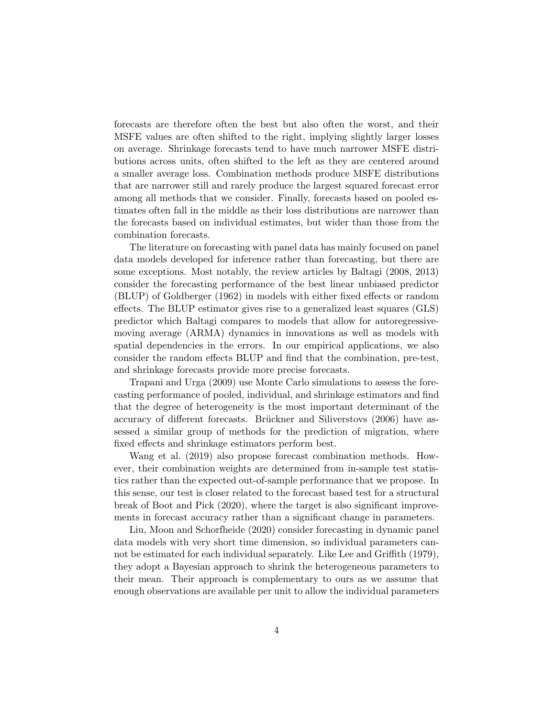forecasts are therefore often the best but also often the worst, and their MSFE values are often shifted to the right, implying slightly larger losses on average. Shrinkage forecasts tend to have much narrower MSFE distributions across units, often shifted to the left as they are centered around a smaller average loss. Combination methods produce MSFE distributions that are narrower still and rarely produce the largest squared forecast error among all methods that we consider. Finally, forecasts based on pooled estimates often fall in the middle as their loss distributions are narrower than the forecasts based on individual estimates, but wider than those from the combination forecasts.

The literature on forecasting with panel data has mainly focused on panel data models developed for inference rather than forecasting, but there are some exceptions. Most notably, the review articles by Baltagi (2008, 2013) consider the forecasting performance of the best linear unbiased predictor (BLUP) of Goldberger (1962) in models with either fixed effects or random effects. The BLUP estimator gives rise to a generalized least squares (GLS) predictor which Baltagi compares to models that allow for autoregressivemoving average (ARMA) dynamics in innovations as well as models with spatial dependencies in the errors. In our empirical applications, we also consider the random effects BLUP and find that the combination, pre-test, and shrinkage forecasts provide more precise forecasts.

Trapani and Urga (2009) use Monte Carlo simulations to assess the forecasting performance of pooled, individual, and shrinkage estimators and find that the degree of heterogeneity is the most important determinant of the accuracy of different forecasts. Brückner and Siliverstovs (2006) have assessed a similar group of methods for the prediction of migration, where fixed effects and shrinkage estimators perform best.

Wang et al. (2019) also propose forecast combination methods. However, their combination weights are determined from in-sample test statistics rather than the expected out-of-sample performance that we propose. In this sense, our test is closer related to the forecast based test for a structural break of Boot and Pick (2020), where the target is also significant improvements in forecast accuracy rather than a significant change in parameters.

Liu, Moon and Schorfheide (2020) consider forecasting in dynamic panel data models with very short time dimension, so individual parameters cannot be estimated for each individual separately. Like Lee and Griffith (1979), they adopt a Bayesian approach to shrink the heterogeneous parameters to their mean. Their approach is complementary to ours as we assume that enough observations are available per unit to allow the individual parameters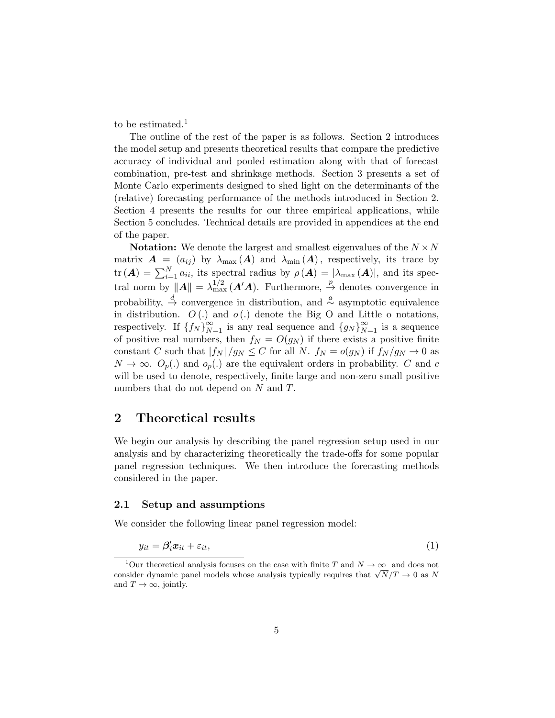to be estimated.<sup>1</sup>

The outline of the rest of the paper is as follows. Section 2 introduces the model setup and presents theoretical results that compare the predictive accuracy of individual and pooled estimation along with that of forecast combination, pre-test and shrinkage methods. Section 3 presents a set of Monte Carlo experiments designed to shed light on the determinants of the (relative) forecasting performance of the methods introduced in Section 2. Section 4 presents the results for our three empirical applications, while Section 5 concludes. Technical details are provided in appendices at the end of the paper.

**Notation:** We denote the largest and smallest eigenvalues of the  $N \times N$ matrix  $\mathbf{A} = (a_{ij})$  by  $\lambda_{\text{max}}(\mathbf{A})$  and  $\lambda_{\text{min}}(\mathbf{A})$ , respectively, its trace by  $\text{tr}(\boldsymbol{A}) = \sum_{i=1}^{N} a_{ii}$ , its spectral radius by  $\rho(\boldsymbol{A}) = |\lambda_{\text{max}}(\boldsymbol{A})|$ , and its spectral norm by  $||A|| = \lambda_{\max}^{1/2}(A'A)$ . Furthermore,  $\stackrel{p}{\to}$  denotes convergence in probability,  $\stackrel{d}{\rightarrow}$  convergence in distribution, and  $\stackrel{a}{\sim}$  asymptotic equivalence in distribution.  $O(.)$  and  $o(.)$  denote the Big O and Little o notations, respectively. If  $\{f_N\}_{N=1}^{\infty}$  is any real sequence and  $\{g_N\}_{N=1}^{\infty}$  is a sequence of positive real numbers, then  $f_N = O(g_N)$  if there exists a positive finite constant C such that  $|f_N|/g_N \leq C$  for all N.  $f_N = o(g_N)$  if  $f_N/g_N \to 0$  as  $N \to \infty$ .  $O_p(.)$  and  $o_p(.)$  are the equivalent orders in probability. C and c will be used to denote, respectively, finite large and non-zero small positive numbers that do not depend on N and T.

## 2 Theoretical results

We begin our analysis by describing the panel regression setup used in our analysis and by characterizing theoretically the trade-offs for some popular panel regression techniques. We then introduce the forecasting methods considered in the paper.

#### 2.1 Setup and assumptions

We consider the following linear panel regression model:

$$
y_{it} = \beta_i' \mathbf{x}_{it} + \varepsilon_{it},\tag{1}
$$

<sup>&</sup>lt;sup>1</sup>Our theoretical analysis focuses on the case with finite T and  $N \to \infty$  and does not Our theoretical analysis focuses on the case with finite T and  $N \to \infty$  and does not consider dynamic panel models whose analysis typically requires that  $\sqrt{N}/T \to 0$  as N and  $T \to \infty$ , jointly.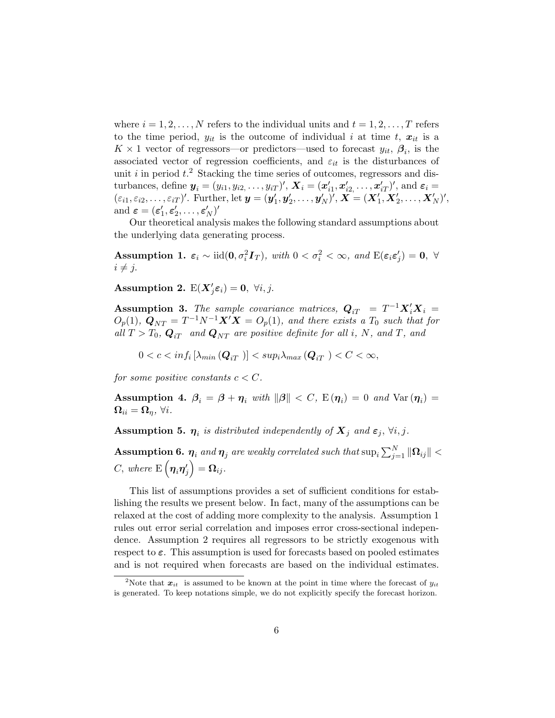where  $i = 1, 2, \ldots, N$  refers to the individual units and  $t = 1, 2, \ldots, T$  refers to the time period,  $y_{it}$  is the outcome of individual i at time t,  $x_{it}$  is a  $K \times 1$  vector of regressors—or predictors—used to forecast  $y_{it}$ ,  $\beta_i$ , is the associated vector of regression coefficients, and  $\varepsilon_{it}$  is the disturbances of unit i in period  $t^2$ . Stacking the time series of outcomes, regressors and disturbances, define  $\boldsymbol{y}_i = (y_{i1}, y_{i2}, \dots, y_{iT})'$ ,  $\boldsymbol{X}_i = (\boldsymbol{x}'_{i1}, \boldsymbol{x}'_{i2}, \dots, \boldsymbol{x}'_{iT})'$ , and  $\boldsymbol{\varepsilon}_i =$  $(\varepsilon_{i1}, \varepsilon_{i2}, \ldots, \varepsilon_{iT})'$ . Further, let  $\mathbf{y} = (\mathbf{y}'_1, \mathbf{y}'_2, \ldots, \mathbf{y}'_N)'$ ,  $\mathbf{X} = (\mathbf{X}'_1, \mathbf{X}'_2, \ldots, \mathbf{X}'_N)'$ , and  $\boldsymbol{\varepsilon} = (\boldsymbol{\varepsilon}'_1, \boldsymbol{\varepsilon}'_2, \dots, \boldsymbol{\varepsilon}'_N)'$ 

Our theoretical analysis makes the following standard assumptions about the underlying data generating process.

Assumption 1.  $\varepsilon_i \sim \text{iid}(0, \sigma_i^2 I_T)$ , with  $0 < \sigma_i^2 < \infty$ , and  $\text{E}(\varepsilon_i \varepsilon_j') = 0$ ,  $\forall$  $i \neq j$ .

Assumption 2.  $E(X'_j \varepsilon_i) = 0, \ \forall i, j$ .

**Assumption 3.** The sample covariance matrices,  $Q_{iT} = T^{-1}X_i'X_i =$  $O_p(1)$ ,  $\mathbf{Q}_{NT} = T^{-1}N^{-1}\mathbf{X}'\mathbf{X} = O_p(1)$ , and there exists a  $T_0$  such that for all  $T > T_0$ ,  $Q_{iT}$  and  $Q_{NT}$  are positive definite for all i, N, and T, and

 $0 < c < inf_i\left[\lambda_{min}\left(\boldsymbol{Q}_{iT} \right)\right] < sup_i\lambda_{max}\left(\boldsymbol{Q}_{iT} \right) < C < \infty,$ 

for some positive constants  $c < C$ .

Assumption 4.  $\beta_i = \beta + \eta_i$  with  $\|\beta\| < C$ ,  $E(\eta_i) = 0$  and  $Var(\eta_i) =$  $\Omega_{ii} = \Omega_n$ ,  $\forall i$ .

**Assumption 5.**  $\eta_i$  is distributed independently of  $X_j$  and  $\varepsilon_j$ ,  $\forall i, j$ .

 $\textbf{Assumption 6.}\ \boldsymbol{\eta}_i\ and\ \boldsymbol{\eta}_j\ are\ weakly\ correlated\ such\ that\ \sup_i \sum_{j=1}^N\|\boldsymbol{\Omega}_{ij}\|<\infty.$  $C, \ where \ \mathop{\mathrm{E}}\nolimits \left(\boldsymbol{\eta}_i \boldsymbol{\eta}_j^\prime \right) = \boldsymbol{\Omega}_{ij}.$ 

This list of assumptions provides a set of sufficient conditions for establishing the results we present below. In fact, many of the assumptions can be relaxed at the cost of adding more complexity to the analysis. Assumption 1 rules out error serial correlation and imposes error cross-sectional independence. Assumption 2 requires all regressors to be strictly exogenous with respect to  $\varepsilon$ . This assumption is used for forecasts based on pooled estimates and is not required when forecasts are based on the individual estimates.

<sup>&</sup>lt;sup>2</sup>Note that  $x_{it}$  is assumed to be known at the point in time where the forecast of  $y_{it}$ is generated. To keep notations simple, we do not explicitly specify the forecast horizon.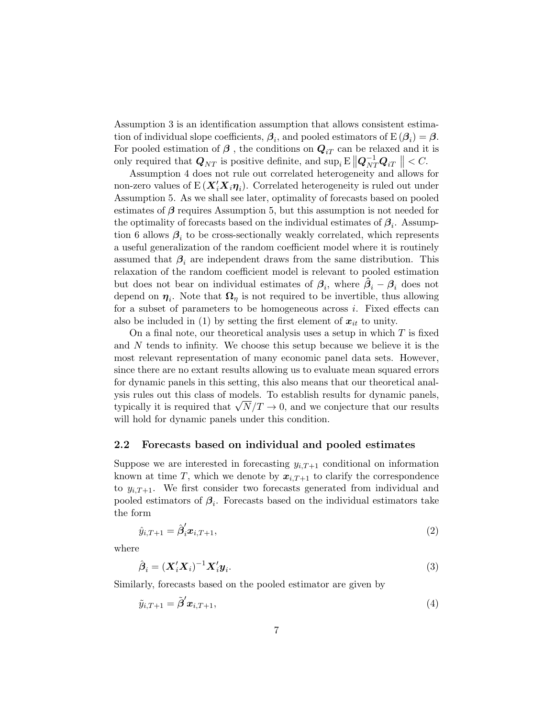Assumption 3 is an identification assumption that allows consistent estimation of individual slope coefficients,  $\beta_i$ , and pooled estimators of  $E(\beta_i) = \beta$ . For pooled estimation of  $\beta$ , the conditions on  $Q_{iT}$  can be relaxed and it is only required that  $Q_{NT}$  is positive definite, and  $\sup_i E \left\|Q_{NT}^{-1} Q_{iT}\right\| < C$ .

Assumption 4 does not rule out correlated heterogeneity and allows for non-zero values of  $E(X_i'X_i\eta_i)$ . Correlated heterogeneity is ruled out under Assumption 5. As we shall see later, optimality of forecasts based on pooled estimates of  $\beta$  requires Assumption 5, but this assumption is not needed for the optimality of forecasts based on the individual estimates of  $\beta_i$ . Assumption 6 allows  $\beta_i$  to be cross-sectionally weakly correlated, which represents a useful generalization of the random coefficient model where it is routinely assumed that  $\beta_i$  are independent draws from the same distribution. This relaxation of the random coefficient model is relevant to pooled estimation but does not bear on individual estimates of  $\beta_i$ , where  $\hat{\beta}_i - \beta_i$  does not depend on  $\eta_i$ . Note that  $\Omega_{\eta}$  is not required to be invertible, thus allowing for a subset of parameters to be homogeneous across  $i$ . Fixed effects can also be included in (1) by setting the first element of  $x_{it}$  to unity.

On a final note, our theoretical analysis uses a setup in which  $T$  is fixed and N tends to infinity. We choose this setup because we believe it is the most relevant representation of many economic panel data sets. However, since there are no extant results allowing us to evaluate mean squared errors for dynamic panels in this setting, this also means that our theoretical analysis rules out this class of models. To establish results for dynamic panels, ysis rules out this class of models. To establish results for dynamic panels, typically it is required that  $\sqrt{N}/T \to 0$ , and we conjecture that our results will hold for dynamic panels under this condition.

#### 2.2 Forecasts based on individual and pooled estimates

Suppose we are interested in forecasting  $y_{i,T+1}$  conditional on information known at time T, which we denote by  $x_{i,T+1}$  to clarify the correspondence to  $y_{i,T+1}$ . We first consider two forecasts generated from individual and pooled estimators of  $\beta_i$ . Forecasts based on the individual estimators take the form

$$
\hat{y}_{i,T+1} = \hat{\beta}'_i x_{i,T+1},\tag{2}
$$

where

$$
\hat{\boldsymbol{\beta}}_i = (\boldsymbol{X}_i' \boldsymbol{X}_i)^{-1} \boldsymbol{X}_i' \boldsymbol{y}_i. \tag{3}
$$

Similarly, forecasts based on the pooled estimator are given by

$$
\tilde{y}_{i,T+1} = \tilde{\boldsymbol{\beta}}' \boldsymbol{x}_{i,T+1},\tag{4}
$$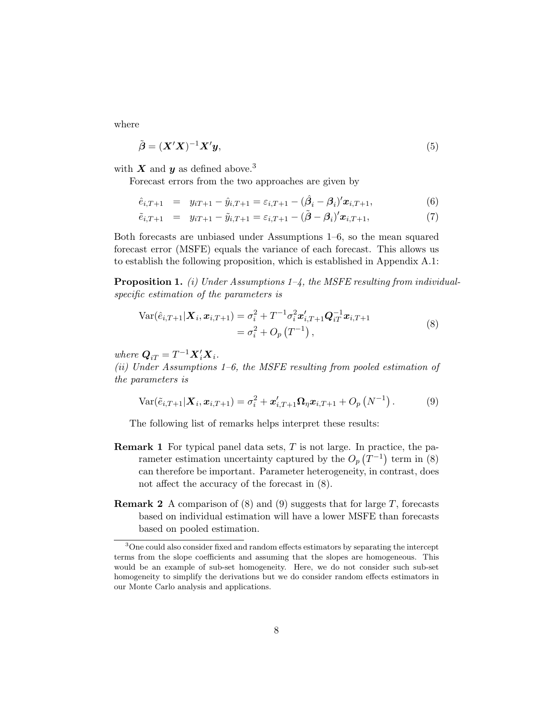where

$$
\tilde{\boldsymbol{\beta}} = (\boldsymbol{X}'\boldsymbol{X})^{-1}\boldsymbol{X}'\boldsymbol{y},\tag{5}
$$

with X and y as defined above.<sup>3</sup>

Forecast errors from the two approaches are given by

$$
\hat{e}_{i,T+1} = y_{iT+1} - \hat{y}_{i,T+1} = \varepsilon_{i,T+1} - (\hat{\beta}_i - \beta_i)' \mathbf{x}_{i,T+1},
$$
\n(6)

$$
\tilde{e}_{i,T+1} = y_{iT+1} - \tilde{y}_{i,T+1} = \varepsilon_{i,T+1} - (\tilde{\boldsymbol{\beta}} - \boldsymbol{\beta}_i)' \boldsymbol{x}_{i,T+1},
$$
\n(7)

Both forecasts are unbiased under Assumptions 1–6, so the mean squared forecast error (MSFE) equals the variance of each forecast. This allows us to establish the following proposition, which is established in Appendix A.1:

**Proposition 1.** (i) Under Assumptions  $1-4$ , the MSFE resulting from individualspecific estimation of the parameters is

$$
Var(\hat{e}_{i,T+1}|\boldsymbol{X}_{i},\boldsymbol{x}_{i,T+1}) = \sigma_{i}^{2} + T^{-1}\sigma_{i}^{2}\boldsymbol{x}_{i,T+1}'\boldsymbol{Q}_{iT}^{-1}\boldsymbol{x}_{i,T+1}
$$
  
=  $\sigma_{i}^{2} + O_{p}(T^{-1}),$  (8)

where  $Q_{iT} = T^{-1} \mathbf{X}'_i \mathbf{X}_i$ .

(ii) Under Assumptions 1–6, the MSFE resulting from pooled estimation of the parameters is

$$
Var(\tilde{e}_{i,T+1}|\boldsymbol{X}_{i},\boldsymbol{x}_{i,T+1}) = \sigma_{i}^{2} + \boldsymbol{x}_{i,T+1}'\boldsymbol{\Omega}_{\eta}\boldsymbol{x}_{i,T+1} + O_{p}\left(N^{-1}\right).
$$
 (9)

The following list of remarks helps interpret these results:

- **Remark 1** For typical panel data sets,  $T$  is not large. In practice, the parameter estimation uncertainty captured by the  $O_p(T^{-1})$  term in (8) can therefore be important. Parameter heterogeneity, in contrast, does not affect the accuracy of the forecast in (8).
- **Remark 2** A comparison of  $(8)$  and  $(9)$  suggests that for large T, forecasts based on individual estimation will have a lower MSFE than forecasts based on pooled estimation.

<sup>3</sup>One could also consider fixed and random effects estimators by separating the intercept terms from the slope coefficients and assuming that the slopes are homogeneous. This would be an example of sub-set homogeneity. Here, we do not consider such sub-set homogeneity to simplify the derivations but we do consider random effects estimators in our Monte Carlo analysis and applications.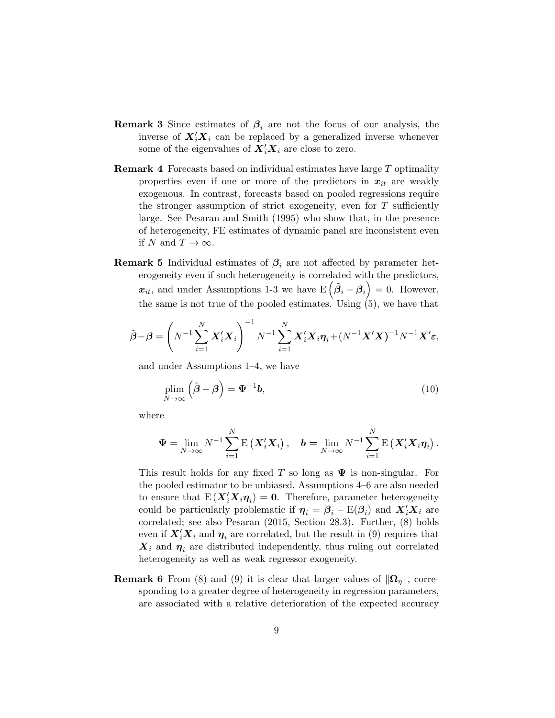- **Remark 3** Since estimates of  $\beta_i$  are not the focus of our analysis, the inverse of  $X_i'X_i$  can be replaced by a generalized inverse whenever some of the eigenvalues of  $X_i'X_i$  are close to zero.
- Remark 4 Forecasts based on individual estimates have large T optimality properties even if one or more of the predictors in  $x_{it}$  are weakly exogenous. In contrast, forecasts based on pooled regressions require the stronger assumption of strict exogeneity, even for  $T$  sufficiently large. See Pesaran and Smith (1995) who show that, in the presence of heterogeneity, FE estimates of dynamic panel are inconsistent even if N and  $T \to \infty$ .
- **Remark 5** Individual estimates of  $\beta_i$  are not affected by parameter heterogeneity even if such heterogeneity is correlated with the predictors,  $x_{it}$ , and under Assumptions 1-3 we have  $E(\hat{\beta}_i - \beta_i) = 0$ . However, the same is not true of the pooled estimates. Using  $(5)$ , we have that

$$
\tilde{\boldsymbol{\beta}} - \boldsymbol{\beta} = \left( N^{-1} \sum_{i=1}^N \boldsymbol{X}_i' \boldsymbol{X}_i \right)^{-1} N^{-1} \sum_{i=1}^N \boldsymbol{X}_i' \boldsymbol{X}_i \boldsymbol{\eta}_i + (N^{-1} \boldsymbol{X}' \boldsymbol{X})^{-1} N^{-1} \boldsymbol{X}' \boldsymbol{\varepsilon},
$$

and under Assumptions 1–4, we have

$$
\plim_{N \to \infty} \left( \tilde{\boldsymbol{\beta}} - \boldsymbol{\beta} \right) = \boldsymbol{\Psi}^{-1} \boldsymbol{b},\tag{10}
$$

where

$$
\Psi = \lim_{N \to \infty} N^{-1} \sum_{i=1}^N \mathrm{E} \left( \mathbf{X}_i' \mathbf{X}_i \right), \quad \mathbf{b} = \lim_{N \to \infty} N^{-1} \sum_{i=1}^N \mathrm{E} \left( \mathbf{X}_i' \mathbf{X}_i \boldsymbol{\eta}_i \right).
$$

This result holds for any fixed T so long as  $\Psi$  is non-singular. For the pooled estimator to be unbiased, Assumptions 4–6 are also needed to ensure that  $E(X_i'X_i\eta_i) = 0$ . Therefore, parameter heterogeneity could be particularly problematic if  $\eta_i = \beta_i - \text{E}(\beta_i)$  and  $X_i' X_i$  are correlated; see also Pesaran (2015, Section 28.3). Further, (8) holds even if  $X_i'X_i$  and  $\eta_i$  are correlated, but the result in (9) requires that  $\mathbf{X}_i$  and  $\boldsymbol{\eta}_i$  are distributed independently, thus ruling out correlated heterogeneity as well as weak regressor exogeneity.

**Remark 6** From (8) and (9) it is clear that larger values of  $\|\Omega_n\|$ , corresponding to a greater degree of heterogeneity in regression parameters, are associated with a relative deterioration of the expected accuracy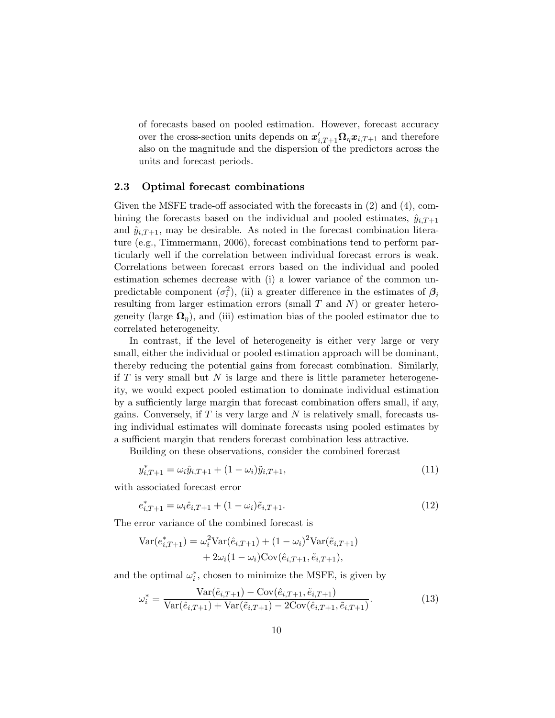of forecasts based on pooled estimation. However, forecast accuracy over the cross-section units depends on  $\mathbf{x}'_{i,T+1}\mathbf{\Omega}_{\eta}\mathbf{x}_{i,T+1}$  and therefore also on the magnitude and the dispersion of the predictors across the units and forecast periods.

#### 2.3 Optimal forecast combinations

Given the MSFE trade-off associated with the forecasts in (2) and (4), combining the forecasts based on the individual and pooled estimates,  $\hat{y}_{i,T+1}$ and  $\tilde{y}_{i,T+1}$ , may be desirable. As noted in the forecast combination literature (e.g., Timmermann, 2006), forecast combinations tend to perform particularly well if the correlation between individual forecast errors is weak. Correlations between forecast errors based on the individual and pooled estimation schemes decrease with (i) a lower variance of the common unpredictable component  $(\sigma_i^2)$ , (ii) a greater difference in the estimates of  $\beta_i$ resulting from larger estimation errors (small  $T$  and  $N$ ) or greater heterogeneity (large  $\Omega_n$ ), and (iii) estimation bias of the pooled estimator due to correlated heterogeneity.

In contrast, if the level of heterogeneity is either very large or very small, either the individual or pooled estimation approach will be dominant, thereby reducing the potential gains from forecast combination. Similarly, if  $T$  is very small but  $N$  is large and there is little parameter heterogeneity, we would expect pooled estimation to dominate individual estimation by a sufficiently large margin that forecast combination offers small, if any, gains. Conversely, if  $T$  is very large and  $N$  is relatively small, forecasts using individual estimates will dominate forecasts using pooled estimates by a sufficient margin that renders forecast combination less attractive.

Building on these observations, consider the combined forecast

$$
y_{i,T+1}^* = \omega_i \hat{y}_{i,T+1} + (1 - \omega_i) \tilde{y}_{i,T+1},
$$
\n(11)

with associated forecast error

$$
e_{i,T+1}^* = \omega_i \hat{e}_{i,T+1} + (1 - \omega_i)\tilde{e}_{i,T+1}.
$$
\n(12)

The error variance of the combined forecast is

$$
\begin{aligned} \text{Var}(e_{i,T+1}^*) &= \omega_i^2 \text{Var}(\hat{e}_{i,T+1}) + (1 - \omega_i)^2 \text{Var}(\tilde{e}_{i,T+1}) \\ &+ 2\omega_i (1 - \omega_i) \text{Cov}(\hat{e}_{i,T+1}, \tilde{e}_{i,T+1}), \end{aligned}
$$

and the optimal  $\omega_i^*$ , chosen to minimize the MSFE, is given by

$$
\omega_i^* = \frac{\text{Var}(\tilde{e}_{i,T+1}) - \text{Cov}(\hat{e}_{i,T+1}, \tilde{e}_{i,T+1})}{\text{Var}(\hat{e}_{i,T+1}) + \text{Var}(\tilde{e}_{i,T+1}) - 2\text{Cov}(\hat{e}_{i,T+1}, \tilde{e}_{i,T+1})}.
$$
(13)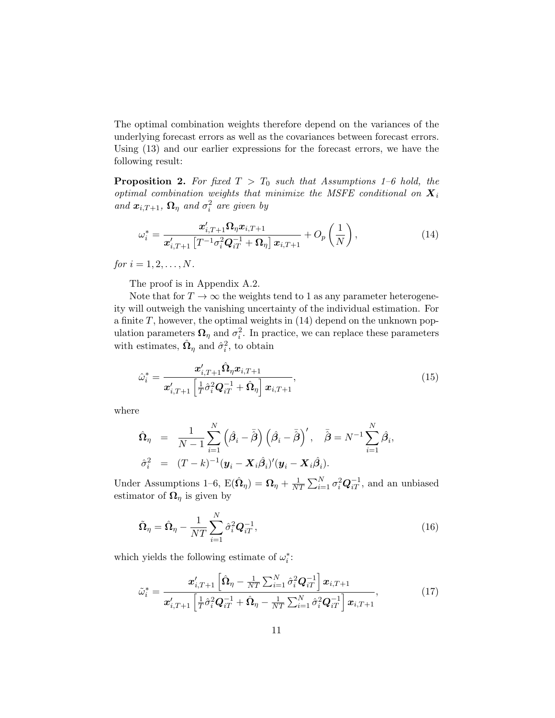The optimal combination weights therefore depend on the variances of the underlying forecast errors as well as the covariances between forecast errors. Using (13) and our earlier expressions for the forecast errors, we have the following result:

**Proposition 2.** For fixed  $T > T_0$  such that Assumptions 1–6 hold, the optimal combination weights that minimize the MSFE conditional on  $X_i$ and  $\boldsymbol{x}_{i,T+1}$ ,  $\boldsymbol{\Omega}_{\eta}$  and  $\sigma_i^2$  are given by

$$
\omega_i^* = \frac{\boldsymbol{x}_{i,T+1}' \boldsymbol{\Omega}_\eta \boldsymbol{x}_{i,T+1}}{\boldsymbol{x}_{i,T+1}' \left[ T^{-1} \sigma_i^2 \boldsymbol{Q}_{iT}^{-1} + \boldsymbol{\Omega}_\eta \right] \boldsymbol{x}_{i,T+1}} + O_p\left(\frac{1}{N}\right),\tag{14}
$$

for  $i = 1, 2, ..., N$ .

The proof is in Appendix A.2.

Note that for  $T \to \infty$  the weights tend to 1 as any parameter heterogeneity will outweigh the vanishing uncertainty of the individual estimation. For a finite  $T$ , however, the optimal weights in  $(14)$  depend on the unknown population parameters  $\mathbf{\Omega}_{\eta}$  and  $\sigma_i^2$ . In practice, we can replace these parameters with estimates,  $\hat{\Omega}_{\eta}$  and  $\hat{\sigma}_{i}^{2}$ , to obtain

$$
\hat{\omega}_{i}^{*} = \frac{\boldsymbol{x}_{i,T+1}' \hat{\boldsymbol{\Omega}}_{\eta} \boldsymbol{x}_{i,T+1}}{\boldsymbol{x}_{i,T+1}' \left[ \frac{1}{T} \hat{\sigma}_{i}^{2} \boldsymbol{Q}_{iT}^{-1} + \hat{\boldsymbol{\Omega}}_{\eta} \right] \boldsymbol{x}_{i,T+1}},
$$
\n(15)

where

$$
\hat{\Omega}_{\eta} = \frac{1}{N-1} \sum_{i=1}^{N} (\hat{\beta}_{i} - \bar{\hat{\beta}}) (\hat{\beta}_{i} - \bar{\hat{\beta}})' , \quad \bar{\hat{\beta}} = N^{-1} \sum_{i=1}^{N} \hat{\beta}_{i},
$$
  

$$
\hat{\sigma}_{i}^{2} = (T-k)^{-1} (\mathbf{y}_{i} - \mathbf{X}_{i} \hat{\beta}_{i})' (\mathbf{y}_{i} - \mathbf{X}_{i} \hat{\beta}_{i}).
$$

Under Assumptions 1–6,  $E(\hat{\Omega}_{\eta}) = \Omega_{\eta} + \frac{1}{N'}$  $\frac{1}{NT} \sum_{i=1}^{N} \sigma_i^2 \mathbf{Q}_{iT}^{-1}$ , and an unbiased estimator of  $\Omega_{\eta}$  is given by

$$
\tilde{\mathbf{\Omega}}_{\eta} = \hat{\mathbf{\Omega}}_{\eta} - \frac{1}{NT} \sum_{i=1}^{N} \hat{\sigma}_{i}^{2} \mathbf{Q}_{iT}^{-1},
$$
\n(16)

which yields the following estimate of  $\omega_i^*$ :

$$
\tilde{\omega}_{i}^{*} = \frac{\boldsymbol{x}_{i,T+1}'\left[\hat{\boldsymbol{\Omega}}_{\eta} - \frac{1}{NT}\sum_{i=1}^{N}\hat{\sigma}_{i}^{2}\boldsymbol{Q}_{iT}^{-1}\right]\boldsymbol{x}_{i,T+1}}{\boldsymbol{x}_{i,T+1}'\left[\frac{1}{T}\hat{\sigma}_{i}^{2}\boldsymbol{Q}_{iT}^{-1} + \hat{\boldsymbol{\Omega}}_{\eta} - \frac{1}{NT}\sum_{i=1}^{N}\hat{\sigma}_{i}^{2}\boldsymbol{Q}_{iT}^{-1}\right]\boldsymbol{x}_{i,T+1}},
$$
\n(17)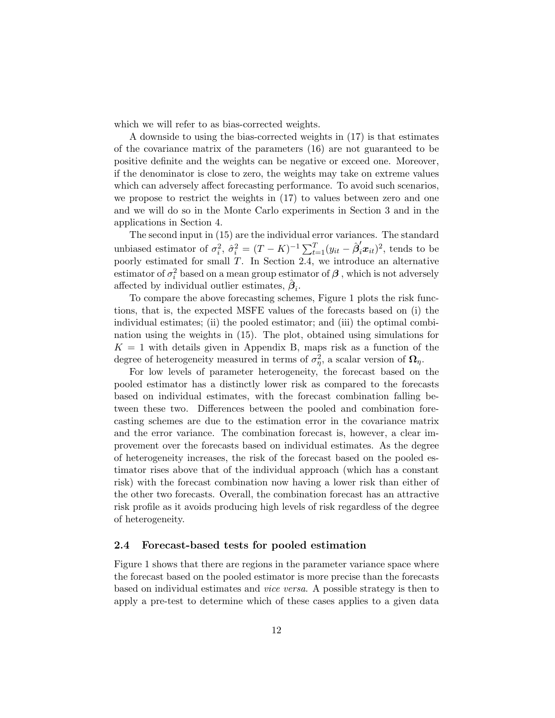which we will refer to as bias-corrected weights.

A downside to using the bias-corrected weights in (17) is that estimates of the covariance matrix of the parameters (16) are not guaranteed to be positive definite and the weights can be negative or exceed one. Moreover, if the denominator is close to zero, the weights may take on extreme values which can adversely affect forecasting performance. To avoid such scenarios, we propose to restrict the weights in (17) to values between zero and one and we will do so in the Monte Carlo experiments in Section 3 and in the applications in Section 4.

The second input in (15) are the individual error variances. The standard unbiased estimator of  $\sigma_i^2$ ,  $\hat{\sigma}_i^2 = (T - K)^{-1} \sum_{t=1}^T (y_{it} - \hat{\beta}_i' x_{it})^2$ , tends to be poorly estimated for small T. In Section 2.4, we introduce an alternative estimator of  $\sigma_i^2$  based on a mean group estimator of  $\beta$ , which is not adversely affected by individual outlier estimates,  $\hat{\boldsymbol{\beta}}_i$ .

To compare the above forecasting schemes, Figure 1 plots the risk functions, that is, the expected MSFE values of the forecasts based on (i) the individual estimates; (ii) the pooled estimator; and (iii) the optimal combination using the weights in (15). The plot, obtained using simulations for  $K = 1$  with details given in Appendix B, maps risk as a function of the degree of heterogeneity measured in terms of  $\sigma_{\eta}^2$ , a scalar version of  $\Omega_{\eta}$ .

For low levels of parameter heterogeneity, the forecast based on the pooled estimator has a distinctly lower risk as compared to the forecasts based on individual estimates, with the forecast combination falling between these two. Differences between the pooled and combination forecasting schemes are due to the estimation error in the covariance matrix and the error variance. The combination forecast is, however, a clear improvement over the forecasts based on individual estimates. As the degree of heterogeneity increases, the risk of the forecast based on the pooled estimator rises above that of the individual approach (which has a constant risk) with the forecast combination now having a lower risk than either of the other two forecasts. Overall, the combination forecast has an attractive risk profile as it avoids producing high levels of risk regardless of the degree of heterogeneity.

#### 2.4 Forecast-based tests for pooled estimation

Figure 1 shows that there are regions in the parameter variance space where the forecast based on the pooled estimator is more precise than the forecasts based on individual estimates and vice versa. A possible strategy is then to apply a pre-test to determine which of these cases applies to a given data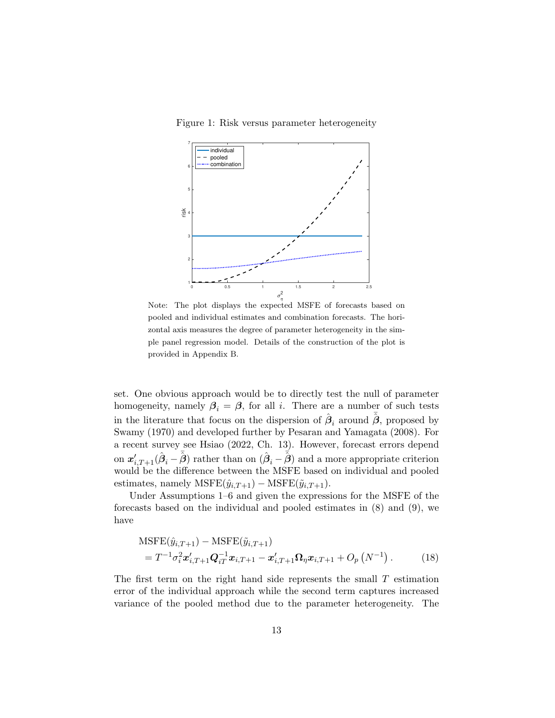Figure 1: Risk versus parameter heterogeneity



Note: The plot displays the expected MSFE of forecasts based on pooled and individual estimates and combination forecasts. The horizontal axis measures the degree of parameter heterogeneity in the simple panel regression model. Details of the construction of the plot is provided in Appendix B.

set. One obvious approach would be to directly test the null of parameter homogeneity, namely  $\beta_i = \beta$ , for all *i*. There are a number of such tests in the literature that focus on the dispersion of  $\hat{\beta}_i$  around  $\tilde{\hat{\beta}}$ , proposed by Swamy (1970) and developed further by Pesaran and Yamagata (2008). For a recent survey see Hsiao (2022, Ch. 13). However, forecast errors depend on  $x'_{i,T+1}(\hat{\beta}_i - \bar{\hat{\beta}})$  rather than on  $(\hat{\beta}_i - \bar{\hat{\beta}})$  and a more appropriate criterion would be the difference between the MSFE based on individual and pooled estimates, namely MSFE $(\hat{y}_{i,T+1})$  – MSFE $(\tilde{y}_{i,T+1})$ .

Under Assumptions 1–6 and given the expressions for the MSFE of the forecasts based on the individual and pooled estimates in (8) and (9), we have

MSTE
$$
(\hat{y}_{i,T+1})
$$
 - MSTE $(\tilde{y}_{i,T+1})$   
=  $T^{-1}\sigma_i^2 \mathbf{x}'_{i,T+1} \mathbf{Q}_{iT}^{-1} \mathbf{x}_{i,T+1} - \mathbf{x}'_{i,T+1} \mathbf{\Omega}_\eta \mathbf{x}_{i,T+1} + O_p(N^{-1}).$  (18)

The first term on the right hand side represents the small  $T$  estimation error of the individual approach while the second term captures increased variance of the pooled method due to the parameter heterogeneity. The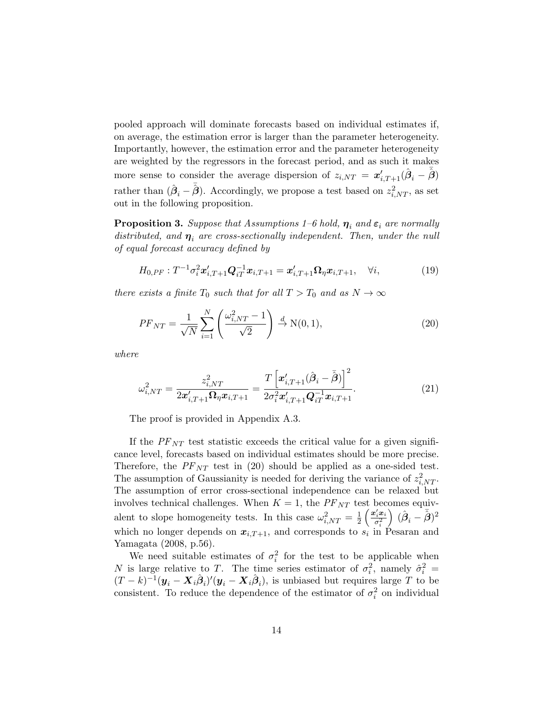pooled approach will dominate forecasts based on individual estimates if, on average, the estimation error is larger than the parameter heterogeneity. Importantly, however, the estimation error and the parameter heterogeneity are weighted by the regressors in the forecast period, and as such it makes more sense to consider the average dispersion of  $z_{i,NT} = x'_{i,T+1}(\hat{\beta}_i - \bar{\hat{\beta}})$ rather than  $(\hat{\beta}_i - \bar{\hat{\beta}})$ . Accordingly, we propose a test based on  $z_{i,NT}^2$ , as set out in the following proposition.

**Proposition 3.** Suppose that Assumptions 1–6 hold,  $\eta_i$  and  $\varepsilon_i$  are normally distributed, and  $\eta_i$  are cross-sectionally independent. Then, under the null of equal forecast accuracy defined by

$$
H_{0,PF}: T^{-1}\sigma_i^2 \mathbf{x}'_{i,T+1} \mathbf{Q}_{iT}^{-1} \mathbf{x}_{i,T+1} = \mathbf{x}'_{i,T+1} \mathbf{\Omega}_\eta \mathbf{x}_{i,T+1}, \quad \forall i,
$$
\n(19)

there exists a finite  $T_0$  such that for all  $T > T_0$  and as  $N \to \infty$ 

$$
PF_{NT} = \frac{1}{\sqrt{N}} \sum_{i=1}^{N} \left( \frac{\omega_{i,NT}^2 - 1}{\sqrt{2}} \right) \stackrel{d}{\to} \mathcal{N}(0, 1),\tag{20}
$$

where

$$
\omega_{i,NT}^2 = \frac{z_{i,NT}^2}{2x_{i,T+1}'\Omega_\eta x_{i,T+1}} = \frac{T\left[x_{i,T+1}'(\hat{\beta}_i - \bar{\hat{\beta}})\right]^2}{2\sigma_i^2 x_{i,T+1}'Q_{iT}^{-1}x_{i,T+1}}.
$$
(21)

The proof is provided in Appendix A.3.

If the  $PF_{NT}$  test statistic exceeds the critical value for a given significance level, forecasts based on individual estimates should be more precise. Therefore, the  $PF_{NT}$  test in (20) should be applied as a one-sided test. The assumption of Gaussianity is needed for deriving the variance of  $z_{i,NT}^2$ . The assumption of error cross-sectional independence can be relaxed but involves technical challenges. When  $K = 1$ , the  $PF_{NT}$  test becomes equivalent to slope homogeneity tests. In this case  $\omega_{i,NT}^2 = \frac{1}{2}$  $\frac{1}{2}\left(\frac{{\bm{x}}_i' {\bm{x}}_i}{\sigma_i^2}\right)$  $\overline{\sigma_i^2}$  $\Big) \; (\hat{\boldsymbol{\beta}}_i - \bar{\hat{\boldsymbol{\beta}}})^2$ which no longer depends on  $x_{i,T+1}$ , and corresponds to  $s_i$  in Pesaran and Yamagata (2008, p.56).

We need suitable estimates of  $\sigma_i^2$  for the test to be applicable when N is large relative to T. The time series estimator of  $\sigma_i^2$ , namely  $\hat{\sigma}_i^2$  =  $(T-k)^{-1}(\bm{y}_i-\bm{X}_i\hat{\bm{\beta}}_i)'(\bm{y}_i-\bm{X}_i\hat{\bm{\beta}}_i)$ , is unbiased but requires large T to be consistent. To reduce the dependence of the estimator of  $\sigma_i^2$  on individual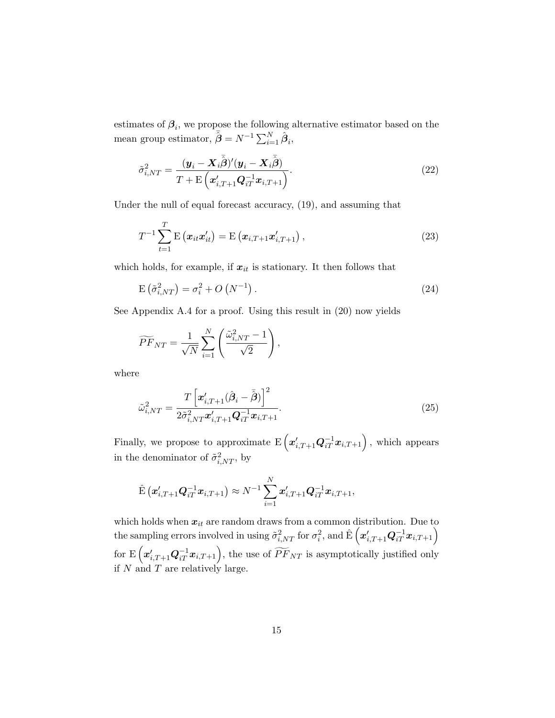estimates of  $\beta_i$ , we propose the following alternative estimator based on the mean group estimator,  $\hat{\vec{\beta}} = N^{-1} \sum_{i=1}^{N} \hat{\vec{\beta}}_i$ ,

$$
\tilde{\sigma}_{i,NT}^2 = \frac{(\boldsymbol{y}_i - \boldsymbol{X}_i \bar{\hat{\boldsymbol{\beta}}})' (\boldsymbol{y}_i - \boldsymbol{X}_i \bar{\hat{\boldsymbol{\beta}}})}{T + \mathrm{E} \left( \boldsymbol{x}_{i,T+1}' \boldsymbol{Q}_{iT}^{-1} \boldsymbol{x}_{i,T+1} \right)}.
$$
\n(22)

Under the null of equal forecast accuracy, (19), and assuming that

$$
T^{-1} \sum_{t=1}^{T} \mathbf{E} \left( \boldsymbol{x}_{it} \boldsymbol{x}'_{it} \right) = \mathbf{E} \left( \boldsymbol{x}_{i,T+1} \boldsymbol{x}'_{i,T+1} \right), \qquad (23)
$$

which holds, for example, if  $x_{it}$  is stationary. It then follows that

$$
E\left(\tilde{\sigma}_{i,NT}^2\right) = \sigma_i^2 + O\left(N^{-1}\right). \tag{24}
$$

See Appendix A.4 for a proof. Using this result in (20) now yields

$$
\widetilde{PF}_{NT} = \frac{1}{\sqrt{N}} \sum_{i=1}^{N} \left( \frac{\widetilde{\omega}_{i,NT}^2 - 1}{\sqrt{2}} \right),
$$

where

$$
\tilde{\omega}_{i,NT}^2 = \frac{T\left[\boldsymbol{x}_{i,T+1}'(\hat{\boldsymbol{\beta}}_i - \bar{\hat{\boldsymbol{\beta}}})\right]^2}{2\tilde{\sigma}_{i,NT}^2 \boldsymbol{x}_{i,T+1}' \boldsymbol{Q}_{iT}^{-1} \boldsymbol{x}_{i,T+1}}.
$$
\n(25)

Finally, we propose to approximate  $\mathrm{E}\left(\boldsymbol{x}_{i,T+1}^{\prime} \boldsymbol{Q}_{iT}^{-1} \boldsymbol{x}_{i,T+1}\right)$  , which appears in the denominator of  $\tilde{\sigma}_{i,NT}^2$ , by

$$
\hat{\mathrm{E}}\left(\bm{x}_{i,T+1}'\bm{Q}_{iT}^{-1}\bm{x}_{i,T+1}\right) \approx N^{-1}\sum_{i=1}^N \bm{x}_{i,T+1}'\bm{Q}_{iT}^{-1}\bm{x}_{i,T+1},
$$

which holds when  $x_{it}$  are random draws from a common distribution. Due to the sampling errors involved in using  $\tilde{\sigma}^2_{i,NT}$  for  $\sigma^2_i$ , and  $\hat{\mathrm{E}}\left(\boldsymbol{x}^\prime_{i,T+1}\boldsymbol{Q}^{-1}_{iT}\boldsymbol{x}_{i,T+1}\right)$ for  $\mathrm{E}\left(\boldsymbol{x}'_{i,T+1}\boldsymbol{Q}_{iT}^{-1}\boldsymbol{x}_{i,T+1}\right)$ , the use of  $\widetilde{PF}_{NT}$  is asymptotically justified only if  $N$  and  $T$  are relatively large.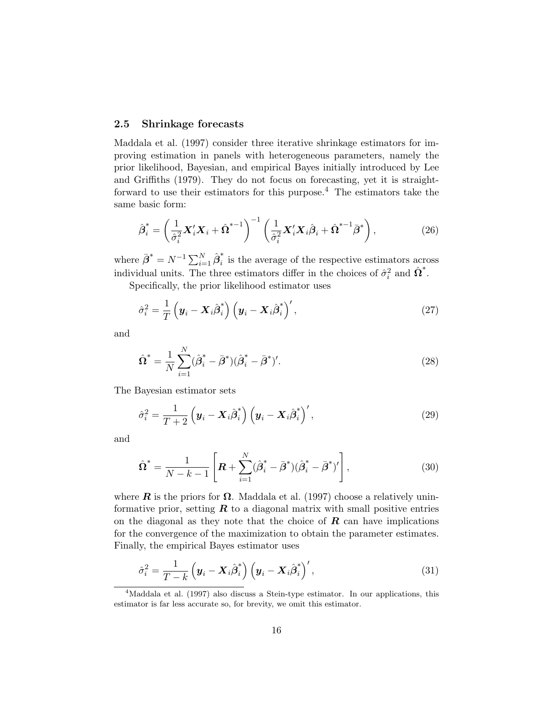#### 2.5 Shrinkage forecasts

Maddala et al. (1997) consider three iterative shrinkage estimators for improving estimation in panels with heterogeneous parameters, namely the prior likelihood, Bayesian, and empirical Bayes initially introduced by Lee and Griffiths (1979). They do not focus on forecasting, yet it is straightforward to use their estimators for this purpose.<sup>4</sup> The estimators take the same basic form:

$$
\hat{\boldsymbol{\beta}}_i^* = \left(\frac{1}{\hat{\sigma}_i^2} \boldsymbol{X}_i' \boldsymbol{X}_i + \hat{\boldsymbol{\Omega}}^{*-1}\right)^{-1} \left(\frac{1}{\hat{\sigma}_i^2} \boldsymbol{X}_i' \boldsymbol{X}_i \hat{\boldsymbol{\beta}}_i + \hat{\boldsymbol{\Omega}}^{*-1} \bar{\boldsymbol{\beta}}^*\right),\tag{26}
$$

where  $\bar{\boldsymbol{\beta}}^* = N^{-1} \sum_{i=1}^N \hat{\boldsymbol{\beta}}_i^*$  $i$  is the average of the respective estimators across individual units. The three estimators differ in the choices of  $\hat{\sigma}_i^2$  and  $\hat{\Omega}^*$ .

Specifically, the prior likelihood estimator uses

$$
\hat{\sigma}_i^2 = \frac{1}{T} \left( \boldsymbol{y}_i - \boldsymbol{X}_i \hat{\boldsymbol{\beta}}_i^* \right) \left( \boldsymbol{y}_i - \boldsymbol{X}_i \hat{\boldsymbol{\beta}}_i^* \right)',\tag{27}
$$

and

$$
\hat{\Omega}^* = \frac{1}{N} \sum_{i=1}^N (\hat{\beta}_i^* - \bar{\beta}^*)(\hat{\beta}_i^* - \bar{\beta}^*)'.\tag{28}
$$

The Bayesian estimator sets

$$
\hat{\sigma}_i^2 = \frac{1}{T+2} \left( \boldsymbol{y}_i - \boldsymbol{X}_i \hat{\boldsymbol{\beta}}_i^* \right) \left( \boldsymbol{y}_i - \boldsymbol{X}_i \hat{\boldsymbol{\beta}}_i^* \right)',\tag{29}
$$

and

$$
\hat{\Omega}^* = \frac{1}{N - k - 1} \left[ \boldsymbol{R} + \sum_{i=1}^N (\hat{\beta}_i^* - \bar{\beta}^*) (\hat{\beta}_i^* - \bar{\beta}^*)' \right],\tag{30}
$$

where **R** is the priors for  $\Omega$ . Maddala et al. (1997) choose a relatively uninformative prior, setting  $\boldsymbol{R}$  to a diagonal matrix with small positive entries on the diagonal as they note that the choice of  $\bm{R}$  can have implications for the convergence of the maximization to obtain the parameter estimates. Finally, the empirical Bayes estimator uses

$$
\hat{\sigma}_i^2 = \frac{1}{T - k} \left( \boldsymbol{y}_i - \boldsymbol{X}_i \hat{\boldsymbol{\beta}}_i^* \right) \left( \boldsymbol{y}_i - \boldsymbol{X}_i \hat{\boldsymbol{\beta}}_i^* \right)', \tag{31}
$$

<sup>&</sup>lt;sup>4</sup>Maddala et al. (1997) also discuss a Stein-type estimator. In our applications, this estimator is far less accurate so, for brevity, we omit this estimator.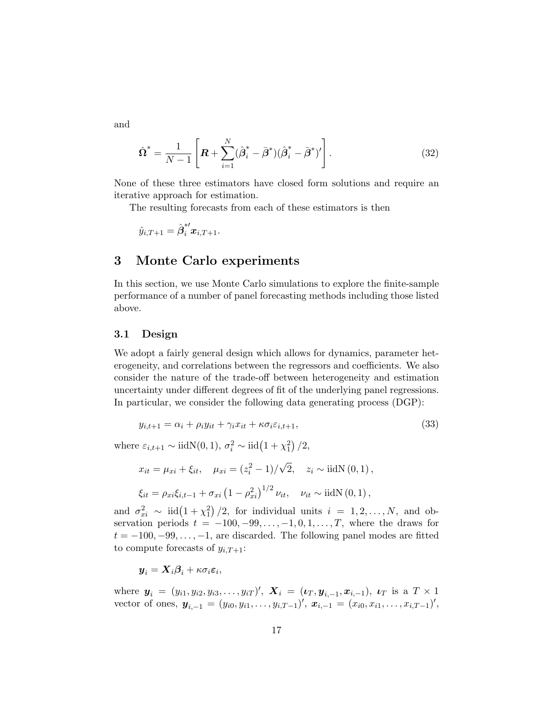and

$$
\hat{\Omega}^* = \frac{1}{N-1} \left[ \boldsymbol{R} + \sum_{i=1}^N (\hat{\beta}_i^* - \bar{\beta}^*) (\hat{\beta}_i^* - \bar{\beta}^*)' \right]. \tag{32}
$$

None of these three estimators have closed form solutions and require an iterative approach for estimation.

The resulting forecasts from each of these estimators is then

$$
\hat{y}_{i,T+1} = \hat{\pmb{\beta}}_i^{*\prime} \pmb{x}_{i,T+1}.
$$

### 3 Monte Carlo experiments

In this section, we use Monte Carlo simulations to explore the finite-sample performance of a number of panel forecasting methods including those listed above.

#### 3.1 Design

We adopt a fairly general design which allows for dynamics, parameter heterogeneity, and correlations between the regressors and coefficients. We also consider the nature of the trade-off between heterogeneity and estimation uncertainty under different degrees of fit of the underlying panel regressions. In particular, we consider the following data generating process (DGP):

$$
y_{i,t+1} = \alpha_i + \rho_i y_{it} + \gamma_i x_{it} + \kappa \sigma_i \varepsilon_{i,t+1},\tag{33}
$$

where  $\varepsilon_{i,t+1} \sim \text{iidN}(0, 1), \sigma_i^2 \sim \text{iid}\left(1 + \chi_1^2\right)/2,$ 

$$
x_{it} = \mu_{xi} + \xi_{it}, \quad \mu_{xi} = (z_i^2 - 1) / \sqrt{2}, \quad z_i \sim \text{iidN}(0, 1),
$$
  

$$
\xi_{it} = \rho_{xi}\xi_{i,t-1} + \sigma_{xi}(1 - \rho_{xi}^2)^{1/2} \nu_{it}, \quad \nu_{it} \sim \text{iidN}(0, 1),
$$

and  $\sigma_{xi}^2 \sim \text{iid}\left(1+\chi_1^2\right)/2$ , for individual units  $i = 1, 2, ..., N$ , and observation periods  $t = -100, -99, \ldots, -1, 0, 1, \ldots, T$ , where the draws for  $t = -100, -99, \ldots, -1$ , are discarded. The following panel modes are fitted to compute forecasts of  $y_{i,T+1}$ :

 $\boldsymbol{y}_i = \boldsymbol{X}_i \boldsymbol{\beta}_i + \kappa \sigma_i \boldsymbol{\varepsilon}_i,$ 

where  $y_i = (y_{i1}, y_{i2}, y_{i3}, \dots, y_{iT})'$ ,  $\mathbf{X}_i = (\boldsymbol{\iota}_T, \boldsymbol{y}_{i,-1}, \boldsymbol{x}_{i,-1})$ ,  $\boldsymbol{\iota}_T$  is a  $T \times 1$ vector of ones,  $y_{i,-1} = (y_{i0}, y_{i1}, \ldots, y_{i,T-1})'$ ,  $x_{i,-1} = (x_{i0}, x_{i1}, \ldots, x_{i,T-1})'$ ,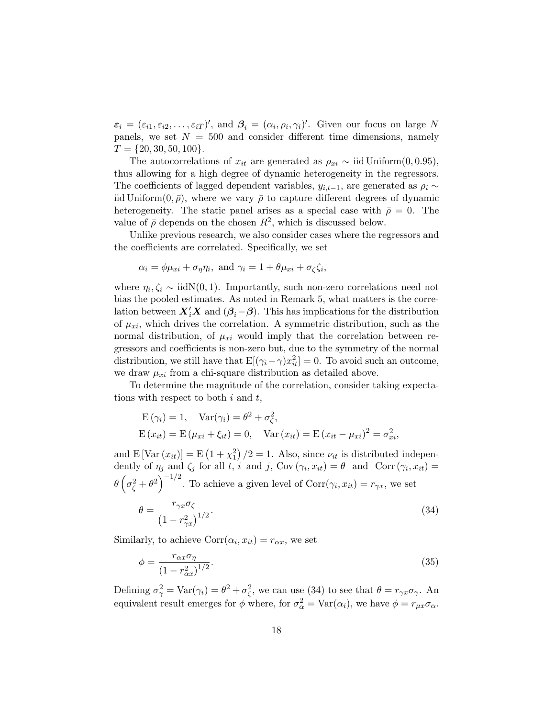$\varepsilon_i = (\varepsilon_{i1}, \varepsilon_{i2}, \dots, \varepsilon_{iT})'$ , and  $\beta_i = (\alpha_i, \rho_i, \gamma_i)'$ . Given our focus on large N panels, we set  $N = 500$  and consider different time dimensions, namely  $T = \{20, 30, 50, 100\}.$ 

The autocorrelations of  $x_{it}$  are generated as  $\rho_{xi} \sim$  iid Uniform(0, 0.95), thus allowing for a high degree of dynamic heterogeneity in the regressors. The coefficients of lagged dependent variables,  $y_{i,t-1}$ , are generated as  $\rho_i \sim$ iid Uniform $(0, \bar{\rho})$ , where we vary  $\bar{\rho}$  to capture different degrees of dynamic heterogeneity. The static panel arises as a special case with  $\bar{\rho} = 0$ . The value of  $\bar{\rho}$  depends on the chosen  $R^2$ , which is discussed below.

Unlike previous research, we also consider cases where the regressors and the coefficients are correlated. Specifically, we set

$$
\alpha_i = \phi \mu_{xi} + \sigma_{\eta} \eta_i
$$
, and  $\gamma_i = 1 + \theta \mu_{xi} + \sigma_{\zeta} \zeta_i$ ,

where  $\eta_i, \zeta_i \sim \text{iidN}(0, 1)$ . Importantly, such non-zero correlations need not bias the pooled estimates. As noted in Remark 5, what matters is the correlation between  $X_i'X$  and  $(\beta_i-\beta)$ . This has implications for the distribution of  $\mu_{xi}$ , which drives the correlation. A symmetric distribution, such as the normal distribution, of  $\mu_{xi}$  would imply that the correlation between regressors and coefficients is non-zero but, due to the symmetry of the normal distribution, we still have that  $E[(\gamma_i - \gamma)x_{it}^2] = 0$ . To avoid such an outcome, we draw  $\mu_{xi}$  from a chi-square distribution as detailed above.

To determine the magnitude of the correlation, consider taking expectations with respect to both  $i$  and  $t$ ,

$$
E(\gamma_i) = 1, \quad Var(\gamma_i) = \theta^2 + \sigma_{\zeta}^2,
$$
  
\n
$$
E(x_{it}) = E(\mu_{xi} + \xi_{it}) = 0, \quad Var(x_{it}) = E(x_{it} - \mu_{xi})^2 = \sigma_{xi}^2,
$$

and  $E[Var(x_{it})] = E(1 + x_1^2)/2 = 1$ . Also, since  $\nu_{it}$  is distributed independently of  $\eta_j$  and  $\zeta_j$  for all t, i and j, Cov  $(\gamma_i, x_{it}) = \theta$  and Corr  $(\gamma_i, x_{it}) =$  $\theta\left(\sigma_{\zeta}^2+\theta^2\right)^{-1/2}$ . To achieve a given level of  $Corr(\gamma_i, x_{it}) = r_{\gamma x}$ , we set

$$
\theta = \frac{r_{\gamma x} \sigma_{\zeta}}{\left(1 - r_{\gamma x}^2\right)^{1/2}}.\tag{34}
$$

Similarly, to achieve  $Corr(\alpha_i, x_{it}) = r_{\alpha x}$ , we set

$$
\phi = \frac{r_{\alpha x} \sigma_{\eta}}{\left(1 - r_{\alpha x}^2\right)^{1/2}}.\tag{35}
$$

Defining  $\sigma_{\gamma}^2 = \text{Var}(\gamma_i) = \theta^2 + \sigma_{\zeta}^2$ , we can use (34) to see that  $\theta = r_{\gamma x} \sigma_{\gamma}$ . An equivalent result emerges for  $\phi$  where, for  $\sigma_{\alpha}^2 = \text{Var}(\alpha_i)$ , we have  $\phi = r_{\mu x} \sigma_{\alpha}$ .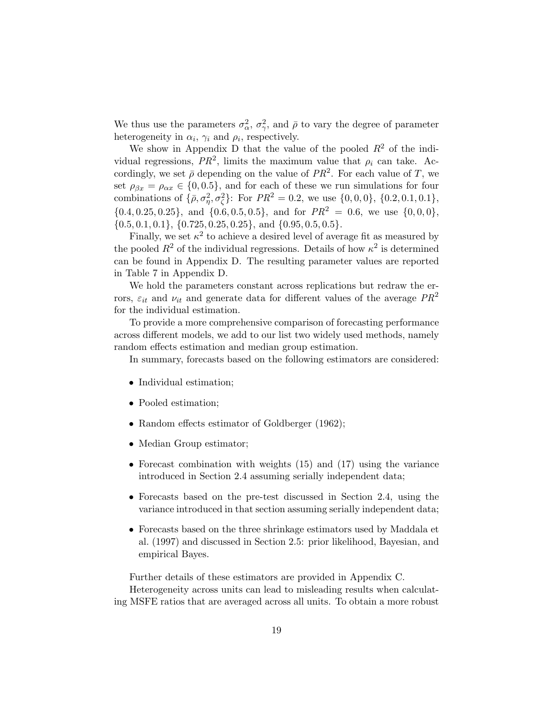We thus use the parameters  $\sigma_{\alpha}^2$ ,  $\sigma_{\gamma}^2$ , and  $\bar{\rho}$  to vary the degree of parameter heterogeneity in  $\alpha_i$ ,  $\gamma_i$  and  $\rho_i$ , respectively.

We show in Appendix D that the value of the pooled  $R^2$  of the individual regressions,  $PR^2$ , limits the maximum value that  $\rho_i$  can take. Accordingly, we set  $\bar{\rho}$  depending on the value of  $PR^2$ . For each value of T, we set  $\rho_{\beta x} = \rho_{\alpha x} \in \{0, 0.5\}$ , and for each of these we run simulations for four combinations of  $\{\bar{\rho}, \sigma_{\eta}^2, \sigma_{\zeta}^2\}$ : For  $PR^2 = 0.2$ , we use  $\{0, 0, 0\}$ ,  $\{0.2, 0.1, 0.1\}$ ,  $\{0.4, 0.25, 0.25\}$ , and  $\{0.6, 0.5, 0.5\}$ , and for  $PR^2 = 0.6$ , we use  $\{0, 0, 0\}$ ,  $\{0.5, 0.1, 0.1\}, \{0.725, 0.25, 0.25\}, \text{ and } \{0.95, 0.5, 0.5\}.$ 

Finally, we set  $\kappa^2$  to achieve a desired level of average fit as measured by the pooled  $R^2$  of the individual regressions. Details of how  $\kappa^2$  is determined can be found in Appendix D. The resulting parameter values are reported in Table 7 in Appendix D.

We hold the parameters constant across replications but redraw the errors,  $\varepsilon_{it}$  and  $\nu_{it}$  and generate data for different values of the average  $PR^2$ for the individual estimation.

To provide a more comprehensive comparison of forecasting performance across different models, we add to our list two widely used methods, namely random effects estimation and median group estimation.

In summary, forecasts based on the following estimators are considered:

- Individual estimation;
- Pooled estimation;
- Random effects estimator of Goldberger (1962);
- Median Group estimator;
- Forecast combination with weights (15) and (17) using the variance introduced in Section 2.4 assuming serially independent data;
- Forecasts based on the pre-test discussed in Section 2.4, using the variance introduced in that section assuming serially independent data;
- Forecasts based on the three shrinkage estimators used by Maddala et al. (1997) and discussed in Section 2.5: prior likelihood, Bayesian, and empirical Bayes.

Further details of these estimators are provided in Appendix C. Heterogeneity across units can lead to misleading results when calculating MSFE ratios that are averaged across all units. To obtain a more robust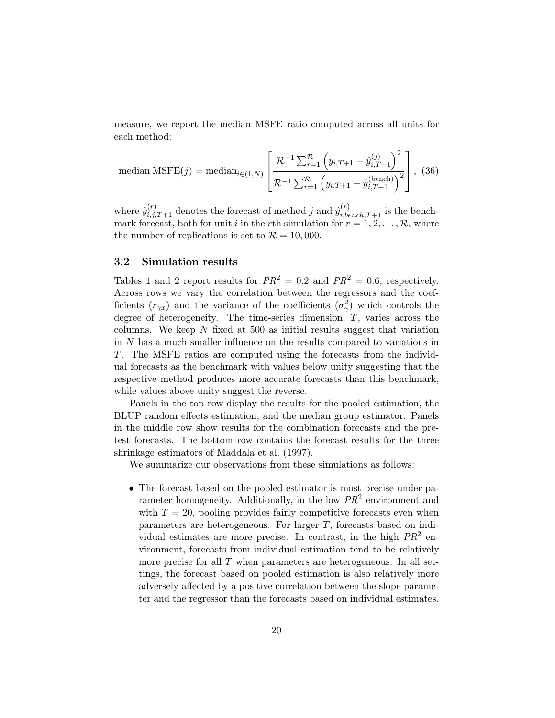measure, we report the median MSFE ratio computed across all units for each method:

median MSFE(*j*) = median<sub>*i* \in (1,N)</sub> 
$$
\left[ \frac{\mathcal{R}^{-1} \sum_{r=1}^{\mathcal{R}} \left( y_{i,T+1} - \hat{y}_{i,T+1}^{(j)} \right)^2}{\mathcal{R}^{-1} \sum_{r=1}^{\mathcal{R}} \left( y_{i,T+1} - \hat{y}_{i,T+1}^{(\text{bench})} \right)^2} \right], (36)
$$

where  $\hat{y}_{i,j,T+1}^{(r)}$  denotes the forecast of method j and  $\hat{y}_{i,bench,T+1}^{(r)}$  is the benchmark forecast, both for unit i in the rth simulation for  $r = 1, 2, \ldots, \mathcal{R}$ , where the number of replications is set to  $\mathcal{R} = 10,000$ .

#### 3.2 Simulation results

Tables 1 and 2 report results for  $PR^2 = 0.2$  and  $PR^2 = 0.6$ , respectively. Across rows we vary the correlation between the regressors and the coefficients  $(r_{\gamma x})$  and the variance of the coefficients  $(\sigma_{\gamma}^2)$  which controls the degree of heterogeneity. The time-series dimension,  $T$ , varies across the columns. We keep  $N$  fixed at 500 as initial results suggest that variation in N has a much smaller influence on the results compared to variations in T. The MSFE ratios are computed using the forecasts from the individual forecasts as the benchmark with values below unity suggesting that the respective method produces more accurate forecasts than this benchmark, while values above unity suggest the reverse.

Panels in the top row display the results for the pooled estimation, the BLUP random effects estimation, and the median group estimator. Panels in the middle row show results for the combination forecasts and the pretest forecasts. The bottom row contains the forecast results for the three shrinkage estimators of Maddala et al. (1997).

We summarize our observations from these simulations as follows:

• The forecast based on the pooled estimator is most precise under parameter homogeneity. Additionally, in the low  $PR^2$  environment and with  $T = 20$ , pooling provides fairly competitive forecasts even when parameters are heterogeneous. For larger T, forecasts based on individual estimates are more precise. In contrast, in the high  $PR<sup>2</sup>$  environment, forecasts from individual estimation tend to be relatively more precise for all  $T$  when parameters are heterogeneous. In all settings, the forecast based on pooled estimation is also relatively more adversely affected by a positive correlation between the slope parameter and the regressor than the forecasts based on individual estimates.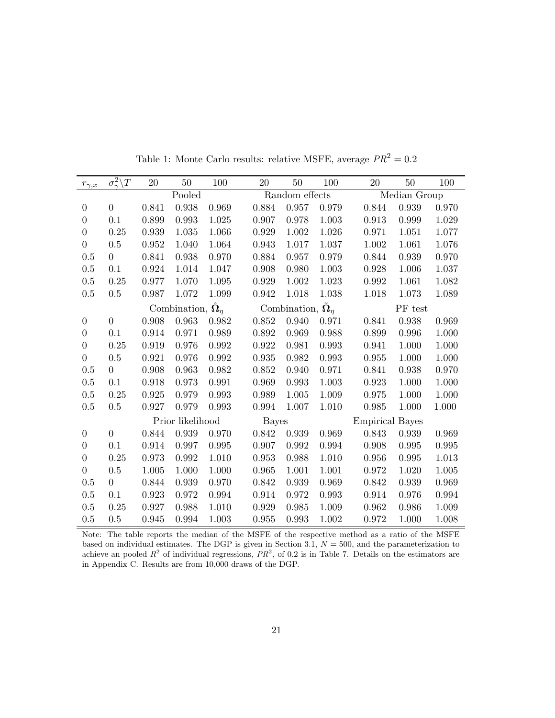| $r_{\gamma,x}$   | $\sigma_{\gamma}^2 \backslash T$ | 20          | 50                                 | 100   | 20           | 50                                            | 100       | 20                     | 50           | 100   |
|------------------|----------------------------------|-------------|------------------------------------|-------|--------------|-----------------------------------------------|-----------|------------------------|--------------|-------|
|                  |                                  |             | Pooled                             |       |              | Random effects                                |           |                        | Median Group |       |
| $\boldsymbol{0}$ | $\boldsymbol{0}$                 | 0.841       | 0.938                              | 0.969 | 0.884        | 0.957                                         | 0.979     | 0.844                  | 0.939        | 0.970 |
| $\overline{0}$   | 0.1                              | 0.899       | 0.993                              | 1.025 | 0.907        | 0.978                                         | 1.003     | 0.913                  | 0.999        | 1.029 |
| $\boldsymbol{0}$ | $0.25\,$                         | 0.939       | 1.035                              | 1.066 | 0.929        | 1.002                                         | $1.026\,$ | 0.971                  | 1.051        | 1.077 |
| $\overline{0}$   | 0.5                              | 0.952       | 1.040                              | 1.064 | 0.943        | 1.017                                         | 1.037     | 1.002                  | 1.061        | 1.076 |
| 0.5              | $\overline{0}$                   | 0.841       | 0.938                              | 0.970 | 0.884        | 0.957                                         | 0.979     | 0.844                  | 0.939        | 0.970 |
| $0.5\,$          | 0.1                              | 0.924       | 1.014                              | 1.047 | 0.908        | 0.980                                         | $1.003\,$ | $0.928\,$              | 1.006        | 1.037 |
| 0.5              | 0.25                             | 0.977       | $1.070\,$                          | 1.095 | 0.929        | 1.002                                         | $1.023\,$ | 0.992                  | 1.061        | 1.082 |
| 0.5              | 0.5                              | 0.987       | 1.072                              | 1.099 | $\,0.942\,$  | 1.018                                         | 1.038     | 1.018                  | 1.073        | 1.089 |
|                  |                                  |             | Combination, $\hat{\Omega}_{\eta}$ |       |              | Combination, $\tilde{\mathbf{\Omega}}_{\eta}$ |           |                        | PF test      |       |
| $\boldsymbol{0}$ | $\boldsymbol{0}$                 | 0.908       | 0.963                              | 0.982 | 0.852        | 0.940                                         | 0.971     | 0.841                  | 0.938        | 0.969 |
| $\boldsymbol{0}$ | 0.1                              | $\,0.914\,$ | 0.971                              | 0.989 | $0.892\,$    | 0.969                                         | 0.988     | 0.899                  | 0.996        | 1.000 |
| $\overline{0}$   | 0.25                             | 0.919       | 0.976                              | 0.992 | 0.922        | 0.981                                         | 0.993     | 0.941                  | 1.000        | 1.000 |
| $\boldsymbol{0}$ | 0.5                              | 0.921       | 0.976                              | 0.992 | 0.935        | 0.982                                         | 0.993     | 0.955                  | 1.000        | 1.000 |
| 0.5              | $\overline{0}$                   | 0.908       | 0.963                              | 0.982 | 0.852        | 0.940                                         | 0.971     | 0.841                  | 0.938        | 0.970 |
| $0.5\,$          | 0.1                              | 0.918       | 0.973                              | 0.991 | 0.969        | 0.993                                         | $1.003\,$ | 0.923                  | 1.000        | 1.000 |
| 0.5              | 0.25                             | 0.925       | 0.979                              | 0.993 | 0.989        | 1.005                                         | 1.009     | 0.975                  | 1.000        | 1.000 |
| 0.5              | 0.5                              | 0.927       | 0.979                              | 0.993 | 0.994        | 1.007                                         | 1.010     | 0.985                  | 1.000        | 1.000 |
|                  |                                  |             | Prior likelihood                   |       | <b>Bayes</b> |                                               |           | <b>Empirical Bayes</b> |              |       |
| $\boldsymbol{0}$ | $\boldsymbol{0}$                 | 0.844       | 0.939                              | 0.970 | 0.842        | 0.939                                         | 0.969     | 0.843                  | $\,0.939\,$  | 0.969 |
| $\boldsymbol{0}$ | 0.1                              | 0.914       | 0.997                              | 0.995 | 0.907        | 0.992                                         | 0.994     | 0.908                  | 0.995        | 0.995 |
| $\overline{0}$   | 0.25                             | 0.973       | 0.992                              | 1.010 | 0.953        | 0.988                                         | 1.010     | 0.956                  | 0.995        | 1.013 |
| $\boldsymbol{0}$ | 0.5                              | 1.005       | 1.000                              | 1.000 | 0.965        | 1.001                                         | 1.001     | 0.972                  | 1.020        | 1.005 |
| 0.5              | $\overline{0}$                   | 0.844       | 0.939                              | 0.970 | 0.842        | 0.939                                         | 0.969     | 0.842                  | 0.939        | 0.969 |
| 0.5              | 0.1                              | 0.923       | 0.972                              | 0.994 | 0.914        | 0.972                                         | 0.993     | 0.914                  | 0.976        | 0.994 |
| 0.5              | 0.25                             | 0.927       | 0.988                              | 1.010 | 0.929        | 0.985                                         | 1.009     | 0.962                  | 0.986        | 1.009 |
| 0.5              | 0.5                              | 0.945       | 0.994                              | 1.003 | 0.955        | 0.993                                         | 1.002     | 0.972                  | 1.000        | 1.008 |

Table 1: Monte Carlo results: relative MSFE, average  ${\cal PR}^2=0.2$ 

Note: The table reports the median of the MSFE of the respective method as a ratio of the MSFE based on individual estimates. The DGP is given in Section 3.1,  $N = 500$ , and the parameterization to achieve an pooled  $R^2$  of individual regressions,  $PR^2$ , of 0.2 is in Table 7. Details on the estimators are in Appendix C. Results are from 10,000 draws of the DGP.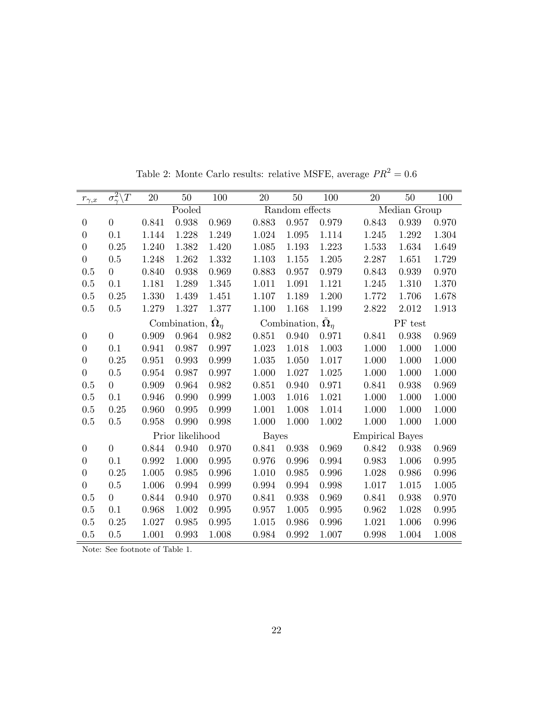| $r_{\underline{\gamma, x}}$ | $\overline{\sigma_{\gamma}^2 \backslash T}$ | 20    | $50\,$                        | 100         | 20           | 50                                       | 100         | 20                     | 50           | 100   |
|-----------------------------|---------------------------------------------|-------|-------------------------------|-------------|--------------|------------------------------------------|-------------|------------------------|--------------|-------|
|                             |                                             |       | Pooled                        |             |              | Random effects                           |             |                        | Median Group |       |
| $\overline{0}$              | $\overline{0}$                              | 0.841 | 0.938                         | 0.969       | 0.883        | 0.957                                    | 0.979       | 0.843                  | 0.939        | 0.970 |
| $\overline{0}$              | 0.1                                         | 1.144 | 1.228                         | 1.249       | 1.024        | 1.095                                    | 1.114       | 1.245                  | 1.292        | 1.304 |
| $\boldsymbol{0}$            | 0.25                                        | 1.240 | 1.382                         | 1.420       | 1.085        | 1.193                                    | 1.223       | 1.533                  | 1.634        | 1.649 |
| $\theta$                    | 0.5                                         | 1.248 | 1.262                         | 1.332       | 1.103        | 1.155                                    | 1.205       | 2.287                  | 1.651        | 1.729 |
| 0.5                         | $\overline{0}$                              | 0.840 | 0.938                         | 0.969       | 0.883        | 0.957                                    | 0.979       | 0.843                  | 0.939        | 0.970 |
| 0.5                         | 0.1                                         | 1.181 | 1.289                         | 1.345       | 1.011        | 1.091                                    | 1.121       | 1.245                  | 1.310        | 1.370 |
| 0.5                         | $0.25\,$                                    | 1.330 | 1.439                         | 1.451       | 1.107        | 1.189                                    | 1.200       | 1.772                  | 1.706        | 1.678 |
| 0.5                         | 0.5                                         | 1.279 | 1.327                         | 1.377       | 1.100        | 1.168                                    | 1.199       | 2.822                  | 2.012        | 1.913 |
|                             |                                             |       | Combination, $\hat{\Omega}_n$ |             |              | Combination, $\tilde{\mathbf{\Omega}}_n$ |             |                        | PF test      |       |
| $\boldsymbol{0}$            | $\overline{0}$                              | 0.909 | 0.964                         | 0.982       | 0.851        | 0.940                                    | 0.971       | 0.841                  | 0.938        | 0.969 |
| $\overline{0}$              | 0.1                                         | 0.941 | 0.987                         | 0.997       | 1.023        | 1.018                                    | 1.003       | 1.000                  | 1.000        | 1.000 |
| $\boldsymbol{0}$            | 0.25                                        | 0.951 | 0.993                         | 0.999       | 1.035        | 1.050                                    | 1.017       | 1.000                  | 1.000        | 1.000 |
| $\theta$                    | 0.5                                         | 0.954 | 0.987                         | 0.997       | 1.000        | 1.027                                    | 1.025       | 1.000                  | 1.000        | 1.000 |
| 0.5                         | $\overline{0}$                              | 0.909 | 0.964                         | $\,0.982\,$ | 0.851        | 0.940                                    | 0.971       | 0.841                  | 0.938        | 0.969 |
| 0.5                         | 0.1                                         | 0.946 | 0.990                         | 0.999       | 1.003        | 1.016                                    | 1.021       | 1.000                  | 1.000        | 1.000 |
| 0.5                         | 0.25                                        | 0.960 | 0.995                         | 0.999       | 1.001        | 1.008                                    | 1.014       | 1.000                  | 1.000        | 1.000 |
| 0.5                         | 0.5                                         | 0.958 | 0.990                         | 0.998       | 1.000        | 1.000                                    | 1.002       | 1.000                  | 1.000        | 1.000 |
|                             |                                             |       | Prior likelihood              |             | <b>Bayes</b> |                                          |             | <b>Empirical Bayes</b> |              |       |
| $\boldsymbol{0}$            | $\overline{0}$                              | 0.844 | 0.940                         | 0.970       | 0.841        | 0.938                                    | 0.969       | 0.842                  | 0.938        | 0.969 |
| $\boldsymbol{0}$            | 0.1                                         | 0.992 | 1.000                         | 0.995       | 0.976        | 0.996                                    | $\,0.994\,$ | 0.983                  | 1.006        | 0.995 |
| $\theta$                    | 0.25                                        | 1.005 | 0.985                         | 0.996       | 1.010        | 0.985                                    | 0.996       | 1.028                  | 0.986        | 0.996 |
| $\boldsymbol{0}$            | 0.5                                         | 1.006 | 0.994                         | 0.999       | 0.994        | 0.994                                    | 0.998       | 1.017                  | 1.015        | 1.005 |
| 0.5                         | $\overline{0}$                              | 0.844 | 0.940                         | 0.970       | 0.841        | 0.938                                    | 0.969       | 0.841                  | 0.938        | 0.970 |
| 0.5                         | 0.1                                         | 0.968 | 1.002                         | 0.995       | 0.957        | 1.005                                    | 0.995       | 0.962                  | 1.028        | 0.995 |
| 0.5                         | 0.25                                        | 1.027 | 0.985                         | 0.995       | 1.015        | 0.986                                    | 0.996       | 1.021                  | 1.006        | 0.996 |
| 0.5                         | 0.5                                         | 1.001 | 0.993                         | 1.008       | 0.984        | 0.992                                    | 1.007       | 0.998                  | 1.004        | 1.008 |

Table 2: Monte Carlo results: relative MSFE, average  ${\cal PR}^2=0.6$ 

Note: See footnote of Table 1.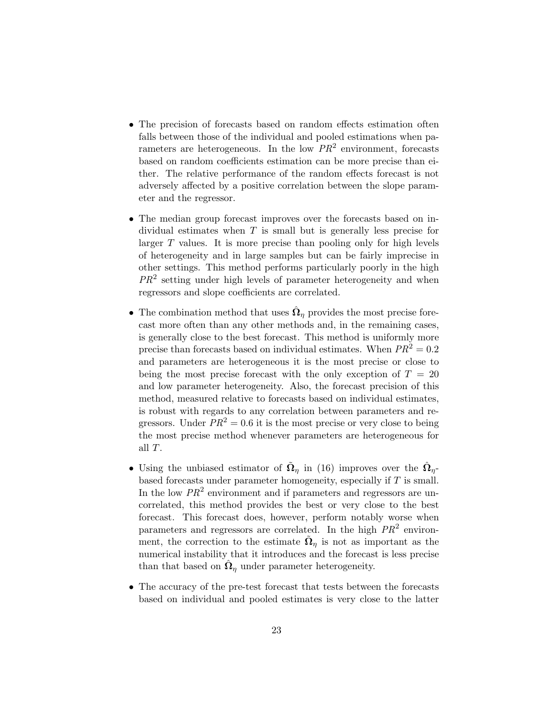- The precision of forecasts based on random effects estimation often falls between those of the individual and pooled estimations when parameters are heterogeneous. In the low  $PR^2$  environment, forecasts based on random coefficients estimation can be more precise than either. The relative performance of the random effects forecast is not adversely affected by a positive correlation between the slope parameter and the regressor.
- The median group forecast improves over the forecasts based on individual estimates when  $T$  is small but is generally less precise for larger T values. It is more precise than pooling only for high levels of heterogeneity and in large samples but can be fairly imprecise in other settings. This method performs particularly poorly in the high  $PR<sup>2</sup>$  setting under high levels of parameter heterogeneity and when regressors and slope coefficients are correlated.
- The combination method that uses  $\hat{\Omega}_{\eta}$  provides the most precise forecast more often than any other methods and, in the remaining cases, is generally close to the best forecast. This method is uniformly more precise than forecasts based on individual estimates. When  $PR^2 = 0.2$ and parameters are heterogeneous it is the most precise or close to being the most precise forecast with the only exception of  $T = 20$ and low parameter heterogeneity. Also, the forecast precision of this method, measured relative to forecasts based on individual estimates, is robust with regards to any correlation between parameters and regressors. Under  $PR^2 = 0.6$  it is the most precise or very close to being the most precise method whenever parameters are heterogeneous for all T.
- Using the unbiased estimator of  $\tilde{\Omega}_{\eta}$  in (16) improves over the  $\hat{\Omega}_{\eta}$ based forecasts under parameter homogeneity, especially if  $T$  is small. In the low  $PR^2$  environment and if parameters and regressors are uncorrelated, this method provides the best or very close to the best forecast. This forecast does, however, perform notably worse when parameters and regressors are correlated. In the high  $PR<sup>2</sup>$  environment, the correction to the estimate  $\tilde{\Omega}_{\eta}$  is not as important as the numerical instability that it introduces and the forecast is less precise than that based on  $\hat{\Omega}_{\eta}$  under parameter heterogeneity.
- The accuracy of the pre-test forecast that tests between the forecasts based on individual and pooled estimates is very close to the latter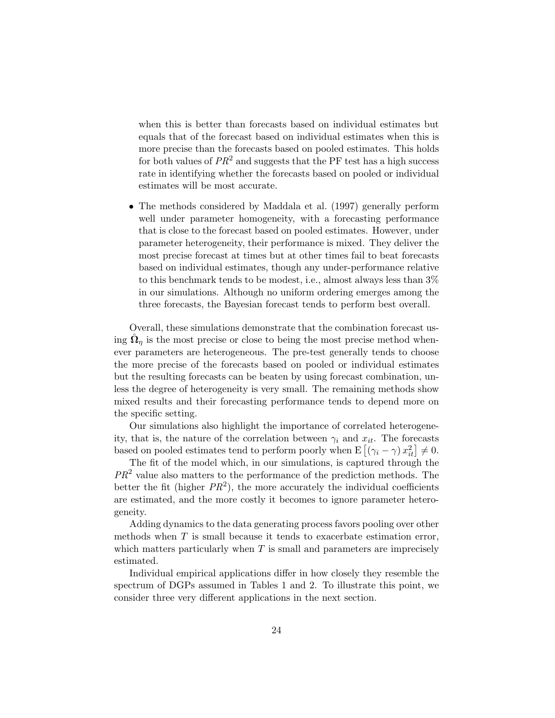when this is better than forecasts based on individual estimates but equals that of the forecast based on individual estimates when this is more precise than the forecasts based on pooled estimates. This holds for both values of  $PR^2$  and suggests that the PF test has a high success rate in identifying whether the forecasts based on pooled or individual estimates will be most accurate.

• The methods considered by Maddala et al. (1997) generally perform well under parameter homogeneity, with a forecasting performance that is close to the forecast based on pooled estimates. However, under parameter heterogeneity, their performance is mixed. They deliver the most precise forecast at times but at other times fail to beat forecasts based on individual estimates, though any under-performance relative to this benchmark tends to be modest, i.e., almost always less than 3% in our simulations. Although no uniform ordering emerges among the three forecasts, the Bayesian forecast tends to perform best overall.

Overall, these simulations demonstrate that the combination forecast using  $\hat{\Omega}_{\eta}$  is the most precise or close to being the most precise method whenever parameters are heterogeneous. The pre-test generally tends to choose the more precise of the forecasts based on pooled or individual estimates but the resulting forecasts can be beaten by using forecast combination, unless the degree of heterogeneity is very small. The remaining methods show mixed results and their forecasting performance tends to depend more on the specific setting.

Our simulations also highlight the importance of correlated heterogeneity, that is, the nature of the correlation between  $\gamma_i$  and  $x_{it}$ . The forecasts based on pooled estimates tend to perform poorly when  $E[(\gamma_i - \gamma) x_{it}^2] \neq 0$ .

The fit of the model which, in our simulations, is captured through the  $PR<sup>2</sup>$  value also matters to the performance of the prediction methods. The better the fit (higher  $PR^2$ ), the more accurately the individual coefficients are estimated, and the more costly it becomes to ignore parameter heterogeneity.

Adding dynamics to the data generating process favors pooling over other methods when  $T$  is small because it tends to exacerbate estimation error, which matters particularly when  $T$  is small and parameters are imprecisely estimated.

Individual empirical applications differ in how closely they resemble the spectrum of DGPs assumed in Tables 1 and 2. To illustrate this point, we consider three very different applications in the next section.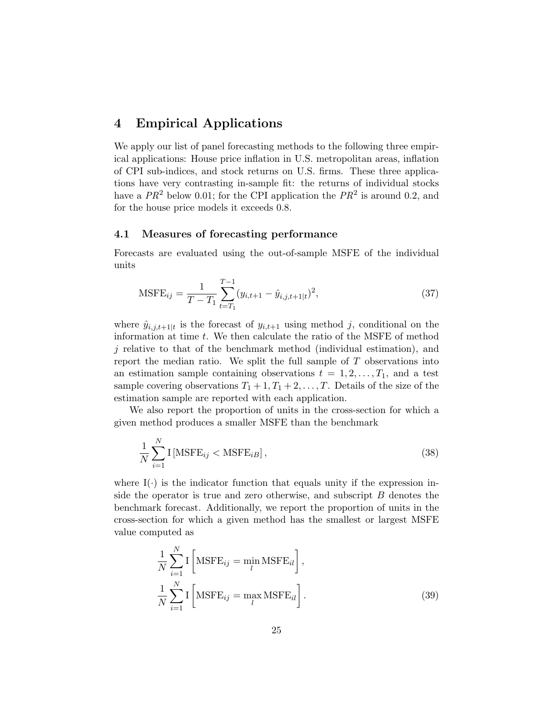## 4 Empirical Applications

We apply our list of panel forecasting methods to the following three empirical applications: House price inflation in U.S. metropolitan areas, inflation of CPI sub-indices, and stock returns on U.S. firms. These three applications have very contrasting in-sample fit: the returns of individual stocks have a  $PR^2$  below 0.01; for the CPI application the  $PR^2$  is around 0.2, and for the house price models it exceeds 0.8.

#### 4.1 Measures of forecasting performance

Forecasts are evaluated using the out-of-sample MSFE of the individual units

$$
\text{MSFE}_{ij} = \frac{1}{T - T_1} \sum_{t = T_1}^{T - 1} (y_{i, t + 1} - \hat{y}_{i, j, t + 1|t})^2,
$$
\n(37)

where  $\hat{y}_{i,j,t+1|t}$  is the forecast of  $y_{i,t+1}$  using method j, conditional on the information at time t. We then calculate the ratio of the MSFE of method j relative to that of the benchmark method (individual estimation), and report the median ratio. We split the full sample of T observations into an estimation sample containing observations  $t = 1, 2, \ldots, T_1$ , and a test sample covering observations  $T_1 + 1, T_1 + 2, \ldots, T$ . Details of the size of the estimation sample are reported with each application.

We also report the proportion of units in the cross-section for which a given method produces a smaller MSFE than the benchmark

$$
\frac{1}{N} \sum_{i=1}^{N} \mathcal{I} \left[ \text{MSFE}_{ij} < \text{MSFE}_{iB} \right],\tag{38}
$$

where  $I(\cdot)$  is the indicator function that equals unity if the expression inside the operator is true and zero otherwise, and subscript B denotes the benchmark forecast. Additionally, we report the proportion of units in the cross-section for which a given method has the smallest or largest MSFE value computed as

$$
\frac{1}{N} \sum_{i=1}^{N} \mathbf{I} \left[ \text{MSFE}_{ij} = \min_{l} \text{MSFE}_{il} \right],
$$
\n
$$
\frac{1}{N} \sum_{i=1}^{N} \mathbf{I} \left[ \text{MSFE}_{ij} = \max_{l} \text{MSFE}_{il} \right].
$$
\n(39)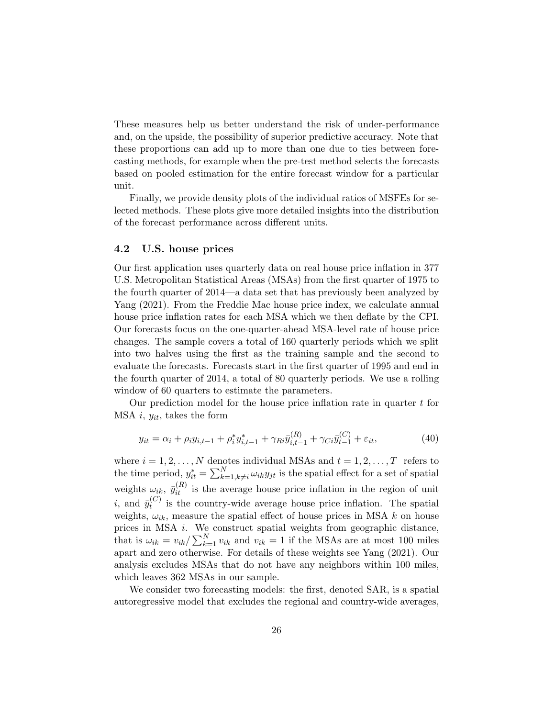These measures help us better understand the risk of under-performance and, on the upside, the possibility of superior predictive accuracy. Note that these proportions can add up to more than one due to ties between forecasting methods, for example when the pre-test method selects the forecasts based on pooled estimation for the entire forecast window for a particular unit.

Finally, we provide density plots of the individual ratios of MSFEs for selected methods. These plots give more detailed insights into the distribution of the forecast performance across different units.

#### 4.2 U.S. house prices

Our first application uses quarterly data on real house price inflation in 377 U.S. Metropolitan Statistical Areas (MSAs) from the first quarter of 1975 to the fourth quarter of 2014—a data set that has previously been analyzed by Yang (2021). From the Freddie Mac house price index, we calculate annual house price inflation rates for each MSA which we then deflate by the CPI. Our forecasts focus on the one-quarter-ahead MSA-level rate of house price changes. The sample covers a total of 160 quarterly periods which we split into two halves using the first as the training sample and the second to evaluate the forecasts. Forecasts start in the first quarter of 1995 and end in the fourth quarter of 2014, a total of 80 quarterly periods. We use a rolling window of 60 quarters to estimate the parameters.

Our prediction model for the house price inflation rate in quarter  $t$  for MSA i,  $y_{it}$ , takes the form

$$
y_{it} = \alpha_i + \rho_i y_{i,t-1} + \rho_i^* y_{i,t-1}^* + \gamma_{Ri} \bar{y}_{i,t-1}^{(R)} + \gamma_{Ci} \bar{y}_{t-1}^{(C)} + \varepsilon_{it}, \qquad (40)
$$

where  $i = 1, 2, ..., N$  denotes individual MSAs and  $t = 1, 2, ..., T$  refers to the time period,  $y_{it}^* = \sum_{k=1, k \neq i}^{N} \omega_{ik} y_{jt}$  is the spatial effect for a set of spatial weights  $\omega_{ik}$ ,  $\bar{y}_{it}^{(R)}$  is the average house price inflation in the region of unit i, and  $\bar{y}_t^{(C)}$  $t_t^{(C)}$  is the country-wide average house price inflation. The spatial weights,  $\omega_{ik}$ , measure the spatial effect of house prices in MSA k on house prices in MSA i. We construct spatial weights from geographic distance, that is  $\omega_{ik} = v_{ik} / \sum_{k=1}^{N} v_{ik}$  and  $v_{ik} = 1$  if the MSAs are at most 100 miles apart and zero otherwise. For details of these weights see Yang (2021). Our analysis excludes MSAs that do not have any neighbors within 100 miles, which leaves 362 MSAs in our sample.

We consider two forecasting models: the first, denoted SAR, is a spatial autoregressive model that excludes the regional and country-wide averages,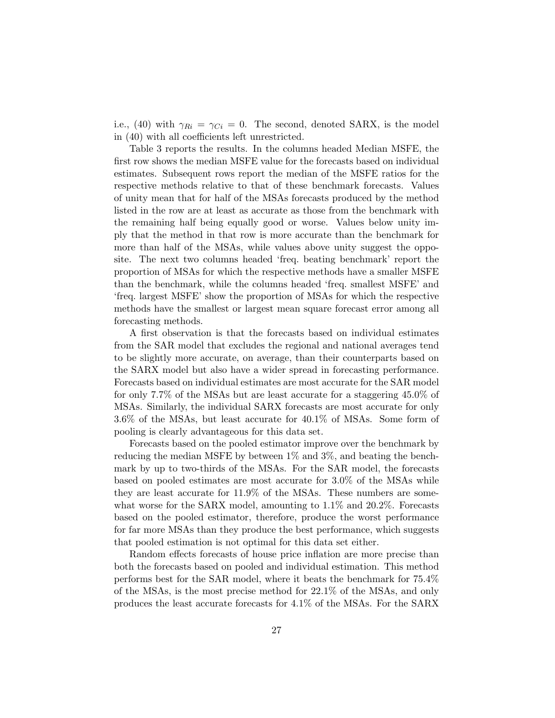i.e., (40) with  $\gamma_{Ri} = \gamma_{Ci} = 0$ . The second, denoted SARX, is the model in (40) with all coefficients left unrestricted.

Table 3 reports the results. In the columns headed Median MSFE, the first row shows the median MSFE value for the forecasts based on individual estimates. Subsequent rows report the median of the MSFE ratios for the respective methods relative to that of these benchmark forecasts. Values of unity mean that for half of the MSAs forecasts produced by the method listed in the row are at least as accurate as those from the benchmark with the remaining half being equally good or worse. Values below unity imply that the method in that row is more accurate than the benchmark for more than half of the MSAs, while values above unity suggest the opposite. The next two columns headed 'freq. beating benchmark' report the proportion of MSAs for which the respective methods have a smaller MSFE than the benchmark, while the columns headed 'freq. smallest MSFE' and 'freq. largest MSFE' show the proportion of MSAs for which the respective methods have the smallest or largest mean square forecast error among all forecasting methods.

A first observation is that the forecasts based on individual estimates from the SAR model that excludes the regional and national averages tend to be slightly more accurate, on average, than their counterparts based on the SARX model but also have a wider spread in forecasting performance. Forecasts based on individual estimates are most accurate for the SAR model for only 7.7% of the MSAs but are least accurate for a staggering 45.0% of MSAs. Similarly, the individual SARX forecasts are most accurate for only 3.6% of the MSAs, but least accurate for 40.1% of MSAs. Some form of pooling is clearly advantageous for this data set.

Forecasts based on the pooled estimator improve over the benchmark by reducing the median MSFE by between 1% and 3%, and beating the benchmark by up to two-thirds of the MSAs. For the SAR model, the forecasts based on pooled estimates are most accurate for 3.0% of the MSAs while they are least accurate for 11.9% of the MSAs. These numbers are somewhat worse for the SARX model, amounting to 1.1% and 20.2%. Forecasts based on the pooled estimator, therefore, produce the worst performance for far more MSAs than they produce the best performance, which suggests that pooled estimation is not optimal for this data set either.

Random effects forecasts of house price inflation are more precise than both the forecasts based on pooled and individual estimation. This method performs best for the SAR model, where it beats the benchmark for 75.4% of the MSAs, is the most precise method for 22.1% of the MSAs, and only produces the least accurate forecasts for 4.1% of the MSAs. For the SARX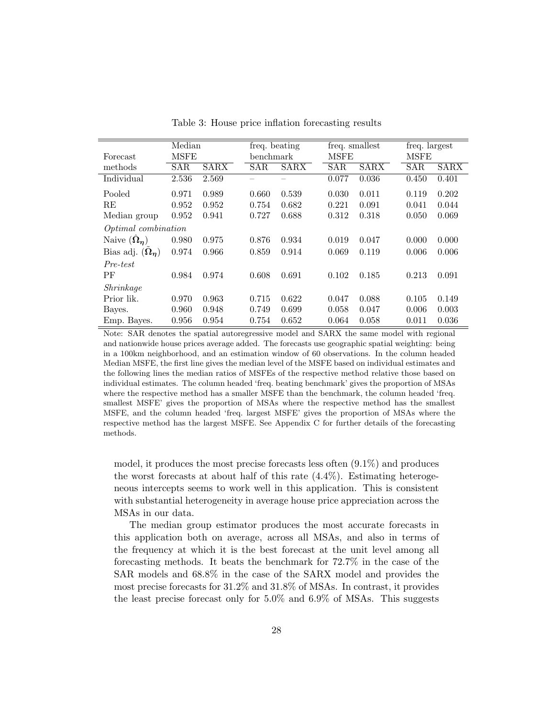|                               | Median      |             |            | freq. beating |             | freq. smallest |             | freq. largest |  |
|-------------------------------|-------------|-------------|------------|---------------|-------------|----------------|-------------|---------------|--|
| Forecast                      | <b>MSFE</b> |             | benchmark  |               | <b>MSFE</b> |                | <b>MSFE</b> |               |  |
| methods                       | <b>SAR</b>  | <b>SARX</b> | <b>SAR</b> | <b>SARX</b>   | <b>SAR</b>  | <b>SARX</b>    | <b>SAR</b>  | <b>SARX</b>   |  |
| Individual                    | 2.536       | 2.569       |            |               | 0.077       | 0.036          | 0.450       | 0.401         |  |
| Pooled                        | 0.971       | 0.989       | 0.660      | 0.539         | 0.030       | 0.011          | 0.119       | 0.202         |  |
| RE                            | 0.952       | 0.952       | 0.754      | 0.682         | 0.221       | 0.091          | 0.041       | 0.044         |  |
| Median group                  | 0.952       | 0.941       | 0.727      | 0.688         | 0.312       | 0.318          | 0.050       | 0.069         |  |
| <i>Optimal combination</i>    |             |             |            |               |             |                |             |               |  |
| Naive $(\hat{\Omega}_{\eta})$ | 0.980       | 0.975       | 0.876      | 0.934         | 0.019       | 0.047          | 0.000       | 0.000         |  |
| Bias adj. $(\Omega_n)$        | 0.974       | 0.966       | 0.859      | 0.914         | 0.069       | 0.119          | 0.006       | 0.006         |  |
| Pre-test                      |             |             |            |               |             |                |             |               |  |
| PF                            | 0.984       | 0.974       | 0.608      | 0.691         | 0.102       | 0.185          | 0.213       | 0.091         |  |
| Shrinkage                     |             |             |            |               |             |                |             |               |  |
| Prior lik.                    | 0.970       | 0.963       | 0.715      | 0.622         | 0.047       | 0.088          | 0.105       | 0.149         |  |
| Bayes.                        | 0.960       | 0.948       | 0.749      | 0.699         | 0.058       | 0.047          | 0.006       | 0.003         |  |
| Emp. Bayes.                   | 0.956       | 0.954       | 0.754      | 0.652         | 0.064       | 0.058          | 0.011       | 0.036         |  |

Table 3: House price inflation forecasting results

Note: SAR denotes the spatial autoregressive model and SARX the same model with regional and nationwide house prices average added. The forecasts use geographic spatial weighting: being in a 100km neighborhood, and an estimation window of 60 observations. In the column headed Median MSFE, the first line gives the median level of the MSFE based on individual estimates and the following lines the median ratios of MSFEs of the respective method relative those based on individual estimates. The column headed 'freq. beating benchmark' gives the proportion of MSAs where the respective method has a smaller MSFE than the benchmark, the column headed 'freq. smallest MSFE' gives the proportion of MSAs where the respective method has the smallest MSFE, and the column headed 'freq. largest MSFE' gives the proportion of MSAs where the respective method has the largest MSFE. See Appendix C for further details of the forecasting methods.

model, it produces the most precise forecasts less often (9.1%) and produces the worst forecasts at about half of this rate (4.4%). Estimating heterogeneous intercepts seems to work well in this application. This is consistent with substantial heterogeneity in average house price appreciation across the MSAs in our data.

The median group estimator produces the most accurate forecasts in this application both on average, across all MSAs, and also in terms of the frequency at which it is the best forecast at the unit level among all forecasting methods. It beats the benchmark for 72.7% in the case of the SAR models and 68.8% in the case of the SARX model and provides the most precise forecasts for 31.2% and 31.8% of MSAs. In contrast, it provides the least precise forecast only for 5.0% and 6.9% of MSAs. This suggests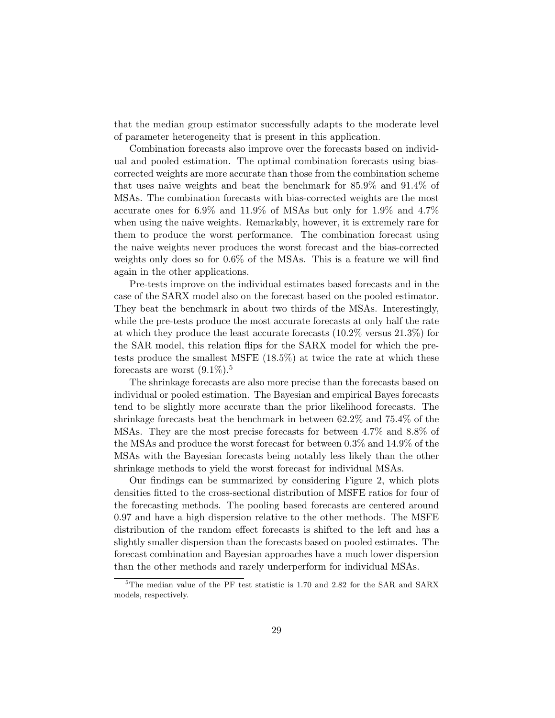that the median group estimator successfully adapts to the moderate level of parameter heterogeneity that is present in this application.

Combination forecasts also improve over the forecasts based on individual and pooled estimation. The optimal combination forecasts using biascorrected weights are more accurate than those from the combination scheme that uses naive weights and beat the benchmark for 85.9% and 91.4% of MSAs. The combination forecasts with bias-corrected weights are the most accurate ones for 6.9% and 11.9% of MSAs but only for 1.9% and 4.7% when using the naive weights. Remarkably, however, it is extremely rare for them to produce the worst performance. The combination forecast using the naive weights never produces the worst forecast and the bias-corrected weights only does so for 0.6% of the MSAs. This is a feature we will find again in the other applications.

Pre-tests improve on the individual estimates based forecasts and in the case of the SARX model also on the forecast based on the pooled estimator. They beat the benchmark in about two thirds of the MSAs. Interestingly, while the pre-tests produce the most accurate forecasts at only half the rate at which they produce the least accurate forecasts (10.2% versus 21.3%) for the SAR model, this relation flips for the SARX model for which the pretests produce the smallest MSFE (18.5%) at twice the rate at which these forecasts are worst  $(9.1\%)$ <sup>5</sup>

The shrinkage forecasts are also more precise than the forecasts based on individual or pooled estimation. The Bayesian and empirical Bayes forecasts tend to be slightly more accurate than the prior likelihood forecasts. The shrinkage forecasts beat the benchmark in between 62.2% and 75.4% of the MSAs. They are the most precise forecasts for between 4.7% and 8.8% of the MSAs and produce the worst forecast for between 0.3% and 14.9% of the MSAs with the Bayesian forecasts being notably less likely than the other shrinkage methods to yield the worst forecast for individual MSAs.

Our findings can be summarized by considering Figure 2, which plots densities fitted to the cross-sectional distribution of MSFE ratios for four of the forecasting methods. The pooling based forecasts are centered around 0.97 and have a high dispersion relative to the other methods. The MSFE distribution of the random effect forecasts is shifted to the left and has a slightly smaller dispersion than the forecasts based on pooled estimates. The forecast combination and Bayesian approaches have a much lower dispersion than the other methods and rarely underperform for individual MSAs.

 ${}^{5}$ The median value of the PF test statistic is 1.70 and 2.82 for the SAR and SARX models, respectively.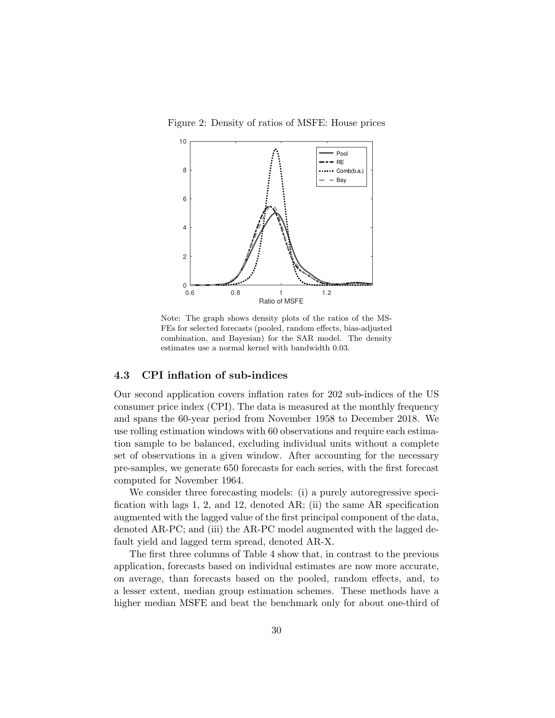Figure 2: Density of ratios of MSFE: House prices



Note: The graph shows density plots of the ratios of the MS-FEs for selected forecasts (pooled, random effects, bias-adjusted combination, and Bayesian) for the SAR model. The density estimates use a normal kernel with bandwidth 0.03.

#### 4.3 CPI inflation of sub-indices

Our second application covers inflation rates for 202 sub-indices of the US consumer price index (CPI). The data is measured at the monthly frequency and spans the 60-year period from November 1958 to December 2018. We use rolling estimation windows with 60 observations and require each estimation sample to be balanced, excluding individual units without a complete set of observations in a given window. After accounting for the necessary pre-samples, we generate 650 forecasts for each series, with the first forecast computed for November 1964.

We consider three forecasting models: (i) a purely autoregressive specification with lags 1, 2, and 12, denoted AR; (ii) the same AR specification augmented with the lagged value of the first principal component of the data, denoted AR-PC; and (iii) the AR-PC model augmented with the lagged default yield and lagged term spread, denoted AR-X.

The first three columns of Table 4 show that, in contrast to the previous application, forecasts based on individual estimates are now more accurate, on average, than forecasts based on the pooled, random effects, and, to a lesser extent, median group estimation schemes. These methods have a higher median MSFE and beat the benchmark only for about one-third of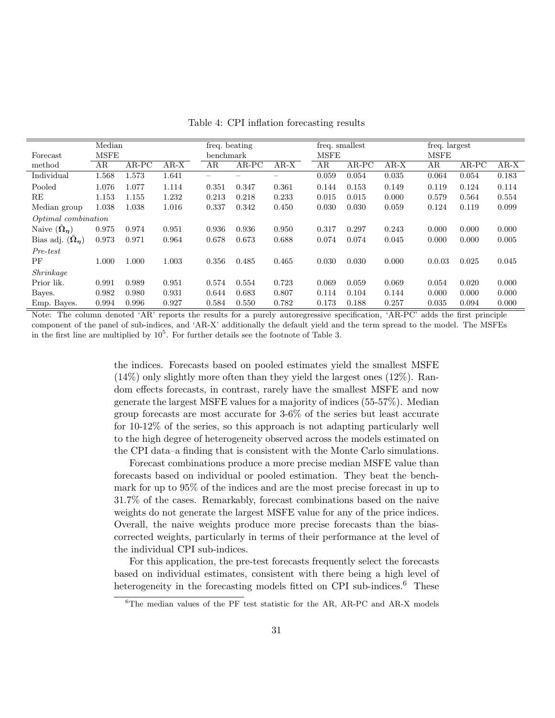|                            | Median      |         |        | freq. beating |         |        | freq. smallest |         |        | freq. largest |         |        |
|----------------------------|-------------|---------|--------|---------------|---------|--------|----------------|---------|--------|---------------|---------|--------|
| Forecast                   | <b>MSFE</b> |         |        | benchmark     |         |        | <b>MSFE</b>    |         |        | <b>MSFE</b>   |         |        |
| method                     | AR          | $AR-PC$ | $AR-X$ | AR            | $AR-PC$ | $AR-X$ | AR             | $AR-PC$ | $AR-X$ | AR            | $AR-PC$ | $AR-X$ |
| Individual                 | 1.568       | 1.573   | 1.641  |               |         |        | 0.059          | 0.054   | 0.035  | 0.064         | 0.054   | 0.183  |
| Pooled                     | 1.076       | 1.077   | 1.114  | 0.351         | 0.347   | 0.361  | 0.144          | 0.153   | 0.149  | 0.119         | 0.124   | 0.114  |
| RE                         | 1.153       | 1.155   | 1.232  | 0.213         | 0.218   | 0.233  | 0.015          | 0.015   | 0.000  | 0.579         | 0.564   | 0.554  |
| Median group               | 1.038       | 1.038   | 1.016  | 0.337         | 0.342   | 0.450  | 0.030          | 0.030   | 0.059  | 0.124         | 0.119   | 0.099  |
| <i>Optimal combination</i> |             |         |        |               |         |        |                |         |        |               |         |        |
| Naive $(\Omega_n)$         | 0.975       | 0.974   | 0.951  | 0.936         | 0.936   | 0.950  | 0.317          | 0.297   | 0.243  | 0.000         | 0.000   | 0.000  |
| Bias adj. $(\Omega_n)$     | 0.973       | 0.971   | 0.964  | 0.678         | 0.673   | 0.688  | 0.074          | 0.074   | 0.045  | 0.000         | 0.000   | 0.005  |
| Pre-test                   |             |         |        |               |         |        |                |         |        |               |         |        |
| PF                         | 1.000       | 1.000   | 1.003  | 0.356         | 0.485   | 0.465  | 0.030          | 0.030   | 0.000  | 0.0.03        | 0.025   | 0.045  |
| Shrinkage                  |             |         |        |               |         |        |                |         |        |               |         |        |
| Prior lik.                 | 0.991       | 0.989   | 0.951  | 0.574         | 0.554   | 0.723  | 0.069          | 0.059   | 0.069  | 0.054         | 0.020   | 0.000  |
| Bayes.                     | 0.982       | 0.980   | 0.931  | 0.644         | 0.683   | 0.807  | 0.114          | 0.104   | 0.144  | 0.000         | 0.000   | 0.000  |
| Emp. Bayes.                | 0.994       | 0.996   | 0.927  | 0.584         | 0.550   | 0.782  | 0.173          | 0.188   | 0.257  | 0.035         | 0.094   | 0.000  |

Table 4: CPI inflation forecasting results

Note: The column denoted 'AR' reports the results for a purely autoregressive specification, 'AR-PC' adds the first principle component of the panel of sub-indices, and 'AR-X' additionally the default yield and the term spread to the model. The MSFEs in the first line are multiplied by  $10^5$ . For further details see the footnote of Table 3.

> the indices. Forecasts based on pooled estimates yield the smallest MSFE (14%) only slightly more often than they yield the largest ones (12%). Random effects forecasts, in contrast, rarely have the smallest MSFE and now generate the largest MSFE values for a majority of indices (55-57%). Median group forecasts are most accurate for 3-6% of the series but least accurate for 10-12% of the series, so this approach is not adapting particularly well to the high degree of heterogeneity observed across the models estimated on the CPI data–a finding that is consistent with the Monte Carlo simulations.

> Forecast combinations produce a more precise median MSFE value than forecasts based on individual or pooled estimation. They beat the benchmark for up to 95% of the indices and are the most precise forecast in up to 31.7% of the cases. Remarkably, forecast combinations based on the naive weights do not generate the largest MSFE value for any of the price indices. Overall, the naive weights produce more precise forecasts than the biascorrected weights, particularly in terms of their performance at the level of the individual CPI sub-indices.

> For this application, the pre-test forecasts frequently select the forecasts based on individual estimates, consistent with there being a high level of heterogeneity in the forecasting models fitted on CPI sub-indices. $6$  These

 $6$ The median values of the PF test statistic for the AR, AR-PC and AR-X models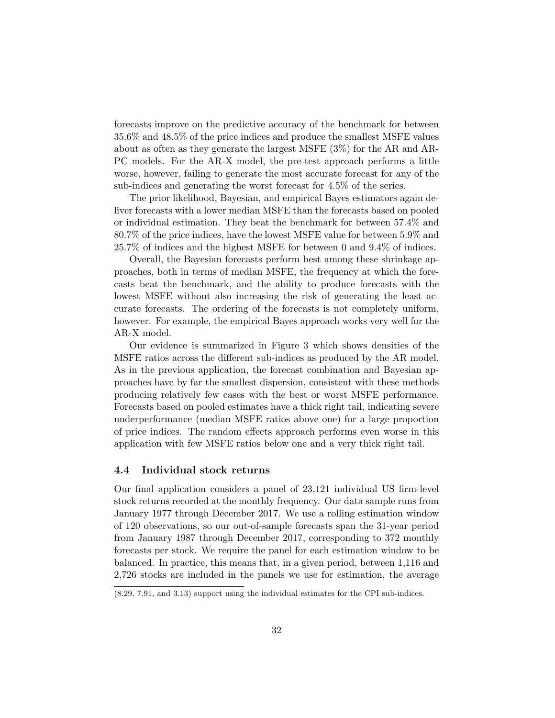forecasts improve on the predictive accuracy of the benchmark for between 35.6% and 48.5% of the price indices and produce the smallest MSFE values about as often as they generate the largest MSFE (3%) for the AR and AR-PC models. For the AR-X model, the pre-test approach performs a little worse, however, failing to generate the most accurate forecast for any of the sub-indices and generating the worst forecast for 4.5% of the series.

The prior likelihood, Bayesian, and empirical Bayes estimators again deliver forecasts with a lower median MSFE than the forecasts based on pooled or individual estimation. They beat the benchmark for between 57.4% and 80.7% of the price indices, have the lowest MSFE value for between 5.9% and 25.7% of indices and the highest MSFE for between 0 and 9.4% of indices.

Overall, the Bayesian forecasts perform best among these shrinkage approaches, both in terms of median MSFE, the frequency at which the forecasts beat the benchmark, and the ability to produce forecasts with the lowest MSFE without also increasing the risk of generating the least accurate forecasts. The ordering of the forecasts is not completely uniform, however. For example, the empirical Bayes approach works very well for the AR-X model.

Our evidence is summarized in Figure 3 which shows densities of the MSFE ratios across the different sub-indices as produced by the AR model. As in the previous application, the forecast combination and Bayesian approaches have by far the smallest dispersion, consistent with these methods producing relatively few cases with the best or worst MSFE performance. Forecasts based on pooled estimates have a thick right tail, indicating severe underperformance (median MSFE ratios above one) for a large proportion of price indices. The random effects approach performs even worse in this application with few MSFE ratios below one and a very thick right tail.

#### 4.4 Individual stock returns

Our final application considers a panel of 23,121 individual US firm-level stock returns recorded at the monthly frequency. Our data sample runs from January 1977 through December 2017. We use a rolling estimation window of 120 observations, so our out-of-sample forecasts span the 31-year period from January 1987 through December 2017, corresponding to 372 monthly forecasts per stock. We require the panel for each estimation window to be balanced. In practice, this means that, in a given period, between 1,116 and 2,726 stocks are included in the panels we use for estimation, the average

<sup>(8.29, 7.91,</sup> and 3.13) support using the individual estimates for the CPI sub-indices.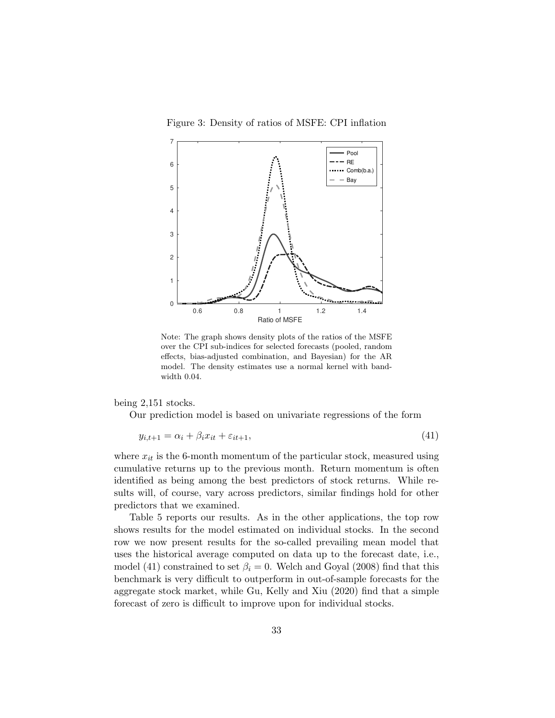Figure 3: Density of ratios of MSFE: CPI inflation



Note: The graph shows density plots of the ratios of the MSFE over the CPI sub-indices for selected forecasts (pooled, random effects, bias-adjusted combination, and Bayesian) for the AR model. The density estimates use a normal kernel with bandwidth 0.04.

being 2,151 stocks.

Our prediction model is based on univariate regressions of the form

$$
y_{i,t+1} = \alpha_i + \beta_i x_{it} + \varepsilon_{it+1},\tag{41}
$$

where  $x_{it}$  is the 6-month momentum of the particular stock, measured using cumulative returns up to the previous month. Return momentum is often identified as being among the best predictors of stock returns. While results will, of course, vary across predictors, similar findings hold for other predictors that we examined.

Table 5 reports our results. As in the other applications, the top row shows results for the model estimated on individual stocks. In the second row we now present results for the so-called prevailing mean model that uses the historical average computed on data up to the forecast date, i.e., model (41) constrained to set  $\beta_i = 0$ . Welch and Goyal (2008) find that this benchmark is very difficult to outperform in out-of-sample forecasts for the aggregate stock market, while Gu, Kelly and Xiu (2020) find that a simple forecast of zero is difficult to improve upon for individual stocks.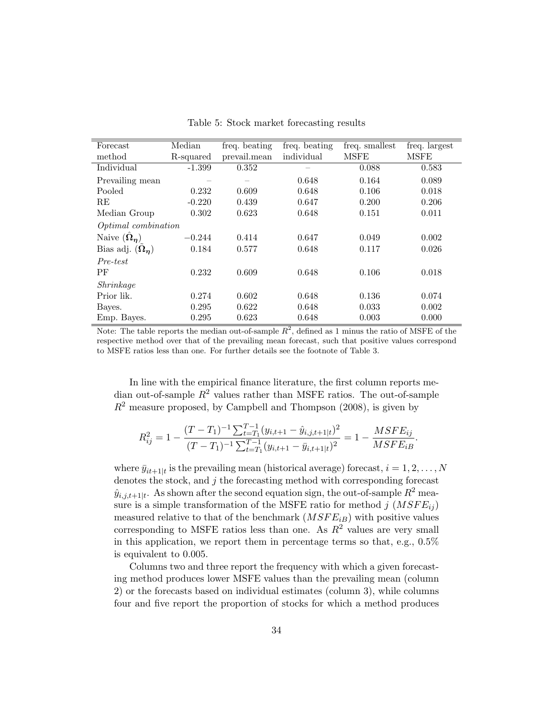| Forecast                   | Median    | freq. beating | freq. beating | freq. smallest | freq. largest |
|----------------------------|-----------|---------------|---------------|----------------|---------------|
| method                     | R-squared | prevail.mean  | individual    | MSFE           | <b>MSFE</b>   |
| Individual                 | $-1.399$  | 0.352         |               | 0.088          | 0.583         |
| Prevailing mean            |           |               | 0.648         | 0.164          | 0.089         |
| Pooled                     | 0.232     | 0.609         | 0.648         | 0.106          | 0.018         |
| RE                         | $-0.220$  | 0.439         | 0.647         | 0.200          | 0.206         |
| Median Group               | 0.302     | 0.623         | 0.648         | 0.151          | 0.011         |
| <i>Optimal combination</i> |           |               |               |                |               |
| Naive $(\hat{\Omega}_n)$   | $-0.244$  | 0.414         | 0.647         | 0.049          | 0.002         |
| Bias adj. $(\Omega_n)$     | 0.184     | 0.577         | 0.648         | 0.117          | 0.026         |
| Pre-test                   |           |               |               |                |               |
| РF                         | 0.232     | 0.609         | 0.648         | 0.106          | 0.018         |
| Shrinkage                  |           |               |               |                |               |
| Prior lik.                 | 0.274     | 0.602         | 0.648         | 0.136          | 0.074         |
| Bayes.                     | 0.295     | 0.622         | 0.648         | 0.033          | 0.002         |
| Emp. Bayes.                | 0.295     | 0.623         | 0.648         | 0.003          | 0.000         |

Table 5: Stock market forecasting results

Note: The table reports the median out-of-sample  $R^2$ , defined as 1 minus the ratio of MSFE of the respective method over that of the prevailing mean forecast, such that positive values correspond to MSFE ratios less than one. For further details see the footnote of Table 3.

In line with the empirical finance literature, the first column reports median out-of-sample  $R^2$  values rather than MSFE ratios. The out-of-sample  $R<sup>2</sup>$  measure proposed, by Campbell and Thompson (2008), is given by

$$
R_{ij}^2 = 1 - \frac{(T - T_1)^{-1} \sum_{t=T_1}^{T-1} (y_{i,t+1} - \hat{y}_{i,j,t+1|t})^2}{(T - T_1)^{-1} \sum_{t=T_1}^{T-1} (y_{i,t+1} - \bar{y}_{i,t+1|t})^2} = 1 - \frac{MSFE_{ij}}{MSFE_{iB}}.
$$

where  $\bar{y}_{it+1|t}$  is the prevailing mean (historical average) forecast,  $i = 1, 2, ..., N$ denotes the stock, and  $j$  the forecasting method with corresponding forecast  $\hat{y}_{i,j,t+1|t}$ . As shown after the second equation sign, the out-of-sample  $R^2$  measure is a simple transformation of the MSFE ratio for method j  $(MSFE_{ij})$ measured relative to that of the benchmark  $(MSFE_{iB})$  with positive values corresponding to MSFE ratios less than one. As  $R^2$  values are very small in this application, we report them in percentage terms so that, e.g., 0.5% is equivalent to 0.005.

Columns two and three report the frequency with which a given forecasting method produces lower MSFE values than the prevailing mean (column 2) or the forecasts based on individual estimates (column 3), while columns four and five report the proportion of stocks for which a method produces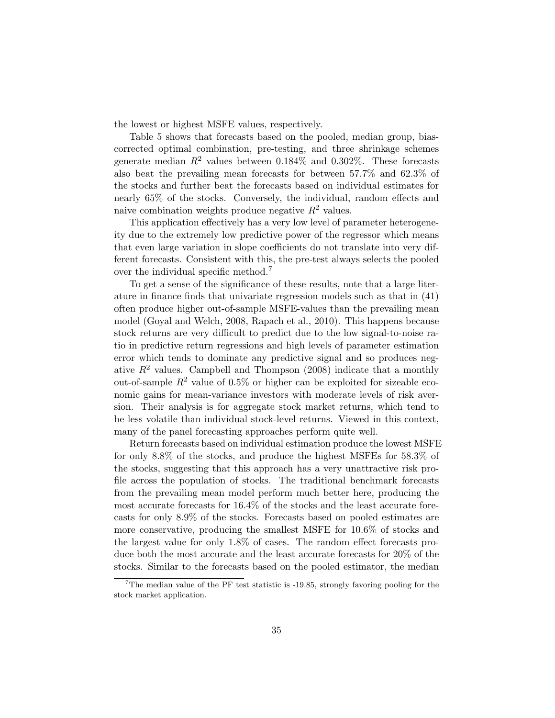the lowest or highest MSFE values, respectively.

Table 5 shows that forecasts based on the pooled, median group, biascorrected optimal combination, pre-testing, and three shrinkage schemes generate median  $R^2$  values between 0.184\% and 0.302\%. These forecasts also beat the prevailing mean forecasts for between 57.7% and 62.3% of the stocks and further beat the forecasts based on individual estimates for nearly 65% of the stocks. Conversely, the individual, random effects and naive combination weights produce negative  $R^2$  values.

This application effectively has a very low level of parameter heterogeneity due to the extremely low predictive power of the regressor which means that even large variation in slope coefficients do not translate into very different forecasts. Consistent with this, the pre-test always selects the pooled over the individual specific method.<sup>7</sup>

To get a sense of the significance of these results, note that a large literature in finance finds that univariate regression models such as that in (41) often produce higher out-of-sample MSFE-values than the prevailing mean model (Goyal and Welch, 2008, Rapach et al., 2010). This happens because stock returns are very difficult to predict due to the low signal-to-noise ratio in predictive return regressions and high levels of parameter estimation error which tends to dominate any predictive signal and so produces negative  $R^2$  values. Campbell and Thompson (2008) indicate that a monthly out-of-sample  $R^2$  value of 0.5% or higher can be exploited for sizeable economic gains for mean-variance investors with moderate levels of risk aversion. Their analysis is for aggregate stock market returns, which tend to be less volatile than individual stock-level returns. Viewed in this context, many of the panel forecasting approaches perform quite well.

Return forecasts based on individual estimation produce the lowest MSFE for only 8.8% of the stocks, and produce the highest MSFEs for 58.3% of the stocks, suggesting that this approach has a very unattractive risk profile across the population of stocks. The traditional benchmark forecasts from the prevailing mean model perform much better here, producing the most accurate forecasts for 16.4% of the stocks and the least accurate forecasts for only 8.9% of the stocks. Forecasts based on pooled estimates are more conservative, producing the smallest MSFE for 10.6% of stocks and the largest value for only 1.8% of cases. The random effect forecasts produce both the most accurate and the least accurate forecasts for 20% of the stocks. Similar to the forecasts based on the pooled estimator, the median

<sup>&</sup>lt;sup>7</sup>The median value of the PF test statistic is  $-19.85$ , strongly favoring pooling for the stock market application.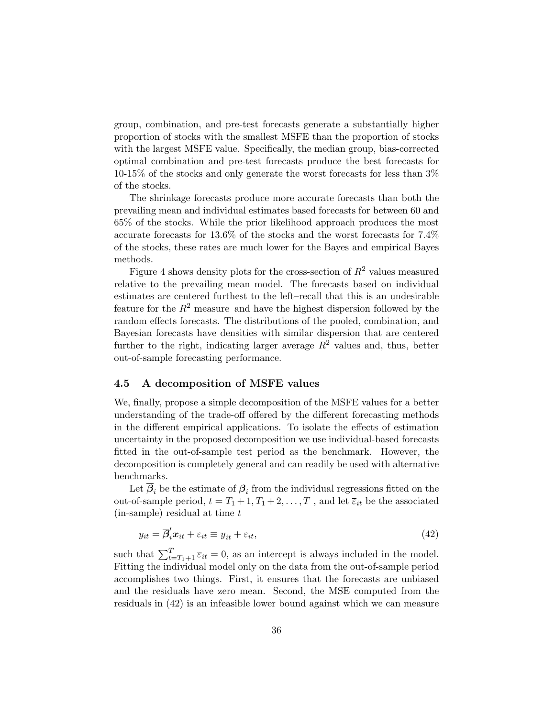group, combination, and pre-test forecasts generate a substantially higher proportion of stocks with the smallest MSFE than the proportion of stocks with the largest MSFE value. Specifically, the median group, bias-corrected optimal combination and pre-test forecasts produce the best forecasts for 10-15% of the stocks and only generate the worst forecasts for less than 3% of the stocks.

The shrinkage forecasts produce more accurate forecasts than both the prevailing mean and individual estimates based forecasts for between 60 and 65% of the stocks. While the prior likelihood approach produces the most accurate forecasts for 13.6% of the stocks and the worst forecasts for 7.4% of the stocks, these rates are much lower for the Bayes and empirical Bayes methods.

Figure 4 shows density plots for the cross-section of  $R^2$  values measured relative to the prevailing mean model. The forecasts based on individual estimates are centered furthest to the left–recall that this is an undesirable feature for the  $R^2$  measure–and have the highest dispersion followed by the random effects forecasts. The distributions of the pooled, combination, and Bayesian forecasts have densities with similar dispersion that are centered further to the right, indicating larger average  $R^2$  values and, thus, better out-of-sample forecasting performance.

#### 4.5 A decomposition of MSFE values

We, finally, propose a simple decomposition of the MSFE values for a better understanding of the trade-off offered by the different forecasting methods in the different empirical applications. To isolate the effects of estimation uncertainty in the proposed decomposition we use individual-based forecasts fitted in the out-of-sample test period as the benchmark. However, the decomposition is completely general and can readily be used with alternative benchmarks.

Let  $\beta_i$  be the estimate of  $\beta_i$  from the individual regressions fitted on the out-of-sample period,  $t = T_1 + 1, T_1 + 2, \ldots, T$ , and let  $\overline{\varepsilon}_{it}$  be the associated  $(in\text{-sample})$  residual at time  $t$ 

$$
y_{it} = \overline{\beta}'_i x_{it} + \overline{\varepsilon}_{it} \equiv \overline{y}_{it} + \overline{\varepsilon}_{it},\tag{42}
$$

such that  $\sum_{t=T_1+1}^{T} \overline{\varepsilon}_{it} = 0$ , as an intercept is always included in the model. Fitting the individual model only on the data from the out-of-sample period accomplishes two things. First, it ensures that the forecasts are unbiased and the residuals have zero mean. Second, the MSE computed from the residuals in (42) is an infeasible lower bound against which we can measure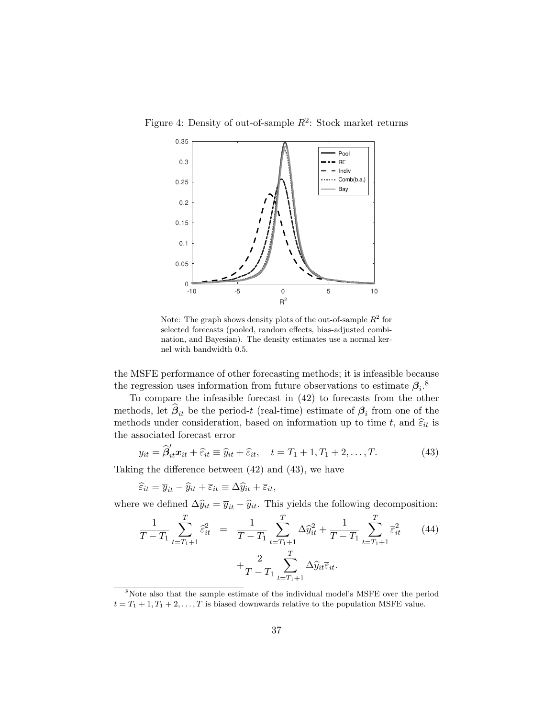Figure 4: Density of out-of-sample  $R^2$ : Stock market returns



Note: The graph shows density plots of the out-of-sample  $R^2$  for selected forecasts (pooled, random effects, bias-adjusted combination, and Bayesian). The density estimates use a normal kernel with bandwidth 0.5.

the MSFE performance of other forecasting methods; it is infeasible because the regression uses information from future observations to estimate  $\beta_i$ <sup>8</sup>

To compare the infeasible forecast in (42) to forecasts from the other methods, let  $\beta_{it}$  be the period-t (real-time) estimate of  $\beta_i$  from one of the methods under consideration, based on information up to time t, and  $\hat{\varepsilon}_{it}$  is the associated forecast error

$$
y_{it} = \widehat{\beta}'_{it} \mathbf{x}_{it} + \widehat{\varepsilon}_{it} \equiv \widehat{y}_{it} + \widehat{\varepsilon}_{it}, \quad t = T_1 + 1, T_1 + 2, \dots, T. \tag{43}
$$

Taking the difference between (42) and (43), we have

$$
\widehat{\varepsilon}_{it} = \overline{y}_{it} - \widehat{y}_{it} + \overline{\varepsilon}_{it} \equiv \Delta \widehat{y}_{it} + \overline{\varepsilon}_{it},
$$

where we defined  $\Delta \hat{y}_{it} = \overline{y}_{it} - \hat{y}_{it}$ . This yields the following decomposition:

$$
\frac{1}{T - T_1} \sum_{t = T_1 + 1}^{T} \hat{\varepsilon}_{it}^2 = \frac{1}{T - T_1} \sum_{t = T_1 + 1}^{T} \Delta \hat{y}_{it}^2 + \frac{1}{T - T_1} \sum_{t = T_1 + 1}^{T} \bar{\varepsilon}_{it}^2 \tag{44}
$$
\n
$$
+ \frac{2}{T - T_1} \sum_{t = T_1 + 1}^{T} \Delta \hat{y}_{it} \bar{\varepsilon}_{it}.
$$

<sup>8</sup>Note also that the sample estimate of the individual model's MSFE over the period  $t = T_1 + 1, T_1 + 2, \ldots, T$  is biased downwards relative to the population MSFE value.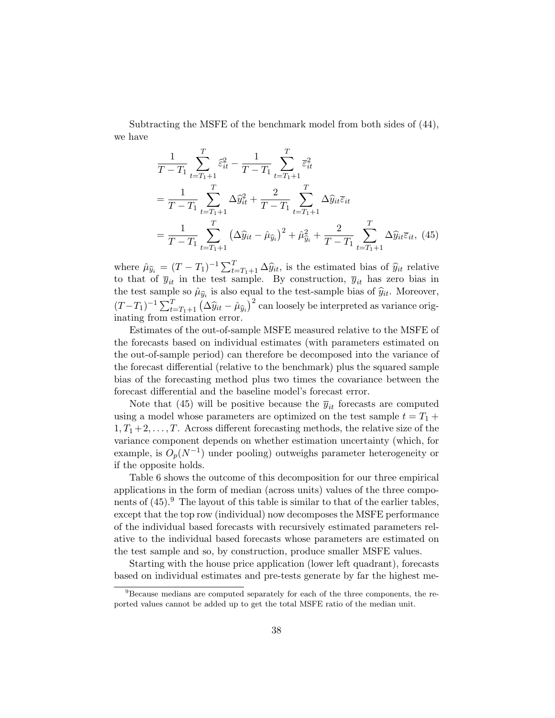Subtracting the MSFE of the benchmark model from both sides of (44), we have

$$
\frac{1}{T - T_1} \sum_{t = T_1 + 1}^{T} \hat{\varepsilon}_{it}^2 - \frac{1}{T - T_1} \sum_{t = T_1 + 1}^{T} \bar{\varepsilon}_{it}^2
$$
\n
$$
= \frac{1}{T - T_1} \sum_{t = T_1 + 1}^{T} \Delta \hat{y}_{it}^2 + \frac{2}{T - T_1} \sum_{t = T_1 + 1}^{T} \Delta \hat{y}_{it} \bar{\varepsilon}_{it}
$$
\n
$$
= \frac{1}{T - T_1} \sum_{t = T_1 + 1}^{T} \left( \Delta \hat{y}_{it} - \hat{\mu}_{\hat{y}_i} \right)^2 + \hat{\mu}_{\hat{y}_i}^2 + \frac{2}{T - T_1} \sum_{t = T_1 + 1}^{T} \Delta \hat{y}_{it} \bar{\varepsilon}_{it}, \tag{45}
$$

where  $\hat{\mu}_{\hat{y}_i} = (T - T_1)^{-1} \sum_{t=T_1+1}^{T} \Delta \hat{y}_{it}$ , is the estimated bias of  $\hat{y}_{it}$  relative<br>to that of  $\overline{y}_{it}$  in the test sample. By construction,  $\overline{y}_{it}$  has zero bias in the test sample so  $\hat{\mu}_{\hat{y}_i}$  is also equal to the test-sample bias of  $\hat{y}_i$ . Moreover,  $(T-T_1)^{-1} \sum_{t=T_1+1}^{T} (\Delta \hat{y}_{it} - \hat{\mu}_{\hat{y}_i})^2$  can loosely be interpreted as variance origination express inating from estimation error.

Estimates of the out-of-sample MSFE measured relative to the MSFE of the forecasts based on individual estimates (with parameters estimated on the out-of-sample period) can therefore be decomposed into the variance of the forecast differential (relative to the benchmark) plus the squared sample bias of the forecasting method plus two times the covariance between the forecast differential and the baseline model's forecast error.

Note that (45) will be positive because the  $\overline{y}_{it}$  forecasts are computed using a model whose parameters are optimized on the test sample  $t = T_1 +$  $1, T_1 + 2, \ldots, T$ . Across different forecasting methods, the relative size of the variance component depends on whether estimation uncertainty (which, for example, is  $O_p(N^{-1})$  under pooling) outweighs parameter heterogeneity or if the opposite holds.

Table 6 shows the outcome of this decomposition for our three empirical applications in the form of median (across units) values of the three components of  $(45)$ . The layout of this table is similar to that of the earlier tables, except that the top row (individual) now decomposes the MSFE performance of the individual based forecasts with recursively estimated parameters relative to the individual based forecasts whose parameters are estimated on the test sample and so, by construction, produce smaller MSFE values.

Starting with the house price application (lower left quadrant), forecasts based on individual estimates and pre-tests generate by far the highest me-

<sup>&</sup>lt;sup>9</sup>Because medians are computed separately for each of the three components, the reported values cannot be added up to get the total MSFE ratio of the median unit.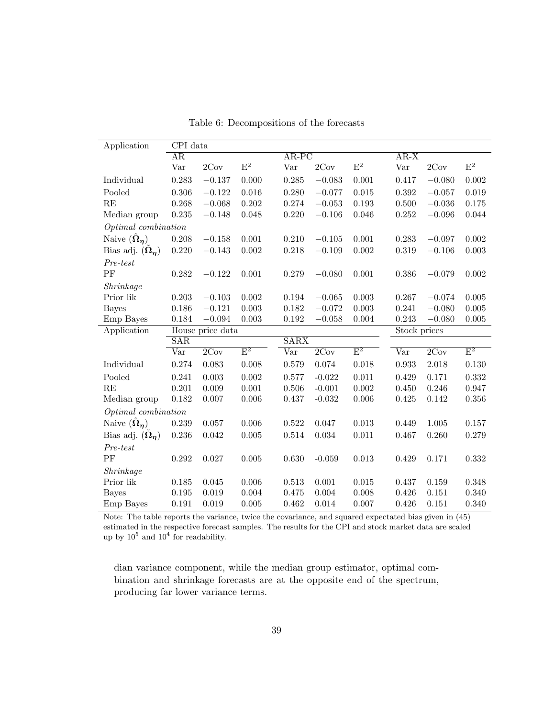| Application                   | $\overline{\text{CPI}}$ data |                  |                           |                         |          |                |              |          |                           |  |
|-------------------------------|------------------------------|------------------|---------------------------|-------------------------|----------|----------------|--------------|----------|---------------------------|--|
|                               | AR                           |                  |                           | $AR-PC$                 |          |                | $AR-X$       |          |                           |  |
|                               | Var                          | 2Cov             | $\mathrm{E}^2$            | Var                     | 2Cov     | $\mathrm{E}^2$ | Var          | 2Cov     | $\mathrm{E}^2$            |  |
| Individual                    | 0.283                        | $-0.137$         | 0.000                     | 0.285                   | $-0.083$ | 0.001          | 0.417        | $-0.080$ | 0.002                     |  |
| Pooled                        | 0.306                        | $-0.122$         | 0.016                     | 0.280                   | $-0.077$ | 0.015          | 0.392        | $-0.057$ | 0.019                     |  |
| RE                            | 0.268                        | $-0.068$         | 0.202                     | 0.274                   | $-0.053$ | 0.193          | 0.500        | $-0.036$ | 0.175                     |  |
| Median group                  | 0.235                        | $-0.148$         | 0.048                     | 0.220                   | $-0.106$ | 0.046          | 0.252        | $-0.096$ | 0.044                     |  |
| Optimal combination           |                              |                  |                           |                         |          |                |              |          |                           |  |
| Naive $(\hat{\Omega}_n)$      | 0.208                        | $-0.158$         | 0.001                     | 0.210                   | $-0.105$ | 0.001          | 0.283        | $-0.097$ | 0.002                     |  |
| Bias adj. $(\Omega_n)$        | 0.220                        | $-0.143$         | $0.002\,$                 | 0.218                   | $-0.109$ | 0.002          | 0.319        | $-0.106$ | 0.003                     |  |
| Pre-test                      |                              |                  |                           |                         |          |                |              |          |                           |  |
| PF                            | 0.282                        | $-0.122$         | 0.001                     | 0.279                   | $-0.080$ | 0.001          | 0.386        | $-0.079$ | 0.002                     |  |
| Shrinkage                     |                              |                  |                           |                         |          |                |              |          |                           |  |
| Prior lik                     | 0.203                        | $-0.103$         | 0.002                     | 0.194                   | $-0.065$ | 0.003          | 0.267        | $-0.074$ | 0.005                     |  |
| <b>Bayes</b>                  | 0.186                        | $-0.121$         | 0.003                     | 0.182                   | $-0.072$ | 0.003          | 0.241        | $-0.080$ | 0.005                     |  |
| Emp Bayes                     | 0.184                        | $-0.094$         | 0.003                     | 0.192                   | $-0.058$ | 0.004          | 0.243        | $-0.080$ | 0.005                     |  |
| Application                   |                              | House price data |                           |                         |          |                | Stock prices |          |                           |  |
|                               | SAR                          |                  |                           | SARX                    |          |                |              |          |                           |  |
|                               | Var                          | 2Cov             | $\overline{\mathrm{E}^2}$ | $\overline{\text{Var}}$ | 2Cov     | $\mathrm{E}^2$ | Var          | 2Cov     | $\overline{\mathrm{E}^2}$ |  |
| Individual                    | 0.274                        | 0.083            | 0.008                     | 0.579                   | 0.074    | 0.018          | 0.933        | 2.018    | 0.130                     |  |
| Pooled                        | 0.241                        | 0.003            | 0.002                     | 0.577                   | $-0.022$ | 0.011          | 0.429        | 0.171    | 0.332                     |  |
| RE                            | 0.201                        | 0.009            | 0.001                     | 0.506                   | $-0.001$ | 0.002          | 0.450        | 0.246    | 0.947                     |  |
| Median group                  | 0.182                        | 0.007            | 0.006                     | 0.437                   | $-0.032$ | 0.006          | 0.425        | 0.142    | 0.356                     |  |
| Optimal combination           |                              |                  |                           |                         |          |                |              |          |                           |  |
| Naive $(\hat{\Omega}_{\eta})$ | 0.239                        | 0.057            | 0.006                     | 0.522                   | 0.047    | 0.013          | 0.449        | 1.005    | 0.157                     |  |
| Bias adj. $(\Omega_n)$        | 0.236                        | $\,0.042\,$      | $\,0.005\,$               | 0.514                   | 0.034    | 0.011          | 0.467        | 0.260    | 0.279                     |  |
| Pre-test                      |                              |                  |                           |                         |          |                |              |          |                           |  |
| PF                            | $0.292\,$                    | $0.027\,$        | $0.005\,$                 | 0.630                   | $-0.059$ | 0.013          | 0.429        | 0.171    | 0.332                     |  |
| Shrinkage                     |                              |                  |                           |                         |          |                |              |          |                           |  |
| Prior lik                     | 0.185                        | 0.045            | 0.006                     | 0.513                   | 0.001    | 0.015          | 0.437        | 0.159    | 0.348                     |  |
| <b>Bayes</b>                  | 0.195                        | 0.019            | 0.004                     | 0.475                   | 0.004    | 0.008          | 0.426        | 0.151    | 0.340                     |  |
| Emp Bayes                     | 0.191                        | 0.019            | $\,0.005\,$               | 0.462                   | 0.014    | 0.007          | 0.426        | 0.151    | 0.340                     |  |

Table 6: Decompositions of the forecasts

Note: The table reports the variance, twice the covariance, and squared expectated bias given in (45) estimated in the respective forecast samples. The results for the CPI and stock market data are scaled up by  $10^5$  and  $10^4$  for readability.

dian variance component, while the median group estimator, optimal combination and shrinkage forecasts are at the opposite end of the spectrum, producing far lower variance terms.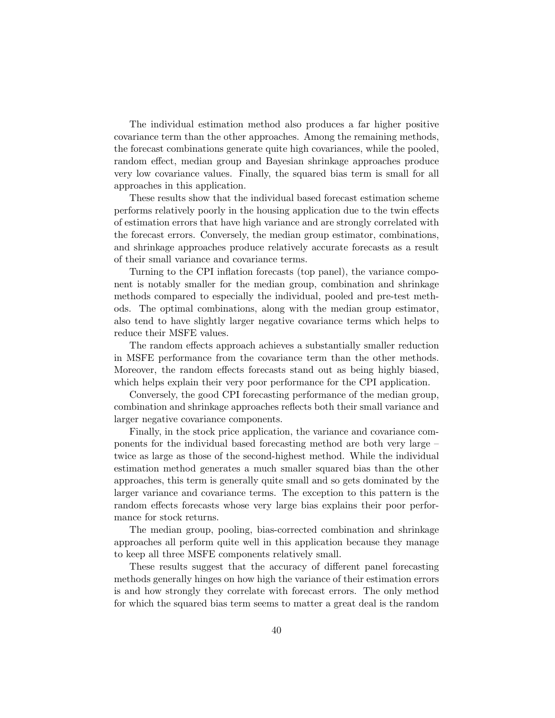The individual estimation method also produces a far higher positive covariance term than the other approaches. Among the remaining methods, the forecast combinations generate quite high covariances, while the pooled, random effect, median group and Bayesian shrinkage approaches produce very low covariance values. Finally, the squared bias term is small for all approaches in this application.

These results show that the individual based forecast estimation scheme performs relatively poorly in the housing application due to the twin effects of estimation errors that have high variance and are strongly correlated with the forecast errors. Conversely, the median group estimator, combinations, and shrinkage approaches produce relatively accurate forecasts as a result of their small variance and covariance terms.

Turning to the CPI inflation forecasts (top panel), the variance component is notably smaller for the median group, combination and shrinkage methods compared to especially the individual, pooled and pre-test methods. The optimal combinations, along with the median group estimator, also tend to have slightly larger negative covariance terms which helps to reduce their MSFE values.

The random effects approach achieves a substantially smaller reduction in MSFE performance from the covariance term than the other methods. Moreover, the random effects forecasts stand out as being highly biased, which helps explain their very poor performance for the CPI application.

Conversely, the good CPI forecasting performance of the median group, combination and shrinkage approaches reflects both their small variance and larger negative covariance components.

Finally, in the stock price application, the variance and covariance components for the individual based forecasting method are both very large – twice as large as those of the second-highest method. While the individual estimation method generates a much smaller squared bias than the other approaches, this term is generally quite small and so gets dominated by the larger variance and covariance terms. The exception to this pattern is the random effects forecasts whose very large bias explains their poor performance for stock returns.

The median group, pooling, bias-corrected combination and shrinkage approaches all perform quite well in this application because they manage to keep all three MSFE components relatively small.

These results suggest that the accuracy of different panel forecasting methods generally hinges on how high the variance of their estimation errors is and how strongly they correlate with forecast errors. The only method for which the squared bias term seems to matter a great deal is the random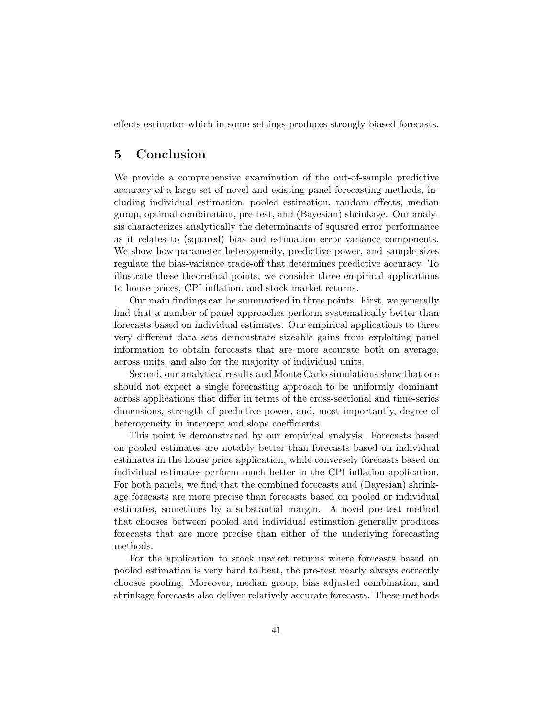effects estimator which in some settings produces strongly biased forecasts.

## 5 Conclusion

We provide a comprehensive examination of the out-of-sample predictive accuracy of a large set of novel and existing panel forecasting methods, including individual estimation, pooled estimation, random effects, median group, optimal combination, pre-test, and (Bayesian) shrinkage. Our analysis characterizes analytically the determinants of squared error performance as it relates to (squared) bias and estimation error variance components. We show how parameter heterogeneity, predictive power, and sample sizes regulate the bias-variance trade-off that determines predictive accuracy. To illustrate these theoretical points, we consider three empirical applications to house prices, CPI inflation, and stock market returns.

Our main findings can be summarized in three points. First, we generally find that a number of panel approaches perform systematically better than forecasts based on individual estimates. Our empirical applications to three very different data sets demonstrate sizeable gains from exploiting panel information to obtain forecasts that are more accurate both on average, across units, and also for the majority of individual units.

Second, our analytical results and Monte Carlo simulations show that one should not expect a single forecasting approach to be uniformly dominant across applications that differ in terms of the cross-sectional and time-series dimensions, strength of predictive power, and, most importantly, degree of heterogeneity in intercept and slope coefficients.

This point is demonstrated by our empirical analysis. Forecasts based on pooled estimates are notably better than forecasts based on individual estimates in the house price application, while conversely forecasts based on individual estimates perform much better in the CPI inflation application. For both panels, we find that the combined forecasts and (Bayesian) shrinkage forecasts are more precise than forecasts based on pooled or individual estimates, sometimes by a substantial margin. A novel pre-test method that chooses between pooled and individual estimation generally produces forecasts that are more precise than either of the underlying forecasting methods.

For the application to stock market returns where forecasts based on pooled estimation is very hard to beat, the pre-test nearly always correctly chooses pooling. Moreover, median group, bias adjusted combination, and shrinkage forecasts also deliver relatively accurate forecasts. These methods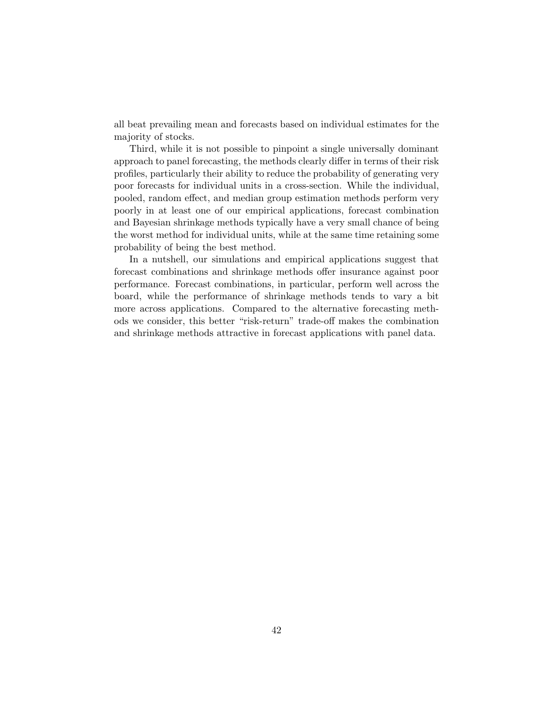all beat prevailing mean and forecasts based on individual estimates for the majority of stocks.

Third, while it is not possible to pinpoint a single universally dominant approach to panel forecasting, the methods clearly differ in terms of their risk profiles, particularly their ability to reduce the probability of generating very poor forecasts for individual units in a cross-section. While the individual, pooled, random effect, and median group estimation methods perform very poorly in at least one of our empirical applications, forecast combination and Bayesian shrinkage methods typically have a very small chance of being the worst method for individual units, while at the same time retaining some probability of being the best method.

In a nutshell, our simulations and empirical applications suggest that forecast combinations and shrinkage methods offer insurance against poor performance. Forecast combinations, in particular, perform well across the board, while the performance of shrinkage methods tends to vary a bit more across applications. Compared to the alternative forecasting methods we consider, this better "risk-return" trade-off makes the combination and shrinkage methods attractive in forecast applications with panel data.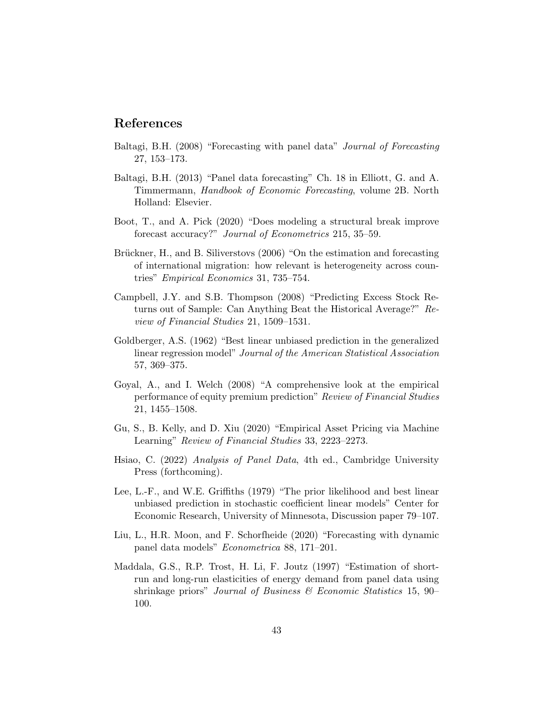### References

- Baltagi, B.H. (2008) "Forecasting with panel data" Journal of Forecasting 27, 153–173.
- Baltagi, B.H. (2013) "Panel data forecasting" Ch. 18 in Elliott, G. and A. Timmermann, Handbook of Economic Forecasting, volume 2B. North Holland: Elsevier.
- Boot, T., and A. Pick (2020) "Does modeling a structural break improve forecast accuracy?" Journal of Econometrics 215, 35–59.
- Brückner, H., and B. Siliverstovs (2006) "On the estimation and forecasting of international migration: how relevant is heterogeneity across countries" Empirical Economics 31, 735–754.
- Campbell, J.Y. and S.B. Thompson (2008) "Predicting Excess Stock Returns out of Sample: Can Anything Beat the Historical Average?" Review of Financial Studies 21, 1509–1531.
- Goldberger, A.S. (1962) "Best linear unbiased prediction in the generalized linear regression model" Journal of the American Statistical Association 57, 369–375.
- Goyal, A., and I. Welch (2008) "A comprehensive look at the empirical performance of equity premium prediction" Review of Financial Studies 21, 1455–1508.
- Gu, S., B. Kelly, and D. Xiu (2020) "Empirical Asset Pricing via Machine Learning" Review of Financial Studies 33, 2223–2273.
- Hsiao, C. (2022) Analysis of Panel Data, 4th ed., Cambridge University Press (forthcoming).
- Lee, L.-F., and W.E. Griffiths (1979) "The prior likelihood and best linear unbiased prediction in stochastic coefficient linear models" Center for Economic Research, University of Minnesota, Discussion paper 79–107.
- Liu, L., H.R. Moon, and F. Schorfheide (2020) "Forecasting with dynamic panel data models" Econometrica 88, 171–201.
- Maddala, G.S., R.P. Trost, H. Li, F. Joutz (1997) "Estimation of shortrun and long-run elasticities of energy demand from panel data using shrinkage priors" Journal of Business  $\mathcal B$  Economic Statistics 15, 90– 100.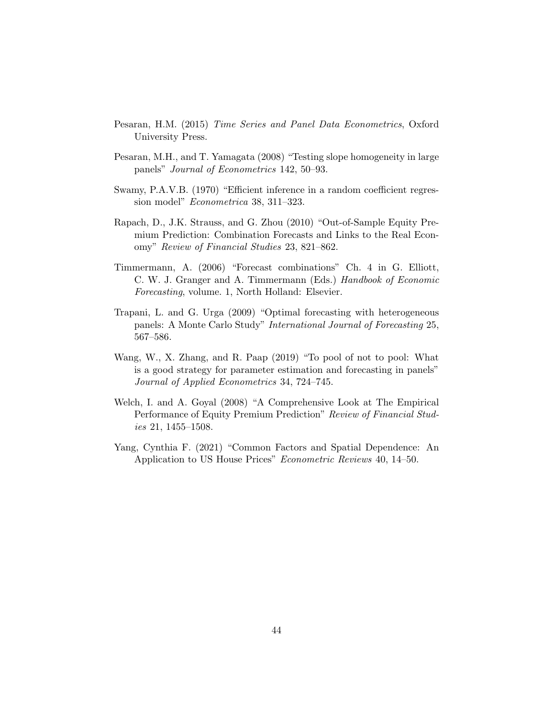- Pesaran, H.M. (2015) Time Series and Panel Data Econometrics, Oxford University Press.
- Pesaran, M.H., and T. Yamagata (2008) "Testing slope homogeneity in large panels" Journal of Econometrics 142, 50–93.
- Swamy, P.A.V.B. (1970) "Efficient inference in a random coefficient regression model" Econometrica 38, 311–323.
- Rapach, D., J.K. Strauss, and G. Zhou (2010) "Out-of-Sample Equity Premium Prediction: Combination Forecasts and Links to the Real Economy" Review of Financial Studies 23, 821–862.
- Timmermann, A. (2006) "Forecast combinations" Ch. 4 in G. Elliott, C. W. J. Granger and A. Timmermann (Eds.) Handbook of Economic Forecasting, volume. 1, North Holland: Elsevier.
- Trapani, L. and G. Urga (2009) "Optimal forecasting with heterogeneous panels: A Monte Carlo Study" International Journal of Forecasting 25, 567–586.
- Wang, W., X. Zhang, and R. Paap (2019) "To pool of not to pool: What is a good strategy for parameter estimation and forecasting in panels" Journal of Applied Econometrics 34, 724–745.
- Welch, I. and A. Goyal (2008) "A Comprehensive Look at The Empirical Performance of Equity Premium Prediction" Review of Financial Studies 21, 1455–1508.
- Yang, Cynthia F. (2021) "Common Factors and Spatial Dependence: An Application to US House Prices" Econometric Reviews 40, 14–50.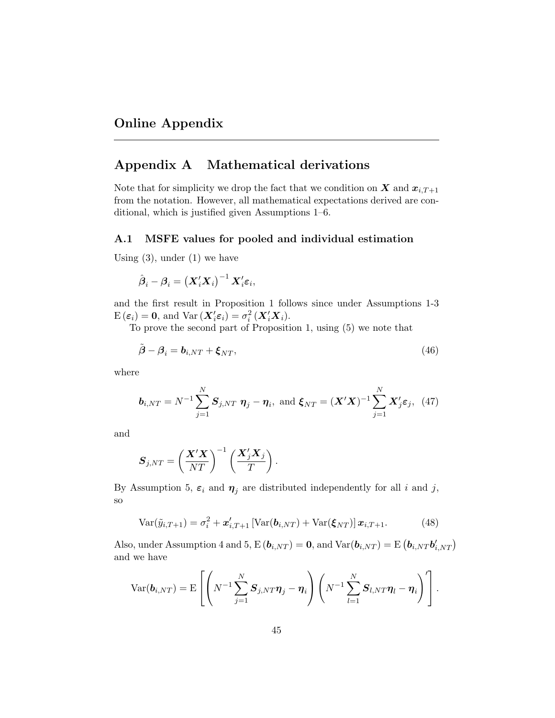# Appendix A Mathematical derivations

Note that for simplicity we drop the fact that we condition on  $X$  and  $x_{i,T+1}$ from the notation. However, all mathematical expectations derived are conditional, which is justified given Assumptions 1–6.

#### A.1 MSFE values for pooled and individual estimation

Using  $(3)$ , under  $(1)$  we have

$$
\hat{\boldsymbol{\beta}}_i - \boldsymbol{\beta}_i = \left(\boldsymbol{X}_i'\boldsymbol{X}_i\right)^{-1}\boldsymbol{X}_i'\boldsymbol{\varepsilon}_i,
$$

and the first result in Proposition 1 follows since under Assumptions 1-3  $E(\boldsymbol{\varepsilon}_i) = \mathbf{0}$ , and  $Var(\boldsymbol{X}_i' \boldsymbol{\varepsilon}_i) = \sigma_i^2(\boldsymbol{X}_i' \boldsymbol{X}_i)$ .

To prove the second part of Proposition 1, using (5) we note that

$$
\tilde{\boldsymbol{\beta}} - \boldsymbol{\beta}_i = \boldsymbol{b}_{i,NT} + \boldsymbol{\xi}_{NT},\tag{46}
$$

where

$$
\boldsymbol{b}_{i,NT} = N^{-1} \sum_{j=1}^{N} \boldsymbol{S}_{j,NT} \ \boldsymbol{\eta}_j - \boldsymbol{\eta}_i, \text{ and } \boldsymbol{\xi}_{NT} = (\boldsymbol{X}'\boldsymbol{X})^{-1} \sum_{j=1}^{N} \boldsymbol{X}'_j \boldsymbol{\varepsilon}_j, \tag{47}
$$

and

$$
\boldsymbol{S}_{j,NT} = \left(\frac{\boldsymbol{X}'\boldsymbol{X}}{NT}\right)^{-1}\left(\frac{\boldsymbol{X}'_j\boldsymbol{X}_j}{T}\right)
$$

By Assumption 5,  $\varepsilon_i$  and  $\eta_j$  are distributed independently for all i and j, so

.

$$
\text{Var}(\tilde{y}_{i,T+1}) = \sigma_i^2 + \boldsymbol{x}'_{i,T+1} \left[ \text{Var}(\boldsymbol{b}_{i,NT}) + \text{Var}(\boldsymbol{\xi}_{NT}) \right] \boldsymbol{x}_{i,T+1}. \tag{48}
$$

Also, under Assumption 4 and 5,  $E(\mathbf{b}_{i,NT}) = \mathbf{0}$ , and  $Var(\mathbf{b}_{i,NT}) = E(\mathbf{b}_{i,NT} \mathbf{b}'_{i,NT})$ and we have

$$
\text{Var}(\boldsymbol{b}_{i,NT}) = \mathbf{E}\left[\left(N^{-1}\sum_{j=1}^N \boldsymbol{S}_{j,NT}\boldsymbol{\eta}_j - \boldsymbol{\eta}_i\right)\left(N^{-1}\sum_{l=1}^N \boldsymbol{S}_{l,NT}\boldsymbol{\eta}_l - \boldsymbol{\eta}_i\right)'\right].
$$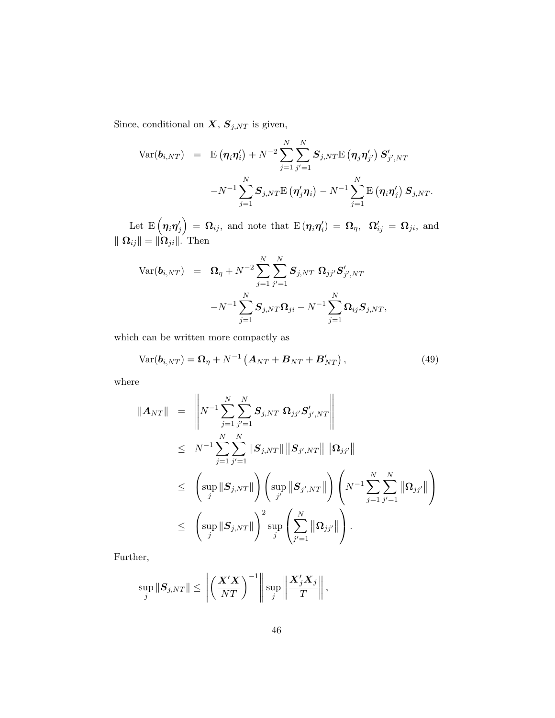Since, conditional on  $\boldsymbol{X},$   $\boldsymbol{S}_{j,NT}$  is given,

$$
\begin{array}{lcl} \text{Var}(\bm{b}_{i,NT}) & = & \text{E}\left(\bm{\eta}_i\bm{\eta}_i'\right) + N^{-2}\sum_{j=1}^N\sum_{j'=1}^N \bm{S}_{j,NT} \text{E}\left(\bm{\eta}_j\bm{\eta}_{j'}'\right)\bm{S}_{j',NT}' \\ & & \qquad \qquad - N^{-1}\sum_{j=1}^N \bm{S}_{j,NT} \text{E}\left(\bm{\eta}_j'\bm{\eta}_i\right) - N^{-1}\sum_{j=1}^N \text{E}\left(\bm{\eta}_i\bm{\eta}_j'\right)\bm{S}_{j,NT}. \end{array}
$$

Let  $\mathrm{E}\left(\bm{\eta}_{i}\bm{\eta}_{j}^{\prime}\right)\,=\,\bm{\Omega}_{ij},$  and note that  $\mathrm{E}\left(\bm{\eta}_{i}\bm{\eta}_{i}^{\prime}\right)\,=\,\bm{\Omega}_{\eta},\,\,\,\bm{\Omega}_{ij}^{\prime}\,=\,\bm{\Omega}_{ji},$  and  $\| \mathbf{\Omega}_{ij} \| = \| \mathbf{\Omega}_{ji} \|$ . Then

$$
\begin{array}{lcl} \mathrm{Var}(\boldsymbol{b}_{i,NT}) & = & \boldsymbol{\Omega}_{\eta} + N^{-2} \sum_{j=1}^N \sum_{j'=1}^N \boldsymbol{S}_{j,NT} \; \boldsymbol{\Omega}_{jj'} \boldsymbol{S}_{j',NT}' \\ & & \\ & & - N^{-1} \sum_{j=1}^N \boldsymbol{S}_{j,NT} \boldsymbol{\Omega}_{ji} - N^{-1} \sum_{j=1}^N \boldsymbol{\Omega}_{ij} \boldsymbol{S}_{j,NT}, \end{array}
$$

which can be written more compactly as

$$
Var(\boldsymbol{b}_{i,NT}) = \boldsymbol{\Omega}_{\eta} + N^{-1} \left( \boldsymbol{A}_{NT} + \boldsymbol{B}_{NT} + \boldsymbol{B}_{NT}' \right), \qquad (49)
$$

where

$$
\|\mathbf{A}_{NT}\| = \left\| N^{-1} \sum_{j=1}^N \sum_{j'=1}^N \mathbf{S}_{j,NT} \, \mathbf{\Omega}_{jj'} \mathbf{S}'_{j',NT} \right\|
$$
  
\n
$$
\leq N^{-1} \sum_{j=1}^N \sum_{j'=1}^N \|\mathbf{S}_{j,NT}\| \|\mathbf{S}_{j',NT}\| \|\mathbf{\Omega}_{jj'}\|
$$
  
\n
$$
\leq \left( \sup_j \|\mathbf{S}_{j,NT}\| \right) \left( \sup_{j'} \|\mathbf{S}_{j',NT}\| \right) \left( N^{-1} \sum_{j=1}^N \sum_{j'=1}^N \|\mathbf{\Omega}_{jj'}\| \right)
$$
  
\n
$$
\leq \left( \sup_j \|\mathbf{S}_{j,NT}\| \right)^2 \sup_j \left( \sum_{j'=1}^N \|\mathbf{\Omega}_{jj'}\| \right).
$$

Further,

$$
\sup_{j} \|S_{j,NT}\| \le \left\| \left(\frac{\mathbf{X}'\mathbf{X}}{NT}\right)^{-1} \right\| \sup_{j} \left\| \frac{\mathbf{X}'_{j}\mathbf{X}_{j}}{T} \right\|,
$$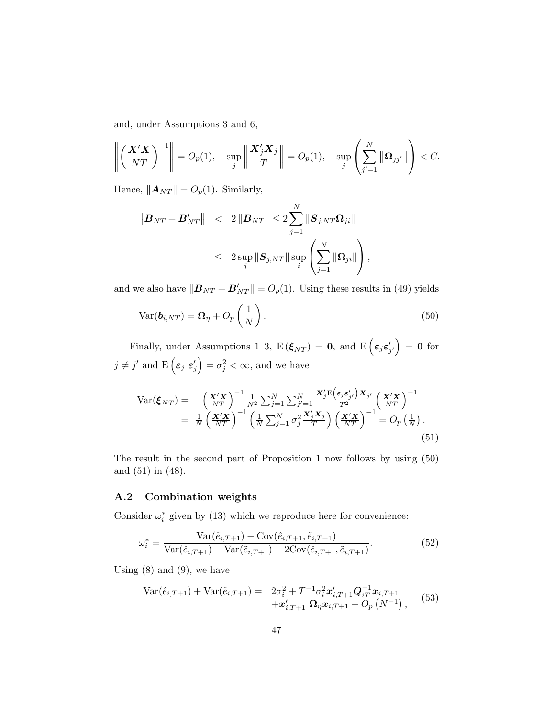and, under Assumptions 3 and 6,

$$
\left\| \left( \frac{\mathbf{X}'\mathbf{X}}{NT} \right)^{-1} \right\| = O_p(1), \quad \sup_j \left\| \frac{\mathbf{X}'_j\mathbf{X}_j}{T} \right\| = O_p(1), \quad \sup_j \left( \sum_{j'=1}^N \left\| \mathbf{\Omega}_{jj'} \right\| \right) < C.
$$

Hence,  $||A_{NT}|| = O_p(1)$ . Similarly,

$$
\begin{array}{rcl} \left\|\boldsymbol{B}_{NT} + \boldsymbol{B}_{NT}'\right\| & < & 2\left\|\boldsymbol{B}_{NT}\right\| \leq 2\sum_{j=1}^{N}\left\|\boldsymbol{S}_{j,NT}\boldsymbol{\Omega}_{ji}\right\| \\ & < & 2\sup_{j}\left\|\boldsymbol{S}_{j,NT}\right\|\sup_{i}\left(\sum_{j=1}^{N}\left\|\boldsymbol{\Omega}_{ji}\right\|\right), \end{array}
$$

and we also have  $\|\mathbf{B}_{NT} + \mathbf{B}_{NT}'\| = O_p(1)$ . Using these results in (49) yields

$$
Var(\boldsymbol{b}_{i,NT}) = \boldsymbol{\Omega}_{\eta} + O_p\left(\frac{1}{N}\right). \tag{50}
$$

Finally, under Assumptions 1–3,  $E(\xi_{NT}) = 0$ , and  $E(\epsilon_j \epsilon'_{j'}) = 0$  for  $j \neq j'$  and  $E\left(\varepsilon_j \varepsilon'_j\right) = \sigma_j^2 < \infty$ , and we have

$$
\begin{split} \text{Var}(\boldsymbol{\xi}_{NT}) &= \left(\frac{\boldsymbol{X}'\boldsymbol{X}}{NT}\right)^{-1} \frac{1}{N^2} \sum_{j=1}^N \sum_{j'=1}^N \frac{\boldsymbol{X}'_j \mathrm{E}\left(\boldsymbol{\varepsilon}_j \boldsymbol{\varepsilon}'_{j'}\right) \boldsymbol{X}_{j'}}{T^2} \left(\frac{\boldsymbol{X}'\boldsymbol{X}}{NT}\right)^{-1} \\ &= \frac{1}{N} \left(\frac{\boldsymbol{X}'\boldsymbol{X}}{NT}\right)^{-1} \left(\frac{1}{N} \sum_{j=1}^N \sigma_j^2 \frac{\boldsymbol{X}'_j \boldsymbol{X}_j}{T}\right) \left(\frac{\boldsymbol{X}'\boldsymbol{X}}{NT}\right)^{-1} = O_p\left(\frac{1}{N}\right). \end{split} \tag{51}
$$

The result in the second part of Proposition 1 now follows by using (50) and (51) in (48).

#### A.2 Combination weights

Consider  $\omega_i^*$  given by (13) which we reproduce here for convenience:

$$
\omega_i^* = \frac{\text{Var}(\tilde{e}_{i,T+1}) - \text{Cov}(\hat{e}_{i,T+1}, \tilde{e}_{i,T+1})}{\text{Var}(\hat{e}_{i,T+1}) + \text{Var}(\tilde{e}_{i,T+1}) - 2\text{Cov}(\hat{e}_{i,T+1}, \tilde{e}_{i,T+1})}.
$$
(52)

Using  $(8)$  and  $(9)$ , we have

$$
\begin{array}{rcl}\n\text{Var}(\hat{e}_{i,T+1}) + \text{Var}(\tilde{e}_{i,T+1}) &=& 2\sigma_i^2 + T^{-1}\sigma_i^2 \mathbf{x}'_{i,T+1} \mathbf{Q}_{iT}^{-1} \mathbf{x}_{i,T+1} \\
&+ \mathbf{x}'_{i,T+1} \ \mathbf{\Omega}_\eta \mathbf{x}_{i,T+1} + O_p\left(N^{-1}\right),\n\end{array} \tag{53}
$$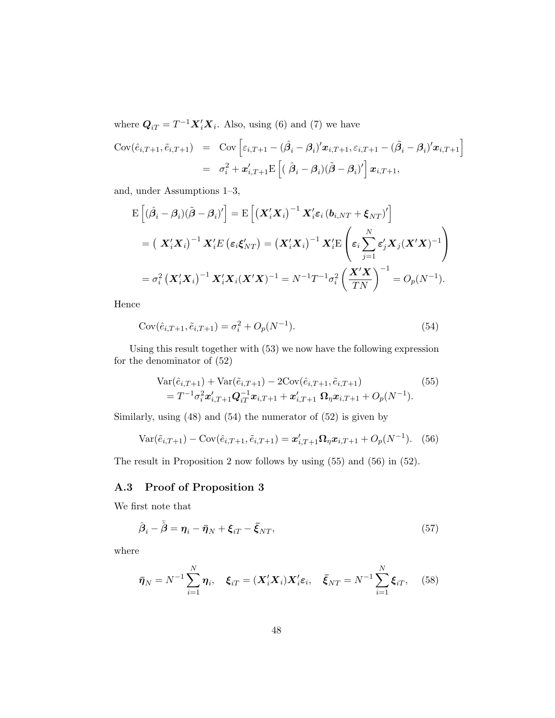where  $Q_{iT} = T^{-1} \mathbf{X}'_i \mathbf{X}_i$ . Also, using (6) and (7) we have

$$
Cov(\hat{e}_{i,T+1}, \tilde{e}_{i,T+1}) = Cov\left[\varepsilon_{i,T+1} - (\hat{\beta}_i - \beta_i)' \mathbf{x}_{i,T+1}, \varepsilon_{i,T+1} - (\tilde{\beta}_i - \beta_i)' \mathbf{x}_{i,T+1}\right]
$$
  

$$
= \sigma_i^2 + \mathbf{x}'_{i,T+1} E\left[ (\hat{\beta}_i - \beta_i)(\tilde{\beta} - \beta_i)' \right] \mathbf{x}_{i,T+1},
$$

and, under Assumptions 1–3,

$$
\begin{split} \mathbf{E}\left[ (\hat{\beta}_{i} - \beta_{i})(\tilde{\beta} - \beta_{i})'\right] &= \mathbf{E}\left[ \left( \mathbf{X}_{i}'\mathbf{X}_{i} \right)^{-1} \mathbf{X}_{i}' \boldsymbol{\varepsilon}_{i} \left( \mathbf{b}_{i,NT} + \boldsymbol{\xi}_{NT} \right)' \right] \\ &= \left( \ \mathbf{X}_{i}'\mathbf{X}_{i} \right)^{-1} \mathbf{X}_{i}' \mathbf{E} \left( \boldsymbol{\varepsilon}_{i} \boldsymbol{\xi}_{NT}' \right) = \left( \mathbf{X}_{i}'\mathbf{X}_{i} \right)^{-1} \mathbf{X}_{i}' \mathbf{E} \left( \boldsymbol{\varepsilon}_{i} \sum_{j=1}^{N} \boldsymbol{\varepsilon}_{j}' \mathbf{X}_{j} (\mathbf{X}'\mathbf{X})^{-1} \right) \\ &= \sigma_{i}^{2} \left( \mathbf{X}_{i}'\mathbf{X}_{i} \right)^{-1} \mathbf{X}_{i}' \mathbf{X}_{i} (\mathbf{X}'\mathbf{X})^{-1} = N^{-1} T^{-1} \sigma_{i}^{2} \left( \frac{\mathbf{X}'\mathbf{X}}{TN} \right)^{-1} = O_{p}(N^{-1}). \end{split}
$$

Hence

Cov
$$
(\hat{e}_{i,T+1}, \tilde{e}_{i,T+1}) = \sigma_i^2 + O_p(N^{-1}).
$$
 (54)

Using this result together with (53) we now have the following expression for the denominator of (52)

$$
\begin{split} \text{Var}(\hat{e}_{i,T+1}) + \text{Var}(\tilde{e}_{i,T+1}) - 2\text{Cov}(\hat{e}_{i,T+1}, \tilde{e}_{i,T+1}) \\ &= T^{-1}\sigma_i^2 \mathbf{x}'_{i,T+1} \mathbf{Q}_{iT}^{-1} \mathbf{x}_{i,T+1} + \mathbf{x}'_{i,T+1} \mathbf{\Omega}_{\eta} \mathbf{x}_{i,T+1} + O_p(N^{-1}). \end{split} \tag{55}
$$

Similarly, using (48) and (54) the numerator of (52) is given by

$$
Var(\tilde{e}_{i,T+1}) - Cov(\hat{e}_{i,T+1}, \tilde{e}_{i,T+1}) = \boldsymbol{x}_{i,T+1}' \boldsymbol{\Omega}_{\eta} \boldsymbol{x}_{i,T+1} + O_p(N^{-1}). \tag{56}
$$

The result in Proposition 2 now follows by using (55) and (56) in (52).

### A.3 Proof of Proposition 3

We first note that

$$
\hat{\boldsymbol{\beta}}_i - \bar{\hat{\boldsymbol{\beta}}} = \boldsymbol{\eta}_i - \bar{\boldsymbol{\eta}}_N + \boldsymbol{\xi}_{iT} - \bar{\boldsymbol{\xi}}_{NT},
$$
\n(57)

where

$$
\bar{\boldsymbol{\eta}}_N = N^{-1} \sum_{i=1}^N \boldsymbol{\eta}_i, \quad \boldsymbol{\xi}_{iT} = (\boldsymbol{X}_i' \boldsymbol{X}_i) \boldsymbol{X}_i' \boldsymbol{\varepsilon}_i, \quad \bar{\boldsymbol{\xi}}_{NT} = N^{-1} \sum_{i=1}^N \boldsymbol{\xi}_{iT}, \quad (58)
$$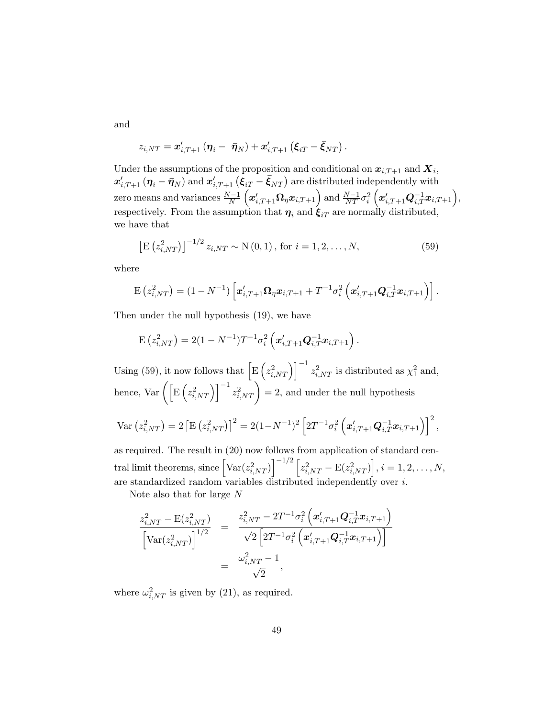and

$$
z_{i,NT} = \boldsymbol{x}_{i,T+1}'\left(\boldsymbol{\eta}_i - \ \boldsymbol{\bar{\eta}}_N \right) + \boldsymbol{x}_{i,T+1}'\left(\boldsymbol{\xi}_{iT} - \boldsymbol{\bar{\xi}}_{NT} \right)
$$

Under the assumptions of the proposition and conditional on  $x_{i,T+1}$  and  $X_i$ ,  $\bm{x}'_{i,T+1}$   $(\bm{\eta}_i - \bar{\bm{\eta}}_N)$  and  $\bm{x}'_{i,T+1}$   $\big(\bm{\xi}_{iT} - \bar{\bm{\xi}}_{NT}\big)$  are distributed independently with zero means and variances  $\frac{N-1}{N}\left(\boldsymbol{x}_{i,T+1}^{\prime} \boldsymbol{\Omega}_\eta \boldsymbol{x}_{i,T+1}\right)$  and  $\frac{N-1}{NT}\sigma_i^2\left(\boldsymbol{x}_{i,T+1}^{\prime} \boldsymbol{Q}_{i,T}^{-1} \boldsymbol{x}_{i,T+1}\right),$ respectively. From the assumption that  $\eta_i$  and  $\xi_{iT}$  are normally distributed, we have that

.

$$
\left[\mathbf{E}\left(z_{i,NT}^2\right)\right]^{-1/2} z_{i,NT} \sim \mathbf{N}\left(0,1\right), \text{ for } i = 1, 2, \dots, N,
$$
\n(59)

where

$$
E(z_{i,NT}^2) = (1 - N^{-1}) \left[ \boldsymbol{x}_{i,T+1}' \boldsymbol{\Omega}_\eta \boldsymbol{x}_{i,T+1} + T^{-1} \sigma_i^2 \left( \boldsymbol{x}_{i,T+1}' \boldsymbol{Q}_{i,T}^{-1} \boldsymbol{x}_{i,T+1} \right) \right].
$$

Then under the null hypothesis (19), we have

$$
\mathrm{E}\left(z_{i,NT}^2\right) = 2(1 - N^{-1})T^{-1}\sigma_i^2\left(\mathbf{x}_{i,T+1}'\mathbf{Q}_{i,T}^{-1}\mathbf{x}_{i,T+1}\right).
$$

Using (59), it now follows that  $\left[\text{E}\left(z_{i,NT}^2\right)\right]^{-1} z_{i,NT}^2$  is distributed as  $\chi_1^2$  and, hence, Var  $\left( \left[ \mathrm{E} \left( z_{i,NT}^2 \right) \right]^{-1} z_{i,NT}^2 \right) = 2$ , and under the null hypothesis

$$
\text{Var}\left(z_{i,NT}^2\right) = 2\left[\text{E}\left(z_{i,NT}^2\right)\right]^2 = 2(1 - N^{-1})^2 \left[2T^{-1}\sigma_i^2 \left(\boldsymbol{x}_{i,T+1}^{\prime} \boldsymbol{Q}_{i,T}^{-1} \boldsymbol{x}_{i,T+1}\right)\right]^2,
$$

as required. The result in (20) now follows from application of standard cen- $\text{trail limit theorems, since } \left[\text{Var}(z_{i,NT}^2)\right]^{-1/2}\left[z_{i,NT}^2-\text{E}(z_{i,NT}^2)\right], i=1,2,\ldots,N,$ are standardized random variables distributed independently over i.

Note also that for large N

$$
\frac{z_{i,NT}^2 - \mathrm{E}(z_{i,NT}^2)}{\left[\mathrm{Var}(z_{i,NT}^2)\right]^{1/2}} = \frac{z_{i,NT}^2 - 2T^{-1}\sigma_i^2\left(\boldsymbol{x}_{i,T+1}^{\prime} \boldsymbol{Q}_{i,T}^{-1} \boldsymbol{x}_{i,T+1}\right)}{\sqrt{2}\left[2T^{-1}\sigma_i^2\left(\boldsymbol{x}_{i,T+1}^{\prime} \boldsymbol{Q}_{i,T}^{-1} \boldsymbol{x}_{i,T+1}\right)\right]} = \frac{\omega_{i,NT}^2 - 1}{\sqrt{2}},
$$

where  $\omega_{i,NT}^2$  is given by (21), as required.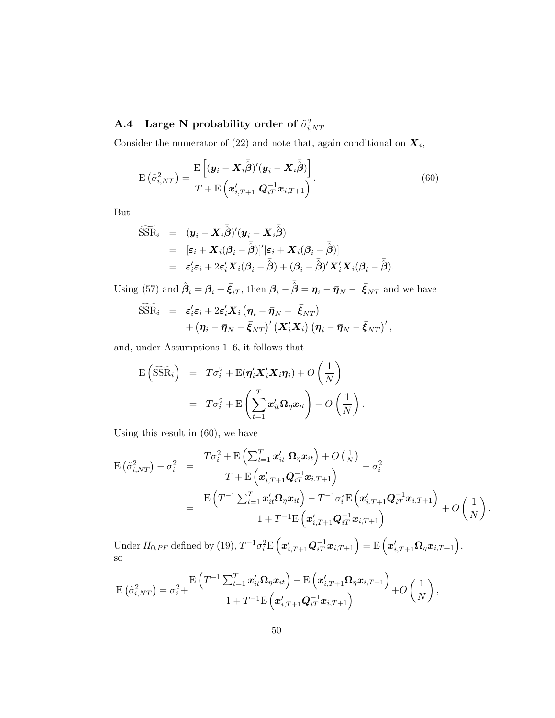# $\rm A.4$  Large N probability order of  $\tilde{\sigma}^2_{i,NT}$

Consider the numerator of (22) and note that, again conditional on  $X_i$ ,

$$
E\left(\tilde{\sigma}_{i,NT}^2\right) = \frac{E\left[({\boldsymbol{y}}_i - {\boldsymbol{X}}_i\bar{\boldsymbol{\beta}})'({\boldsymbol{y}}_i - {\boldsymbol{X}}_i\bar{\boldsymbol{\beta}})\right]}{T + E\left({\boldsymbol{x}}'_{i,T+1} {\boldsymbol{Q}}_{iT}^{-1} {\boldsymbol{x}}_{i,T+1}\right)}.
$$
\n(60)

But

$$
\begin{array}{rcl}\widehat{\text{SSR}}_i & = & (\boldsymbol{y}_i - \boldsymbol{X}_i \bar{\hat{\boldsymbol{\beta}}})' (\boldsymbol{y}_i - \boldsymbol{X}_i \bar{\hat{\boldsymbol{\beta}}})\\ & = & [\varepsilon_i + \boldsymbol{X}_i (\boldsymbol{\beta}_i - \bar{\hat{\boldsymbol{\beta}}})]' [\varepsilon_i + \boldsymbol{X}_i (\boldsymbol{\beta}_i - \bar{\hat{\boldsymbol{\beta}}})] \\ & = & \varepsilon'_i \varepsilon_i + 2\varepsilon'_i \boldsymbol{X}_i (\boldsymbol{\beta}_i - \bar{\hat{\boldsymbol{\beta}}}) + (\boldsymbol{\beta}_i - \bar{\hat{\boldsymbol{\beta}}})' \boldsymbol{X}_i' \boldsymbol{X}_i (\boldsymbol{\beta}_i - \bar{\hat{\boldsymbol{\beta}}}).\end{array}
$$

Using (57) and  $\hat{\beta}_i = \beta_i + \bar{\xi}_{iT}$ , then  $\beta_i - \bar{\hat{\beta}} = \eta_i - \bar{\eta}_N - \bar{\xi}_{NT}$  and we have

$$
\begin{array}{rcl}\n\widetilde{\text{SSR}}_i & = & \varepsilon_i' \varepsilon_i + 2 \varepsilon_i' \boldsymbol{X}_i \left( \boldsymbol{\eta}_i - \bar{\boldsymbol{\eta}}_N - \bar{\boldsymbol{\xi}}_{NT} \right) \\
& & + \left( \boldsymbol{\eta}_i - \bar{\boldsymbol{\eta}}_N - \bar{\boldsymbol{\xi}}_{NT} \right)' \left( \boldsymbol{X}_i' \boldsymbol{X}_i \right) \left( \boldsymbol{\eta}_i - \bar{\boldsymbol{\eta}}_N - \bar{\boldsymbol{\xi}}_{NT} \right)',\n\end{array}
$$

and, under Assumptions 1–6, it follows that

$$
\mathbf{E} \left( \widetilde{\text{SSR}}_i \right) = T \sigma_i^2 + \mathbf{E} (\boldsymbol{\eta}_i' \boldsymbol{X}_i' \boldsymbol{X}_i \boldsymbol{\eta}_i) + O\left(\frac{1}{N}\right) \n= T \sigma_i^2 + \mathbf{E} \left( \sum_{t=1}^T \boldsymbol{x}_{it}' \boldsymbol{\Omega}_\eta \boldsymbol{x}_{it} \right) + O\left(\frac{1}{N}\right).
$$

Using this result in (60), we have

$$
\begin{split} \mathrm{E}\left(\tilde{\sigma}_{i,NT}^{2}\right)-\sigma_{i}^{2} &= \frac{T\sigma_{i}^{2}+\mathrm{E}\left(\sum_{t=1}^{T}\bm{x}_{it}^{\prime}\;\bm{\Omega}_{\eta}\bm{x}_{it}\right)+O\left(\frac{1}{N}\right)}{T+\mathrm{E}\left(\bm{x}_{i,T+1}^{\prime}\bm{Q}_{iT}^{-1}\bm{x}_{i,T+1}\right)}-\sigma_{i}^{2} \\ &= \frac{\mathrm{E}\left(T^{-1}\sum_{t=1}^{T}\bm{x}_{it}^{\prime}\bm{\Omega}_{\eta}\bm{x}_{it}\right)-T^{-1}\sigma_{i}^{2}\mathrm{E}\left(\bm{x}_{i,T+1}^{\prime}\bm{Q}_{iT}^{-1}\bm{x}_{i,T+1}\right)}{1+T^{-1}\mathrm{E}\left(\bm{x}_{i,T+1}^{\prime}\bm{Q}_{iT}^{-1}\bm{x}_{i,T+1}\right)}+O\left(\frac{1}{N}\right). \end{split}
$$

Under  $H_{0,PF}$  defined by (19),  $T^{-1}\sigma_i^2\mathrm{E}\left(\boldsymbol{x}_{i,T+1}^{\prime} \boldsymbol{Q}_{iT}^{-1} \boldsymbol{x}_{i,T+1}\right)=\mathrm{E}\left(\boldsymbol{x}_{i,T+1}^{\prime} \boldsymbol{\Omega}_\eta \boldsymbol{x}_{i,T+1}\right),$ so

$$
\mathrm{E}\left(\tilde{\sigma}_{i,NT}^2\right) = \sigma_i^2 + \frac{\mathrm{E}\left(T^{-1}\sum_{t=1}^T\boldsymbol{x}_{it}'\boldsymbol{\Omega}_\eta\boldsymbol{x}_{it}\right) - \mathrm{E}\left(\boldsymbol{x}_{i,T+1}'\boldsymbol{\Omega}_\eta\boldsymbol{x}_{i,T+1}\right)}{1+T^{-1}\mathrm{E}\left(\boldsymbol{x}_{i,T+1}'\boldsymbol{Q}_{iT}^{-1}\boldsymbol{x}_{i,T+1}\right)} + O\left(\frac{1}{N}\right),
$$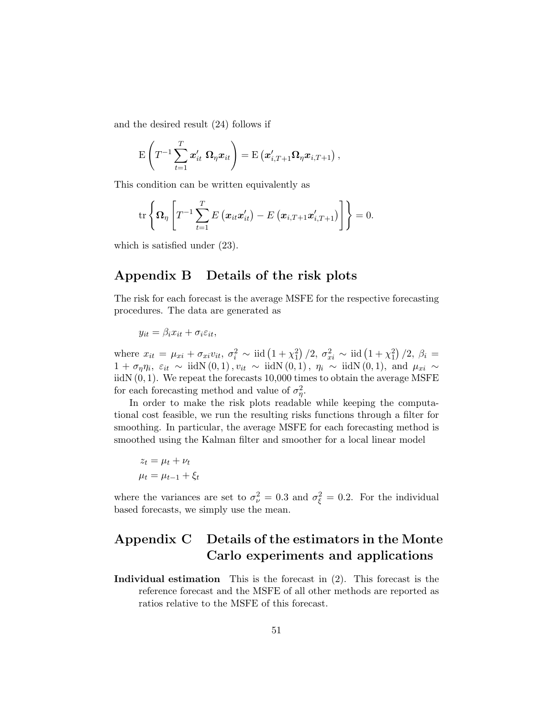and the desired result (24) follows if

$$
\mathrm{E}\left(T^{-1}\sum_{t=1}^T\boldsymbol{x}_{it}'\;\boldsymbol{\Omega}_\eta\boldsymbol{x}_{it}\right)=\mathrm{E}\left(\boldsymbol{x}_{i,T+1}'\boldsymbol{\Omega}_\eta\boldsymbol{x}_{i,T+1}\right),
$$

This condition can be written equivalently as

$$
\mathrm{tr}\left\{\mathbf{\Omega}_{\eta}\left[T^{-1}\sum_{t=1}^{T}E\left(\boldsymbol{x}_{it}\boldsymbol{x}_{it}^{\prime}\right)-E\left(\boldsymbol{x}_{i,T+1}\boldsymbol{x}_{i,T+1}^{\prime}\right)\right]\right\}=0.
$$

which is satisfied under (23).

# Appendix B Details of the risk plots

The risk for each forecast is the average MSFE for the respective forecasting procedures. The data are generated as

$$
y_{it} = \beta_i x_{it} + \sigma_i \varepsilon_{it},
$$

where  $x_{it} = \mu_{xi} + \sigma_{xi} v_{it}, \sigma_i^2 \sim \text{iid} (1 + \chi_1^2)/2, \sigma_{xi}^2 \sim \text{ iid} (1 + \chi_1^2)/2, \beta_i =$  $1 + \sigma_{\eta} \eta_i$ ,  $\varepsilon_{it} \sim \text{iidN}(0, 1)$ ,  $v_{it} \sim \text{iidN}(0, 1)$ ,  $\eta_i \sim \text{iidN}(0, 1)$ , and  $\mu_{xi} \sim$ iidN $(0, 1)$ . We repeat the forecasts 10,000 times to obtain the average MSFE for each forecasting method and value of  $\sigma_{\eta}^2$ .

In order to make the risk plots readable while keeping the computational cost feasible, we run the resulting risks functions through a filter for smoothing. In particular, the average MSFE for each forecasting method is smoothed using the Kalman filter and smoother for a local linear model

$$
z_t = \mu_t + \nu_t
$$

$$
\mu_t = \mu_{t-1} + \xi_t
$$

where the variances are set to  $\sigma_{\nu}^2 = 0.3$  and  $\sigma_{\xi}^2 = 0.2$ . For the individual based forecasts, we simply use the mean.

# Appendix C Details of the estimators in the Monte Carlo experiments and applications

Individual estimation This is the forecast in (2). This forecast is the reference forecast and the MSFE of all other methods are reported as ratios relative to the MSFE of this forecast.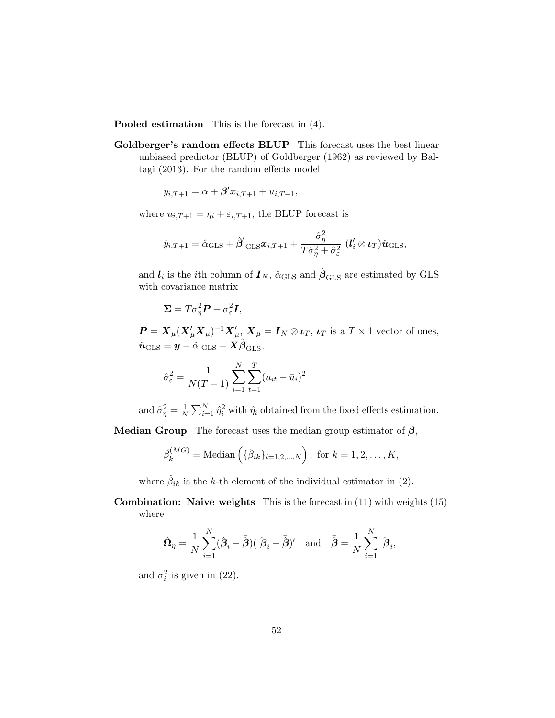Pooled estimation This is the forecast in (4).

Goldberger's random effects BLUP This forecast uses the best linear unbiased predictor (BLUP) of Goldberger (1962) as reviewed by Baltagi (2013). For the random effects model

$$
y_{i,T+1} = \alpha + \beta' \mathbf{x}_{i,T+1} + u_{i,T+1},
$$

where  $u_{i,T+1} = \eta_i + \varepsilon_{i,T+1}$ , the BLUP forecast is

$$
\hat{y}_{i,T+1} = \hat{\alpha}_{\text{GLS}} + \hat{\boldsymbol{\beta}}'_{\text{ GLS}} \boldsymbol{x}_{i,T+1} + \frac{\hat{\sigma}_{\eta}^2}{T\hat{\sigma}_{\eta}^2 + \hat{\sigma}_{\varepsilon}^2} (\boldsymbol{l}'_i \otimes \boldsymbol{\iota}_T) \hat{\boldsymbol{u}}_{\text{GLS}},
$$

and  $l_i$  is the *i*th column of  $I_N$ ,  $\hat{\alpha}_{\text{GLS}}$  and  $\hat{\beta}_{\text{GLS}}$  are estimated by GLS with covariance matrix

$$
\mathbf{\Sigma}=T\sigma_{\eta}^2\mathbf{P}+\sigma_{\varepsilon}^2\mathbf{I},
$$

 $P = X_{\mu}(X_{\mu}'X_{\mu})^{-1}X_{\mu}', X_{\mu} = I_N \otimes \iota_T, \iota_T$  is a  $T \times 1$  vector of ones,  $\hat{\boldsymbol{u}}_{\text{GLS}} = \boldsymbol{y} - \hat{\alpha} \text{ _GLS} - \boldsymbol{X} \hat{\boldsymbol{\beta}}_{\text{GLS}},$ 

$$
\hat{\sigma}_{\varepsilon}^{2} = \frac{1}{N(T-1)} \sum_{i=1}^{N} \sum_{t=1}^{T} (u_{it} - \bar{u}_{i})^{2}
$$

and  $\hat{\sigma}_{\eta}^2 = \frac{1}{N}$  $\frac{1}{N} \sum_{i=1}^{N} \hat{\eta}_i^2$  with  $\hat{\eta}_i$  obtained from the fixed effects estimation.

Median Group The forecast uses the median group estimator of  $\beta$ ,

$$
\hat{\beta}_k^{(MG)} = \text{Median}\left(\{\hat{\beta}_{ik}\}_{i=1,2,...,N}\right), \text{ for } k = 1,2,...,K,
$$

where  $\hat{\beta}_{ik}$  is the k-th element of the individual estimator in (2).

Combination: Naive weights This is the forecast in (11) with weights (15) where

$$
\hat{\Omega}_{\eta} = \frac{1}{N} \sum_{i=1}^{N} (\hat{\beta}_{i} - \bar{\hat{\beta}})(\hat{\beta}_{i} - \bar{\hat{\beta}})^{\prime} \quad \text{and} \quad \bar{\hat{\beta}} = \frac{1}{N} \sum_{i=1}^{N} \hat{\beta}_{i},
$$

and  $\tilde{\sigma}_i^2$  is given in (22).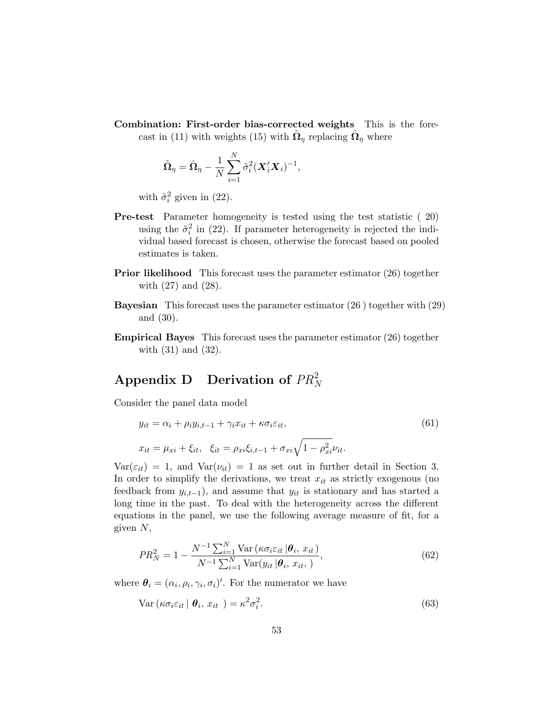Combination: First-order bias-corrected weights This is the forecast in (11) with weights (15) with  $\tilde{\Omega}_{\eta}$  replacing  $\hat{\Omega}_{\eta}$  where

$$
\tilde{\mathbf{\Omega}}_{\eta} = \hat{\mathbf{\Omega}}_{\eta} - \frac{1}{N} \sum_{i=1}^{N} \tilde{\sigma}_{i}^{2} (\mathbf{X}_{i}^{\prime} \mathbf{X}_{i})^{-1},
$$

with  $\tilde{\sigma}_i^2$  given in (22).

- Pre-test Parameter homogeneity is tested using the test statistic ( 20) using the  $\tilde{\sigma}_i^2$  in (22). If parameter heterogeneity is rejected the individual based forecast is chosen, otherwise the forecast based on pooled estimates is taken.
- Prior likelihood This forecast uses the parameter estimator (26) together with (27) and (28).
- Bayesian This forecast uses the parameter estimator (26 ) together with (29) and (30).
- Empirical Bayes This forecast uses the parameter estimator (26) together with (31) and (32).

# Appendix D Derivation of  $PR_N^2$

Consider the panel data model

$$
y_{it} = \alpha_i + \rho_i y_{i,t-1} + \gamma_i x_{it} + \kappa \sigma_i \varepsilon_{it},
$$
  
\n
$$
x_{it} = \mu_{xi} + \xi_{it}, \quad \xi_{it} = \rho_{xi} \xi_{i,t-1} + \sigma_{xi} \sqrt{1 - \rho_{xi}^2} \nu_{it}.
$$
\n(61)

 $Var(\epsilon_{it}) = 1$ , and  $Var(\nu_{it}) = 1$  as set out in further detail in Section 3. In order to simplify the derivations, we treat  $x_{it}$  as strictly exogenous (no feedback from  $y_{i,t-1}$ , and assume that  $y_{it}$  is stationary and has started a long time in the past. To deal with the heterogeneity across the different equations in the panel, we use the following average measure of fit, for a given  $N$ ,

$$
PR_N^2 = 1 - \frac{N^{-1} \sum_{i=1}^N \text{Var}\left(\kappa \sigma_i \varepsilon_{it} \,|\boldsymbol{\theta}_i, \, x_{it}\right)}{N^{-1} \sum_{i=1}^N \text{Var}(y_{it} \,|\boldsymbol{\theta}_i, \, x_{it},\,)} \tag{62}
$$

where  $\theta_i = (\alpha_i, \rho_i, \gamma_i, \sigma_i)'$ . For the numerator we have

$$
Var\left(\kappa\sigma_i\varepsilon_{it} \mid \boldsymbol{\theta}_i, x_{it}\right) = \kappa^2\sigma_i^2. \tag{63}
$$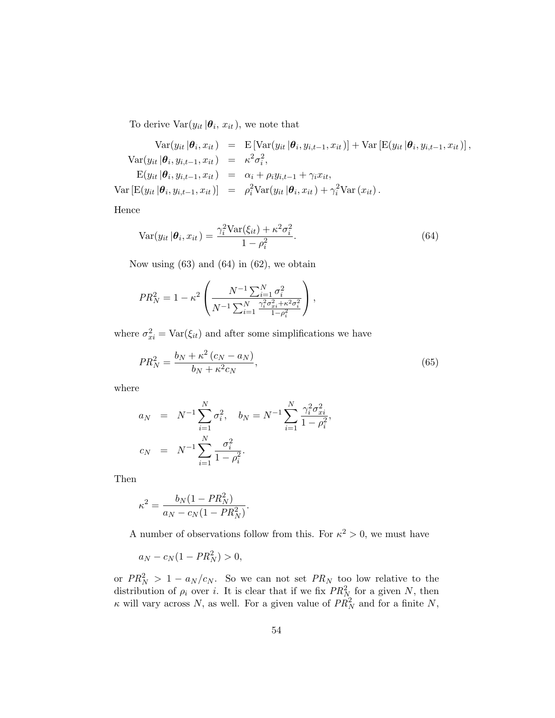To derive  $Var(y_{it}|\theta_i, x_{it})$ , we note that

$$
\operatorname{Var}(y_{it}|\boldsymbol{\theta}_{i}, x_{it}) = \operatorname{E}[\operatorname{Var}(y_{it}|\boldsymbol{\theta}_{i}, y_{i,t-1}, x_{it})] + \operatorname{Var}[\operatorname{E}(y_{it}|\boldsymbol{\theta}_{i}, y_{i,t-1}, x_{it})],
$$

$$
\operatorname{Var}(y_{it}|\boldsymbol{\theta}_{i}, y_{i,t-1}, x_{it}) = \kappa^{2} \sigma_{i}^{2},
$$

$$
\operatorname{E}(y_{it}|\boldsymbol{\theta}_{i}, y_{i,t-1}, x_{it}) = \alpha_{i} + \rho_{i} y_{i,t-1} + \gamma_{i} x_{it},
$$

$$
\operatorname{Var}[\operatorname{E}(y_{it}|\boldsymbol{\theta}_{i}, y_{i,t-1}, x_{it})] = \rho_{i}^{2} \operatorname{Var}(y_{it}|\boldsymbol{\theta}_{i}, x_{it}) + \gamma_{i}^{2} \operatorname{Var}(x_{it}).
$$

Hence

$$
\text{Var}(y_{it}|\boldsymbol{\theta}_i, x_{it}) = \frac{\gamma_i^2 \text{Var}(\xi_{it}) + \kappa^2 \sigma_i^2}{1 - \rho_i^2}.
$$
\n(64)

Now using  $(63)$  and  $(64)$  in  $(62)$ , we obtain

$$
PR_N^2 = 1 - \kappa^2 \left( \frac{N^{-1} \sum_{i=1}^N \sigma_i^2}{N^{-1} \sum_{i=1}^N \frac{\gamma_i^2 \sigma_{xi}^2 + \kappa^2 \sigma_i^2}{1 - \rho_i^2}} \right),
$$

where  $\sigma_{xi}^2 = \text{Var}(\xi_{it})$  and after some simplifications we have

$$
PR_N^2 = \frac{b_N + \kappa^2 (c_N - a_N)}{b_N + \kappa^2 c_N},\tag{65}
$$

where

$$
a_N = N^{-1} \sum_{i=1}^N \sigma_i^2, \quad b_N = N^{-1} \sum_{i=1}^N \frac{\gamma_i^2 \sigma_{xi}^2}{1 - \rho_i^2},
$$
  

$$
c_N = N^{-1} \sum_{i=1}^N \frac{\sigma_i^2}{1 - \rho_i^2}.
$$

Then

$$
\kappa^2 = \frac{b_N (1 - PR_N^2)}{a_N - c_N (1 - PR_N^2)}.
$$

A number of observations follow from this. For  $\kappa^2 > 0$ , we must have

$$
a_N - c_N(1 - PR_N^2) > 0,
$$

or  $PR_N^2 > 1 - a_N/c_N$ . So we can not set  $PR_N$  too low relative to the distribution of  $\rho_i$  over i. It is clear that if we fix  $PR_N^2$  for a given N, then  $\kappa$  will vary across N, as well. For a given value of  $PR_N^2$  and for a finite N,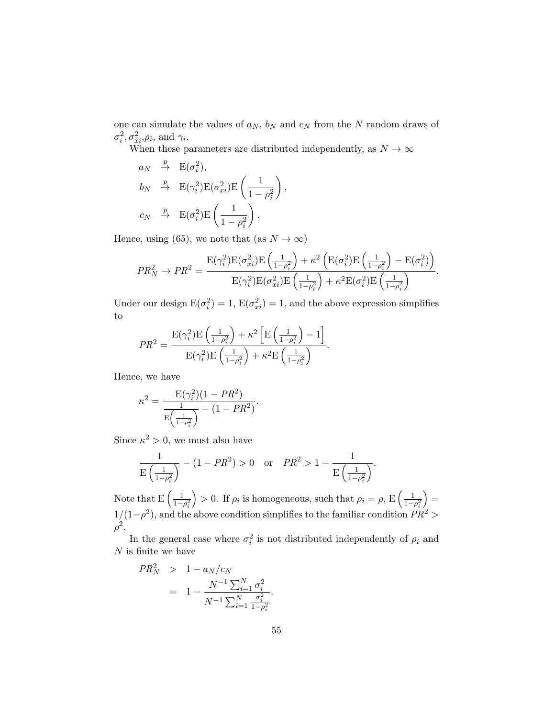one can simulate the values of  $a_N, \, b_N$  and  $c_N$  from the  $N$  random draws of  $\sigma_i^2, \sigma_{xi}^2, \rho_i$ , and  $\gamma_i$ .

When these parameters are distributed independently, as  $N \to \infty$ 

$$
a_N \xrightarrow{p} E(\sigma_i^2),
$$
  
\n
$$
b_N \xrightarrow{p} E(\gamma_i^2)E(\sigma_{xi}^2)E\left(\frac{1}{1-\rho_i^2}\right),
$$
  
\n
$$
c_N \xrightarrow{p} E(\sigma_i^2)E\left(\frac{1}{1-\rho_i^2}\right).
$$

Hence, using (65), we note that (as  $N \to \infty$ )

$$
PR_N^2 \rightarrow PR^2 = \frac{\mathcal{E}(\gamma_i^2)\mathcal{E}(\sigma_{xi}^2)\mathcal{E}\left(\frac{1}{1-\rho_i^2}\right)+\kappa^2\left(\mathcal{E}(\sigma_i^2)\mathcal{E}\left(\frac{1}{1-\rho_i^2}\right)-\mathcal{E}(\sigma_i^2)\right)}{\mathcal{E}(\gamma_i^2)\mathcal{E}(\sigma_{xi}^2)\mathcal{E}\left(\frac{1}{1-\rho_i^2}\right)+\kappa^2\mathcal{E}(\sigma_i^2)\mathcal{E}\left(\frac{1}{1-\rho_i^2}\right)}.
$$

Under our design  $E(\sigma_i^2) = 1$ ,  $E(\sigma_{xi}^2) = 1$ , and the above expression simplifies to

$$
PR^2 = \frac{\mathcal{E}(\gamma_i^2)\mathcal{E}\left(\frac{1}{1-\rho_i^2}\right) + \kappa^2 \left[\mathcal{E}\left(\frac{1}{1-\rho_i^2}\right) - 1\right]}{\mathcal{E}(\gamma_i^2)\mathcal{E}\left(\frac{1}{1-\rho_i^2}\right) + \kappa^2 \mathcal{E}\left(\frac{1}{1-\rho_i^2}\right)}.
$$

Hence, we have

$$
\kappa^2 = \frac{E(\gamma_i^2)(1 - PR^2)}{\frac{1}{E(\frac{1}{1 - \rho_i^2})} - (1 - PR^2)}.
$$

Since  $\kappa^2 > 0$ , we must also have

$$
\frac{1}{E\left(\frac{1}{1-\rho_i^2}\right)} - (1 - PR^2) > 0 \quad \text{or} \quad PR^2 > 1 - \frac{1}{E\left(\frac{1}{1-\rho_i^2}\right)}.
$$

Note that  $E\left(\frac{1}{1}\right)$  $1-\rho_i^2$ ) > 0. If  $\rho_i$  is homogeneous, such that  $\rho_i = \rho$ , E $\left(\frac{1}{1-\rho_i}\right)$  $1-\rho_i^2$  $=$  $1/(1-\rho^2)$ , and the above condition simplifies to the familiar condition  $PR^2 >$  $\rho^2$ .

In the general case where  $\sigma_i^2$  is not distributed independently of  $\rho_i$  and  $\cal N$  is finite we have

$$
PR_N^2 > 1 - a_N/c_N
$$
  
= 
$$
1 - \frac{N^{-1} \sum_{i=1}^N \sigma_i^2}{N^{-1} \sum_{i=1}^N \frac{\sigma_i^2}{1 - \rho_i^2}}
$$

.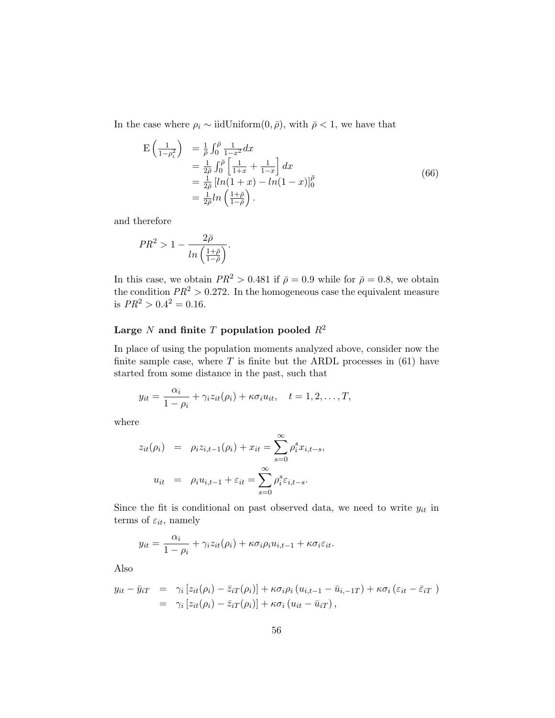In the case where  $\rho_i \sim \text{iidUniform}(0, \bar{\rho})$ , with  $\bar{\rho} < 1$ , we have that

$$
\begin{split} \mathcal{E}\left(\frac{1}{1-\rho_{i}^{2}}\right) &= \frac{1}{\bar{\rho}} \int_{0}^{\bar{\rho}} \frac{1}{1-x^{2}} dx \\ &= \frac{1}{2\bar{\rho}} \int_{0}^{\bar{\rho}} \left[\frac{1}{1+x} + \frac{1}{1-x}\right] dx \\ &= \frac{1}{2\bar{\rho}} \left[\ln(1+x) - \ln(1-x)\right]_{0}^{\bar{\rho}} \\ &= \frac{1}{2\bar{\rho}} \ln\left(\frac{1+\bar{\rho}}{1-\bar{\rho}}\right). \end{split} \tag{66}
$$

and therefore

$$
PR^2 > 1 - \frac{2\bar{\rho}}{\ln\left(\frac{1+\bar{\rho}}{1-\bar{\rho}}\right)}.
$$

In this case, we obtain  $PR^2 > 0.481$  if  $\bar{\rho} = 0.9$  while for  $\bar{\rho} = 0.8$ , we obtain the condition  $PR^2 > 0.272$ . In the homogeneous case the equivalent measure is  $PR^2 > 0.4^2 = 0.16$ .

#### Large N and finite T population pooled  $R^2$

In place of using the population moments analyzed above, consider now the finite sample case, where  $T$  is finite but the ARDL processes in (61) have started from some distance in the past, such that

$$
y_{it} = \frac{\alpha_i}{1 - \rho_i} + \gamma_i z_{it}(\rho_i) + \kappa \sigma_i u_{it}, \quad t = 1, 2, \dots, T,
$$

where

$$
z_{it}(\rho_i) = \rho_i z_{i,t-1}(\rho_i) + x_{it} = \sum_{s=0}^{\infty} \rho_i^s x_{i,t-s},
$$

$$
u_{it} = \rho_i u_{i,t-1} + \varepsilon_{it} = \sum_{s=0}^{\infty} \rho_i^s \varepsilon_{i,t-s}.
$$

Since the fit is conditional on past observed data, we need to write  $y_{it}$  in terms of  $\varepsilon_{it}$ , namely

$$
y_{it} = \frac{\alpha_i}{1 - \rho_i} + \gamma_i z_{it}(\rho_i) + \kappa \sigma_i \rho_i u_{i, t-1} + \kappa \sigma_i \varepsilon_{it}.
$$

Also

$$
y_{it} - \bar{y}_{iT} = \gamma_i \left[ z_{it}(\rho_i) - \bar{z}_{iT}(\rho_i) \right] + \kappa \sigma_i \rho_i \left( u_{i,t-1} - \bar{u}_{i,-1T} \right) + \kappa \sigma_i \left( \varepsilon_{it} - \bar{\varepsilon}_{iT} \right) = \gamma_i \left[ z_{it}(\rho_i) - \bar{z}_{iT}(\rho_i) \right] + \kappa \sigma_i \left( u_{it} - \bar{u}_{iT} \right),
$$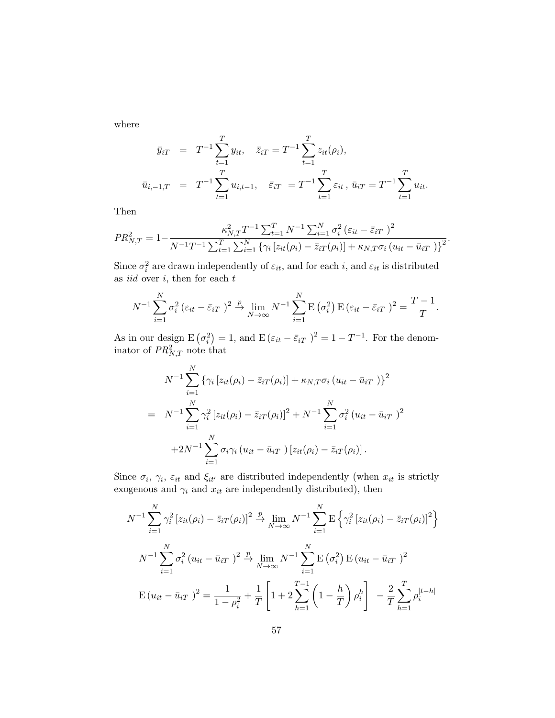where

$$
\bar{y}_{iT} = T^{-1} \sum_{t=1}^{T} y_{it}, \quad \bar{z}_{iT} = T^{-1} \sum_{t=1}^{T} z_{it}(\rho_i),
$$
\n
$$
\bar{u}_{i,-1,T} = T^{-1} \sum_{t=1}^{T} u_{i,t-1}, \quad \bar{\varepsilon}_{iT} = T^{-1} \sum_{t=1}^{T} \varepsilon_{it}, \quad \bar{u}_{iT} = T^{-1} \sum_{t=1}^{T} u_{it}.
$$

Then

$$
PR_{N,T}^{2} = 1 - \frac{\kappa_{N,T}^{2} T^{-1} \sum_{t=1}^{T} N^{-1} \sum_{i=1}^{N} \sigma_{i}^{2} (\varepsilon_{it} - \bar{\varepsilon}_{iT})^{2}}{N^{-1} T^{-1} \sum_{t=1}^{T} \sum_{i=1}^{N} {\{\gamma_{i} [z_{it}(\rho_{i}) - \bar{z}_{iT}(\rho_{i})] + \kappa_{N,T} \sigma_{i} (u_{it} - \bar{u}_{iT})\}^{2}}}.
$$

Since  $\sigma_i^2$  are drawn independently of  $\varepsilon_{it}$ , and for each i, and  $\varepsilon_{it}$  is distributed as *iid* over  $i$ , then for each  $t$ 

$$
N^{-1} \sum_{i=1}^{N} \sigma_i^2 (\varepsilon_{it} - \bar{\varepsilon}_{iT})^2 \xrightarrow{p} \lim_{N \to \infty} N^{-1} \sum_{i=1}^{N} E(\sigma_i^2) E(\varepsilon_{it} - \bar{\varepsilon}_{iT})^2 = \frac{T-1}{T}
$$

.

As in our design  $E(\sigma_i^2) = 1$ , and  $E(\varepsilon_{it} - \bar{\varepsilon}_{iT})^2 = 1 - T^{-1}$ . For the denominator of  $PR_{N,T}^2$  note that

$$
N^{-1} \sum_{i=1}^{N} \left\{ \gamma_i \left[ z_{it}(\rho_i) - \bar{z}_{iT}(\rho_i) \right] + \kappa_{N,T} \sigma_i \left( u_{it} - \bar{u}_{iT} \right) \right\}^2
$$
  
= 
$$
N^{-1} \sum_{i=1}^{N} \gamma_i^2 \left[ z_{it}(\rho_i) - \bar{z}_{iT}(\rho_i) \right]^2 + N^{-1} \sum_{i=1}^{N} \sigma_i^2 \left( u_{it} - \bar{u}_{iT} \right)^2
$$

$$
+ 2N^{-1} \sum_{i=1}^{N} \sigma_i \gamma_i \left( u_{it} - \bar{u}_{iT} \right) \left[ z_{it}(\rho_i) - \bar{z}_{iT}(\rho_i) \right].
$$

Since  $\sigma_i$ ,  $\gamma_i$ ,  $\varepsilon_{it}$  and  $\xi_{it'}$  are distributed independently (when  $x_{it}$  is strictly exogenous and  $\gamma_i$  and  $x_{it}$  are independently distributed), then

$$
N^{-1} \sum_{i=1}^{N} \gamma_i^2 \left[ z_{it}(\rho_i) - \bar{z}_{iT}(\rho_i) \right]^2 \xrightarrow{p} \lim_{N \to \infty} N^{-1} \sum_{i=1}^{N} \mathbb{E} \left\{ \gamma_i^2 \left[ z_{it}(\rho_i) - \bar{z}_{iT}(\rho_i) \right]^2 \right\}
$$

$$
N^{-1} \sum_{i=1}^{N} \sigma_i^2 \left( u_{it} - \bar{u}_{iT} \right)^2 \xrightarrow{p} \lim_{N \to \infty} N^{-1} \sum_{i=1}^{N} \mathbb{E} \left( \sigma_i^2 \right) \mathbb{E} \left( u_{it} - \bar{u}_{iT} \right)^2
$$

$$
\mathbb{E} \left( u_{it} - \bar{u}_{iT} \right)^2 = \frac{1}{1 - \rho_i^2} + \frac{1}{T} \left[ 1 + 2 \sum_{h=1}^{T-1} \left( 1 - \frac{h}{T} \right) \rho_i^h \right] - \frac{2}{T} \sum_{h=1}^{T} \rho_i^{|t-h|}
$$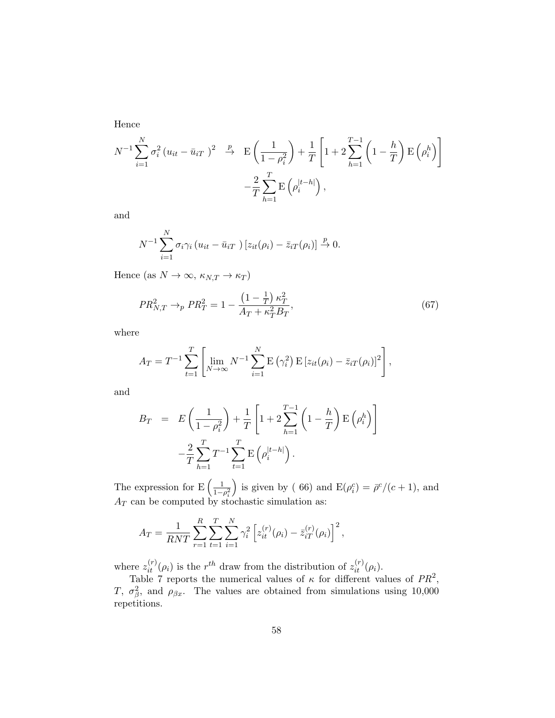Hence

$$
N^{-1} \sum_{i=1}^{N} \sigma_i^2 (u_{it} - \bar{u}_{iT})^2 \xrightarrow{p} \mathbf{E} \left( \frac{1}{1 - \rho_i^2} \right) + \frac{1}{T} \left[ 1 + 2 \sum_{h=1}^{T-1} \left( 1 - \frac{h}{T} \right) \mathbf{E} \left( \rho_i^h \right) \right] - \frac{2}{T} \sum_{h=1}^{T} \mathbf{E} \left( \rho_i^{|t-h|} \right),
$$

and

$$
N^{-1} \sum_{i=1}^{N} \sigma_i \gamma_i \left( u_{it} - \bar{u}_{iT} \right) \left[ z_{it}(\rho_i) - \bar{z}_{iT}(\rho_i) \right] \xrightarrow{p} 0.
$$

Hence (as  $N \to \infty$ ,  $\kappa_{N,T} \to \kappa_T$ )

$$
PR_{N,T}^2 \to_{p} PR_{T}^2 = 1 - \frac{\left(1 - \frac{1}{T}\right)\kappa_{T}^2}{A_{T} + \kappa_{T}^2 B_{T}},\tag{67}
$$

where

$$
A_T = T^{-1} \sum_{t=1}^T \left[ \lim_{N \to \infty} N^{-1} \sum_{i=1}^N \mathbf{E} (\gamma_i^2) \mathbf{E} [z_{it}(\rho_i) - \bar{z}_{iT}(\rho_i)]^2 \right],
$$

and

$$
B_T = E\left(\frac{1}{1-\rho_i^2}\right) + \frac{1}{T} \left[1 + 2\sum_{h=1}^{T-1} \left(1 - \frac{h}{T}\right) E\left(\rho_i^h\right)\right] - \frac{2}{T} \sum_{h=1}^{T} T^{-1} \sum_{t=1}^{T} E\left(\rho_i^{|t-h|}\right).
$$

The expression for  $E\left(\frac{1}{1}\right)$  $1-\rho_i^2$ ) is given by (66) and  $E(\rho_i^c) = \bar{\rho}^c/(c+1)$ , and  $A_T$  can be computed by stochastic simulation as:

$$
A_T = \frac{1}{RNT} \sum_{r=1}^{R} \sum_{t=1}^{T} \sum_{i=1}^{N} \gamma_i^2 \left[ z_{it}^{(r)}(\rho_i) - \bar{z}_{iT}^{(r)}(\rho_i) \right]^2,
$$

where  $z_{it}^{(r)}(\rho_i)$  is the  $r^{th}$  draw from the distribution of  $z_{it}^{(r)}(\rho_i)$ .

Table 7 reports the numerical values of  $\kappa$  for different values of  $PR^2$ , T,  $\sigma_{\beta}^2$ , and  $\rho_{\beta x}$ . The values are obtained from simulations using 10,000 repetitions.